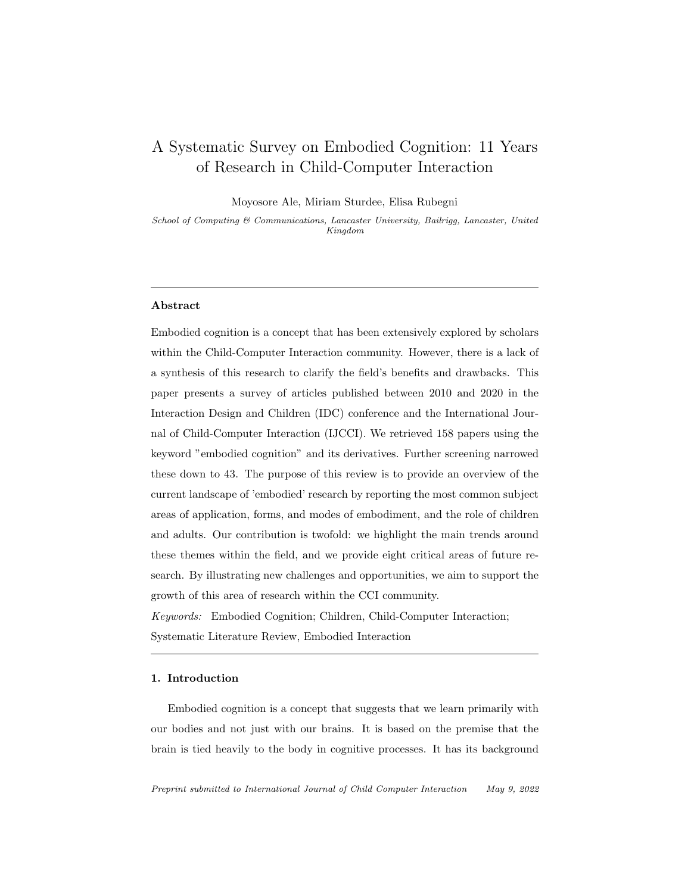## A Systematic Survey on Embodied Cognition: 11 Years of Research in Child-Computer Interaction

Moyosore Ale, Miriam Sturdee, Elisa Rubegni

School of Computing & Communications, Lancaster University, Bailrigg, Lancaster, United Kingdom

#### Abstract

Embodied cognition is a concept that has been extensively explored by scholars within the Child-Computer Interaction community. However, there is a lack of a synthesis of this research to clarify the field's benefits and drawbacks. This paper presents a survey of articles published between 2010 and 2020 in the Interaction Design and Children (IDC) conference and the International Journal of Child-Computer Interaction (IJCCI). We retrieved 158 papers using the keyword "embodied cognition" and its derivatives. Further screening narrowed these down to 43. The purpose of this review is to provide an overview of the current landscape of 'embodied' research by reporting the most common subject areas of application, forms, and modes of embodiment, and the role of children and adults. Our contribution is twofold: we highlight the main trends around these themes within the field, and we provide eight critical areas of future research. By illustrating new challenges and opportunities, we aim to support the growth of this area of research within the CCI community.

Keywords: Embodied Cognition; Children, Child-Computer Interaction; Systematic Literature Review, Embodied Interaction

#### 1. Introduction

Embodied cognition is a concept that suggests that we learn primarily with our bodies and not just with our brains. It is based on the premise that the brain is tied heavily to the body in cognitive processes. It has its background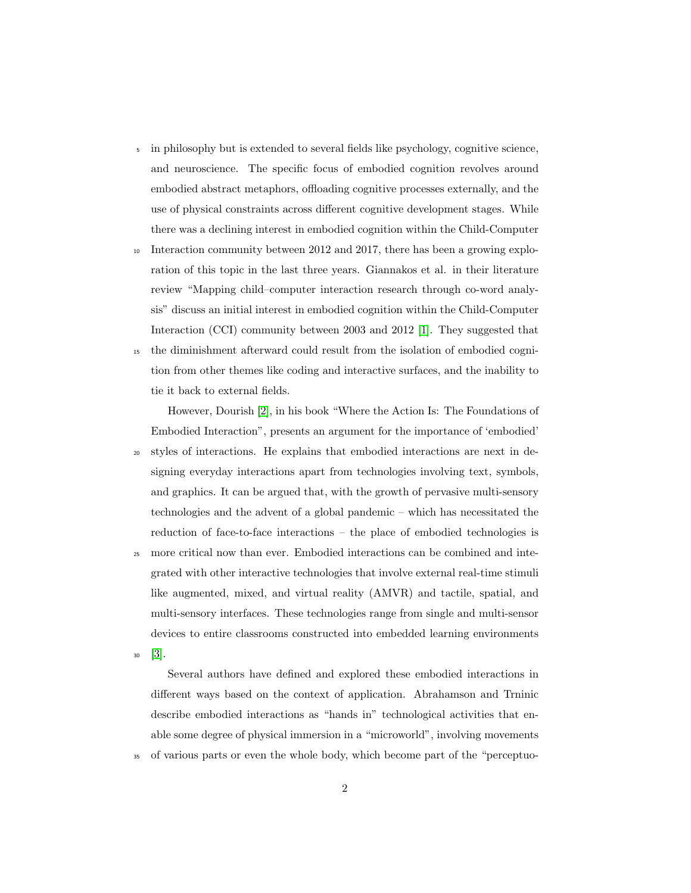- <sup>5</sup> in philosophy but is extended to several fields like psychology, cognitive science, and neuroscience. The specific focus of embodied cognition revolves around embodied abstract metaphors, offloading cognitive processes externally, and the use of physical constraints across different cognitive development stages. While there was a declining interest in embodied cognition within the Child-Computer
- <sup>10</sup> Interaction community between 2012 and 2017, there has been a growing exploration of this topic in the last three years. Giannakos et al. in their literature review "Mapping child–computer interaction research through co-word analysis" discuss an initial interest in embodied cognition within the Child-Computer Interaction (CCI) community between 2003 and 2012 [\[1\]](#page-38-0). They suggested that
- <sup>15</sup> the diminishment afterward could result from the isolation of embodied cognition from other themes like coding and interactive surfaces, and the inability to tie it back to external fields.

However, Dourish [\[2\]](#page-39-0), in his book "Where the Action Is: The Foundations of Embodied Interaction", presents an argument for the importance of 'embodied'

- <sup>20</sup> styles of interactions. He explains that embodied interactions are next in designing everyday interactions apart from technologies involving text, symbols, and graphics. It can be argued that, with the growth of pervasive multi-sensory technologies and the advent of a global pandemic – which has necessitated the reduction of face-to-face interactions – the place of embodied technologies is
- <sup>25</sup> more critical now than ever. Embodied interactions can be combined and integrated with other interactive technologies that involve external real-time stimuli like augmented, mixed, and virtual reality (AMVR) and tactile, spatial, and multi-sensory interfaces. These technologies range from single and multi-sensor devices to entire classrooms constructed into embedded learning environments

<sup>30</sup> [\[3\]](#page-39-1).

Several authors have defined and explored these embodied interactions in different ways based on the context of application. Abrahamson and Trninic describe embodied interactions as "hands in" technological activities that enable some degree of physical immersion in a "microworld", involving movements <sup>35</sup> of various parts or even the whole body, which become part of the "perceptuo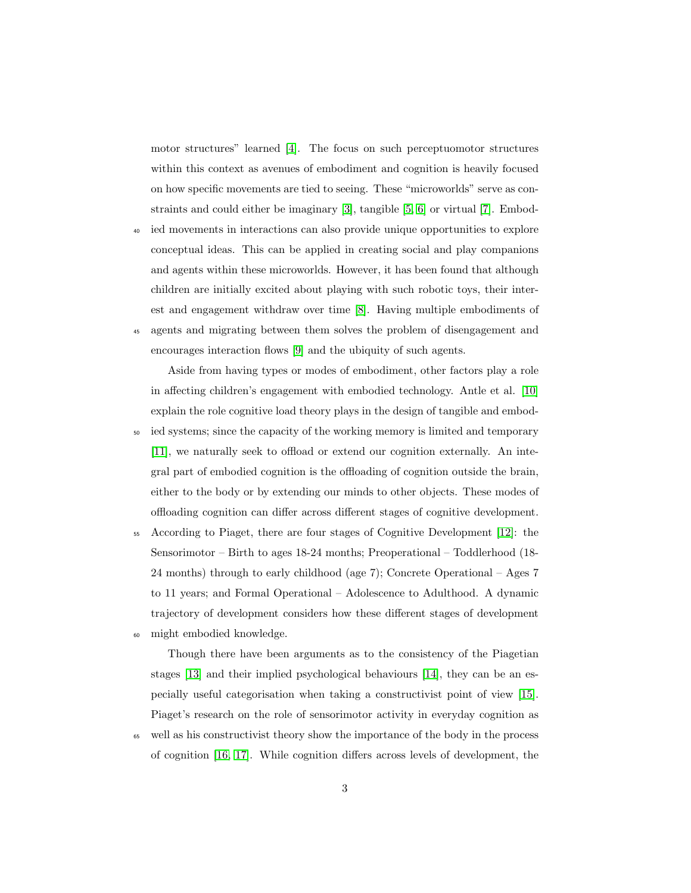motor structures" learned [\[4\]](#page-39-2). The focus on such perceptuomotor structures within this context as avenues of embodiment and cognition is heavily focused on how specific movements are tied to seeing. These "microworlds" serve as constraints and could either be imaginary [\[3\]](#page-39-1), tangible [\[5,](#page-39-3) [6\]](#page-39-4) or virtual [\[7\]](#page-39-5). Embod-

- <sup>40</sup> ied movements in interactions can also provide unique opportunities to explore conceptual ideas. This can be applied in creating social and play companions and agents within these microworlds. However, it has been found that although children are initially excited about playing with such robotic toys, their interest and engagement withdraw over time [\[8\]](#page-39-6). Having multiple embodiments of
- <sup>45</sup> agents and migrating between them solves the problem of disengagement and encourages interaction flows [\[9\]](#page-40-0) and the ubiquity of such agents.

Aside from having types or modes of embodiment, other factors play a role in affecting children's engagement with embodied technology. Antle et al. [\[10\]](#page-40-1) explain the role cognitive load theory plays in the design of tangible and embod-<sup>50</sup> ied systems; since the capacity of the working memory is limited and temporary [\[11\]](#page-40-2), we naturally seek to offload or extend our cognition externally. An integral part of embodied cognition is the offloading of cognition outside the brain, either to the body or by extending our minds to other objects. These modes of offloading cognition can differ across different stages of cognitive development.

<sup>55</sup> According to Piaget, there are four stages of Cognitive Development [\[12\]](#page-40-3): the Sensorimotor – Birth to ages 18-24 months; Preoperational – Toddlerhood (18- 24 months) through to early childhood (age 7); Concrete Operational – Ages 7 to 11 years; and Formal Operational – Adolescence to Adulthood. A dynamic trajectory of development considers how these different stages of development <sup>60</sup> might embodied knowledge.

Though there have been arguments as to the consistency of the Piagetian stages [\[13\]](#page-40-4) and their implied psychological behaviours [\[14\]](#page-40-5), they can be an especially useful categorisation when taking a constructivist point of view [\[15\]](#page-40-6). Piaget's research on the role of sensorimotor activity in everyday cognition as

<sup>65</sup> well as his constructivist theory show the importance of the body in the process of cognition [\[16,](#page-40-7) [17\]](#page-40-8). While cognition differs across levels of development, the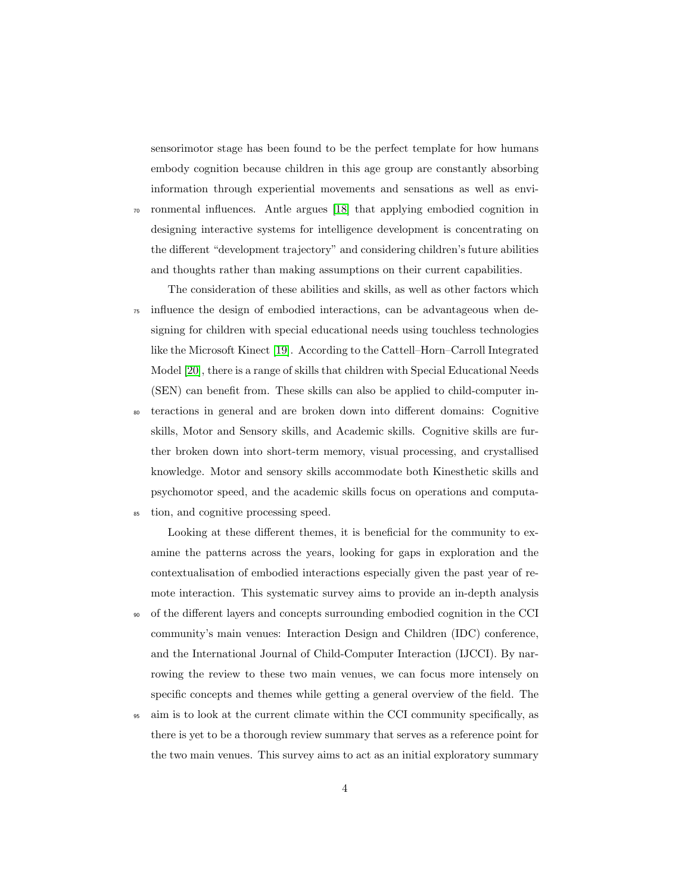sensorimotor stage has been found to be the perfect template for how humans embody cognition because children in this age group are constantly absorbing information through experiential movements and sensations as well as envi-

<sup>70</sup> ronmental influences. Antle argues [\[18\]](#page-41-0) that applying embodied cognition in designing interactive systems for intelligence development is concentrating on the different "development trajectory" and considering children's future abilities and thoughts rather than making assumptions on their current capabilities.

The consideration of these abilities and skills, as well as other factors which <sup>75</sup> influence the design of embodied interactions, can be advantageous when designing for children with special educational needs using touchless technologies like the Microsoft Kinect [\[19\]](#page-41-1). According to the Cattell–Horn–Carroll Integrated Model [\[20\]](#page-41-2), there is a range of skills that children with Special Educational Needs (SEN) can benefit from. These skills can also be applied to child-computer in-

<sup>80</sup> teractions in general and are broken down into different domains: Cognitive skills, Motor and Sensory skills, and Academic skills. Cognitive skills are further broken down into short-term memory, visual processing, and crystallised knowledge. Motor and sensory skills accommodate both Kinesthetic skills and psychomotor speed, and the academic skills focus on operations and computa-<sup>85</sup> tion, and cognitive processing speed.

Looking at these different themes, it is beneficial for the community to examine the patterns across the years, looking for gaps in exploration and the contextualisation of embodied interactions especially given the past year of remote interaction. This systematic survey aims to provide an in-depth analysis

- <sup>90</sup> of the different layers and concepts surrounding embodied cognition in the CCI community's main venues: Interaction Design and Children (IDC) conference, and the International Journal of Child-Computer Interaction (IJCCI). By narrowing the review to these two main venues, we can focus more intensely on specific concepts and themes while getting a general overview of the field. The
- <sup>95</sup> aim is to look at the current climate within the CCI community specifically, as there is yet to be a thorough review summary that serves as a reference point for the two main venues. This survey aims to act as an initial exploratory summary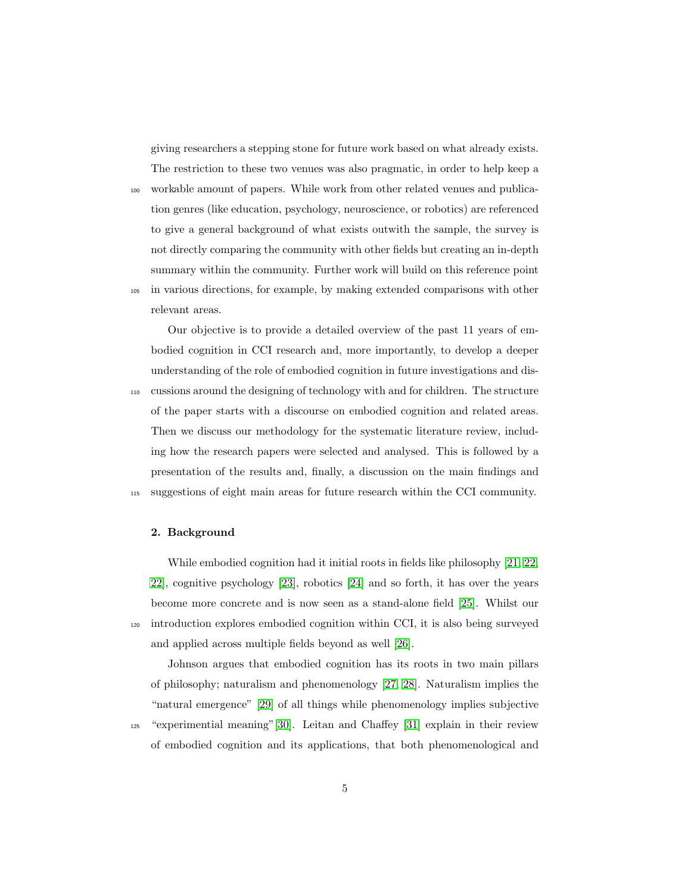giving researchers a stepping stone for future work based on what already exists. The restriction to these two venues was also pragmatic, in order to help keep a

<sup>100</sup> workable amount of papers. While work from other related venues and publication genres (like education, psychology, neuroscience, or robotics) are referenced to give a general background of what exists outwith the sample, the survey is not directly comparing the community with other fields but creating an in-depth summary within the community. Further work will build on this reference point

<sup>105</sup> in various directions, for example, by making extended comparisons with other relevant areas.

Our objective is to provide a detailed overview of the past 11 years of embodied cognition in CCI research and, more importantly, to develop a deeper understanding of the role of embodied cognition in future investigations and dis-<sup>110</sup> cussions around the designing of technology with and for children. The structure of the paper starts with a discourse on embodied cognition and related areas. Then we discuss our methodology for the systematic literature review, including how the research papers were selected and analysed. This is followed by a presentation of the results and, finally, a discussion on the main findings and <sup>115</sup> suggestions of eight main areas for future research within the CCI community.

#### 2. Background

While embodied cognition had it initial roots in fields like philosophy [\[21,](#page-41-3) [22,](#page-41-4) [22\]](#page-41-4), cognitive psychology [\[23\]](#page-41-5), robotics [\[24\]](#page-41-6) and so forth, it has over the years become more concrete and is now seen as a stand-alone field [\[25\]](#page-41-7). Whilst our <sup>120</sup> introduction explores embodied cognition within CCI, it is also being surveyed and applied across multiple fields beyond as well [\[26\]](#page-41-8).

Johnson argues that embodied cognition has its roots in two main pillars of philosophy; naturalism and phenomenology [\[27,](#page-42-0) [28\]](#page-42-1). Naturalism implies the "natural emergence" [\[29\]](#page-42-2) of all things while phenomenology implies subjective <sup>125</sup> "experimential meaning"[\[30\]](#page-42-3). Leitan and Chaffey [\[31\]](#page-42-4) explain in their review of embodied cognition and its applications, that both phenomenological and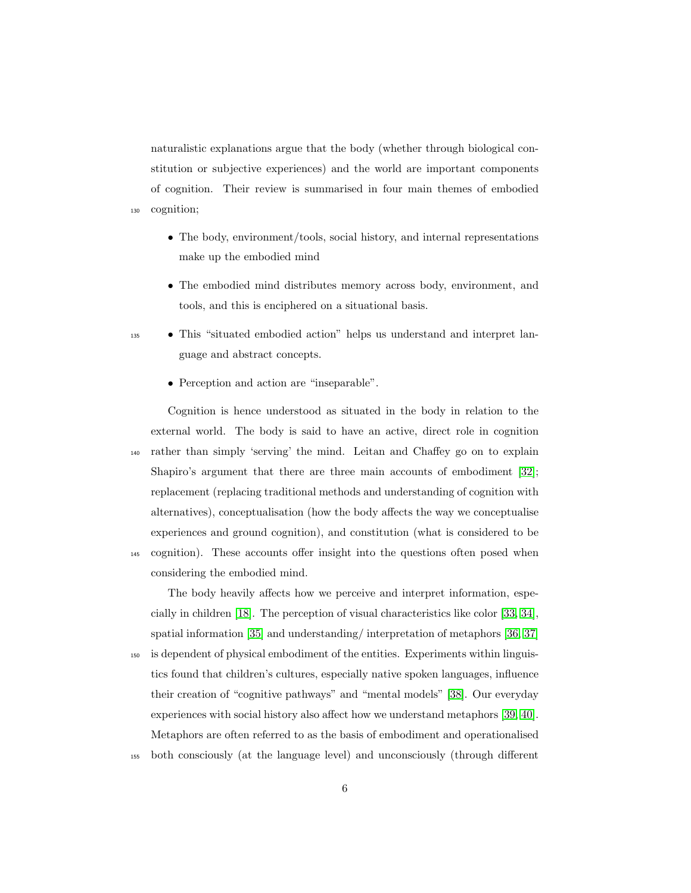naturalistic explanations argue that the body (whether through biological constitution or subjective experiences) and the world are important components of cognition. Their review is summarised in four main themes of embodied <sup>130</sup> cognition;

- The body, environment/tools, social history, and internal representations make up the embodied mind
- The embodied mind distributes memory across body, environment, and tools, and this is enciphered on a situational basis.
- <sup>135</sup> This "situated embodied action" helps us understand and interpret language and abstract concepts.
	- Perception and action are "inseparable".

considering the embodied mind.

Cognition is hence understood as situated in the body in relation to the external world. The body is said to have an active, direct role in cognition <sup>140</sup> rather than simply 'serving' the mind. Leitan and Chaffey go on to explain Shapiro's argument that there are three main accounts of embodiment [\[32\]](#page-42-5); replacement (replacing traditional methods and understanding of cognition with alternatives), conceptualisation (how the body affects the way we conceptualise experiences and ground cognition), and constitution (what is considered to be <sup>145</sup> cognition). These accounts offer insight into the questions often posed when

The body heavily affects how we perceive and interpret information, especially in children [\[18\]](#page-41-0). The perception of visual characteristics like color [\[33,](#page-42-6) [34\]](#page-42-7), spatial information [\[35\]](#page-42-8) and understanding/ interpretation of metaphors [\[36,](#page-42-9) [37\]](#page-42-10)

- <sup>150</sup> is dependent of physical embodiment of the entities. Experiments within linguistics found that children's cultures, especially native spoken languages, influence their creation of "cognitive pathways" and "mental models" [\[38\]](#page-42-11). Our everyday experiences with social history also affect how we understand metaphors [\[39,](#page-42-12) [40\]](#page-43-0). Metaphors are often referred to as the basis of embodiment and operationalised
- <sup>155</sup> both consciously (at the language level) and unconsciously (through different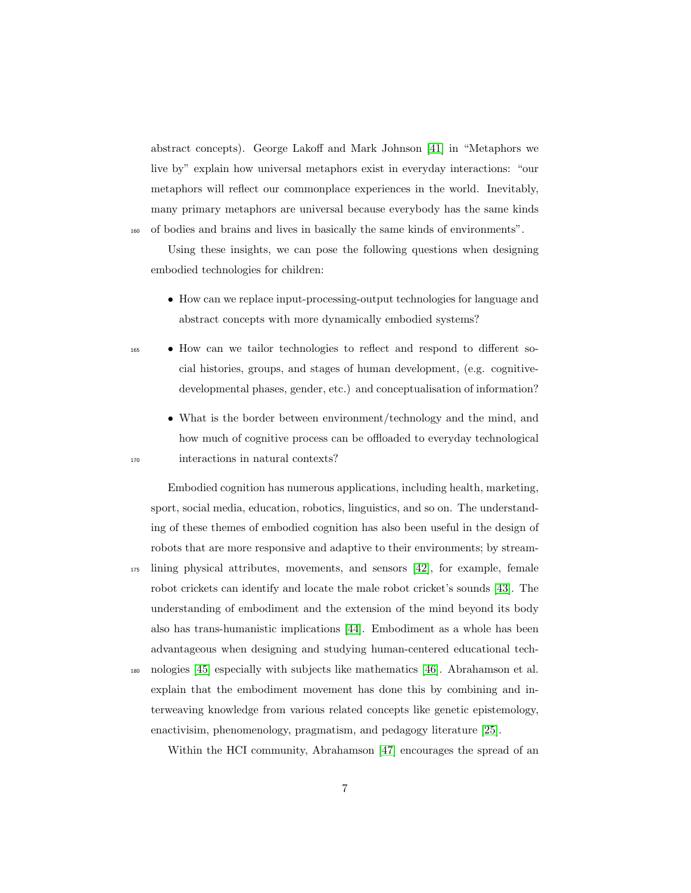abstract concepts). George Lakoff and Mark Johnson [\[41\]](#page-43-1) in "Metaphors we live by" explain how universal metaphors exist in everyday interactions: "our metaphors will reflect our commonplace experiences in the world. Inevitably, many primary metaphors are universal because everybody has the same kinds <sup>160</sup> of bodies and brains and lives in basically the same kinds of environments".

Using these insights, we can pose the following questions when designing embodied technologies for children:

- How can we replace input-processing-output technologies for language and abstract concepts with more dynamically embodied systems?
- <sup>165</sup> How can we tailor technologies to reflect and respond to different social histories, groups, and stages of human development, (e.g. cognitivedevelopmental phases, gender, etc.) and conceptualisation of information?
- What is the border between environment/technology and the mind, and how much of cognitive process can be offloaded to everyday technological <sup>170</sup> interactions in natural contexts?

Embodied cognition has numerous applications, including health, marketing, sport, social media, education, robotics, linguistics, and so on. The understanding of these themes of embodied cognition has also been useful in the design of robots that are more responsive and adaptive to their environments; by stream-<sup>175</sup> lining physical attributes, movements, and sensors [\[42\]](#page-43-2), for example, female robot crickets can identify and locate the male robot cricket's sounds [\[43\]](#page-43-3). The understanding of embodiment and the extension of the mind beyond its body also has trans-humanistic implications [\[44\]](#page-43-4). Embodiment as a whole has been advantageous when designing and studying human-centered educational tech-<sup>180</sup> nologies [\[45\]](#page-43-5) especially with subjects like mathematics [\[46\]](#page-43-6). Abrahamson et al. explain that the embodiment movement has done this by combining and interweaving knowledge from various related concepts like genetic epistemology,

Within the HCI community, Abrahamson [\[47\]](#page-43-7) encourages the spread of an

enactivisim, phenomenology, pragmatism, and pedagogy literature [\[25\]](#page-41-7).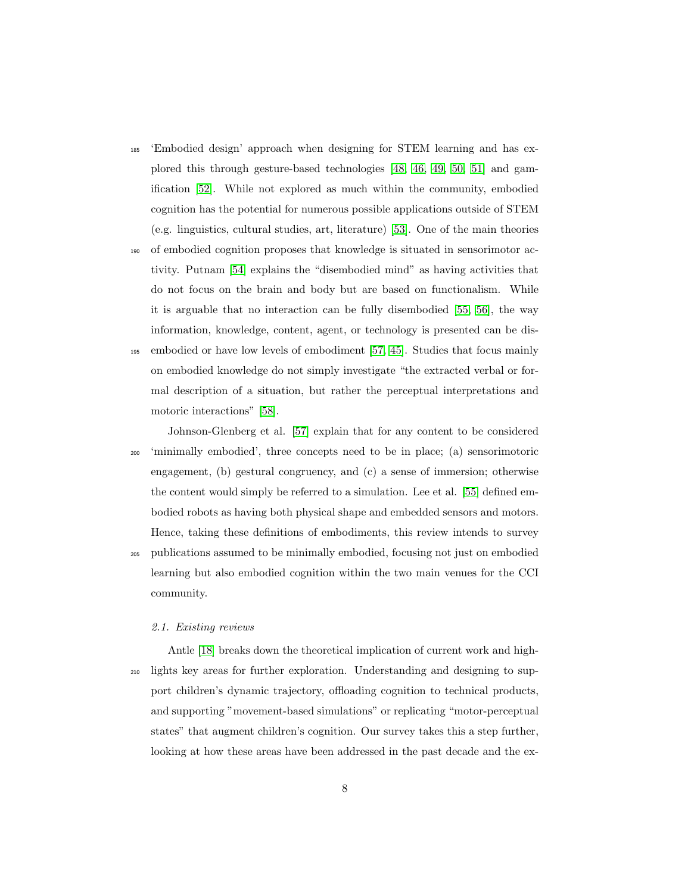- <sup>185</sup> 'Embodied design' approach when designing for STEM learning and has explored this through gesture-based technologies [\[48,](#page-43-8) [46,](#page-43-6) [49,](#page-44-0) [50,](#page-44-1) [51\]](#page-44-2) and gamification [\[52\]](#page-44-3). While not explored as much within the community, embodied cognition has the potential for numerous possible applications outside of STEM (e.g. linguistics, cultural studies, art, literature) [\[53\]](#page-44-4). One of the main theories
- <sup>190</sup> of embodied cognition proposes that knowledge is situated in sensorimotor activity. Putnam [\[54\]](#page-44-5) explains the "disembodied mind" as having activities that do not focus on the brain and body but are based on functionalism. While it is arguable that no interaction can be fully disembodied [\[55,](#page-44-6) [56\]](#page-44-7), the way information, knowledge, content, agent, or technology is presented can be dis-<sup>195</sup> embodied or have low levels of embodiment [\[57,](#page-44-8) [45\]](#page-43-5). Studies that focus mainly
- on embodied knowledge do not simply investigate "the extracted verbal or formal description of a situation, but rather the perceptual interpretations and motoric interactions" [\[58\]](#page-45-0).

Johnson-Glenberg et al. [\[57\]](#page-44-8) explain that for any content to be considered <sup>200</sup> 'minimally embodied', three concepts need to be in place; (a) sensorimotoric engagement, (b) gestural congruency, and (c) a sense of immersion; otherwise the content would simply be referred to a simulation. Lee et al. [\[55\]](#page-44-6) defined embodied robots as having both physical shape and embedded sensors and motors. Hence, taking these definitions of embodiments, this review intends to survey

<sup>205</sup> publications assumed to be minimally embodied, focusing not just on embodied learning but also embodied cognition within the two main venues for the CCI community.

#### 2.1. Existing reviews

Antle [\[18\]](#page-41-0) breaks down the theoretical implication of current work and high-<sup>210</sup> lights key areas for further exploration. Understanding and designing to support children's dynamic trajectory, offloading cognition to technical products, and supporting "movement-based simulations" or replicating "motor-perceptual states" that augment children's cognition. Our survey takes this a step further, looking at how these areas have been addressed in the past decade and the ex-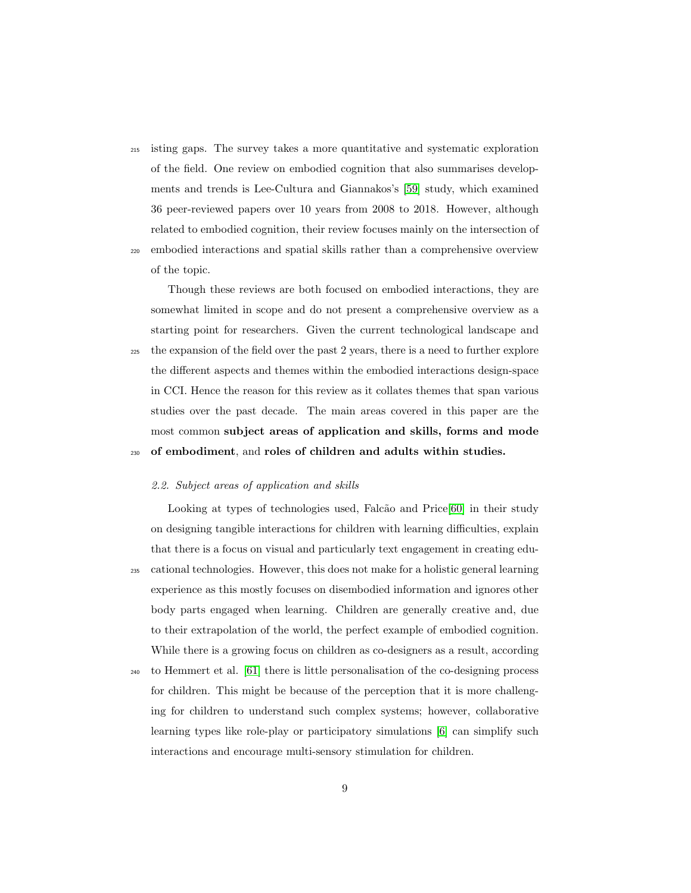- <sup>215</sup> isting gaps. The survey takes a more quantitative and systematic exploration of the field. One review on embodied cognition that also summarises developments and trends is Lee-Cultura and Giannakos's [\[59\]](#page-45-1) study, which examined 36 peer-reviewed papers over 10 years from 2008 to 2018. However, although related to embodied cognition, their review focuses mainly on the intersection of
- <sup>220</sup> embodied interactions and spatial skills rather than a comprehensive overview of the topic.

Though these reviews are both focused on embodied interactions, they are somewhat limited in scope and do not present a comprehensive overview as a starting point for researchers. Given the current technological landscape and <sup>225</sup> the expansion of the field over the past 2 years, there is a need to further explore the different aspects and themes within the embodied interactions design-space in CCI. Hence the reason for this review as it collates themes that span various studies over the past decade. The main areas covered in this paper are the most common subject areas of application and skills, forms and mode <sup>230</sup> of embodiment, and roles of children and adults within studies.

#### 2.2. Subject areas of application and skills

Looking at types of technologies used, Falcão and Price[\[60\]](#page-45-2) in their study on designing tangible interactions for children with learning difficulties, explain that there is a focus on visual and particularly text engagement in creating edu-<sup>235</sup> cational technologies. However, this does not make for a holistic general learning experience as this mostly focuses on disembodied information and ignores other body parts engaged when learning. Children are generally creative and, due to their extrapolation of the world, the perfect example of embodied cognition. While there is a growing focus on children as co-designers as a result, according

<sup>240</sup> to Hemmert et al. [\[61\]](#page-45-3) there is little personalisation of the co-designing process for children. This might be because of the perception that it is more challenging for children to understand such complex systems; however, collaborative learning types like role-play or participatory simulations [\[6\]](#page-39-4) can simplify such interactions and encourage multi-sensory stimulation for children.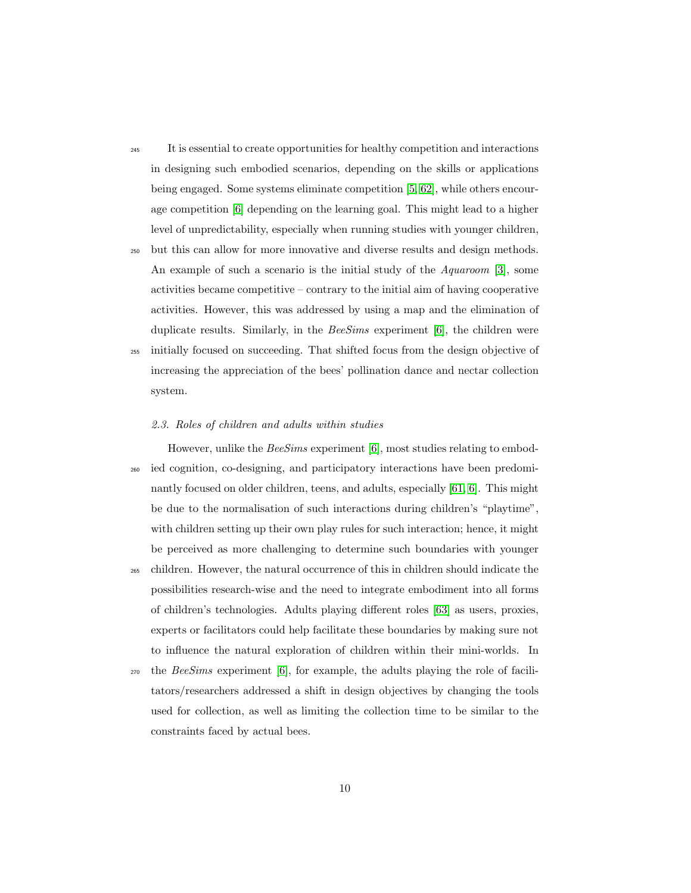- <sup>245</sup> It is essential to create opportunities for healthy competition and interactions in designing such embodied scenarios, depending on the skills or applications being engaged. Some systems eliminate competition [\[5,](#page-39-3) [62\]](#page-45-4), while others encourage competition [\[6\]](#page-39-4) depending on the learning goal. This might lead to a higher level of unpredictability, especially when running studies with younger children,
- <sup>250</sup> but this can allow for more innovative and diverse results and design methods. An example of such a scenario is the initial study of the Aquaroom [\[3\]](#page-39-1), some activities became competitive – contrary to the initial aim of having cooperative activities. However, this was addressed by using a map and the elimination of duplicate results. Similarly, in the  $BeSims$  experiment [\[6\]](#page-39-4), the children were <sup>255</sup> initially focused on succeeding. That shifted focus from the design objective of
- increasing the appreciation of the bees' pollination dance and nectar collection system.

#### 2.3. Roles of children and adults within studies

However, unlike the *BeeSims* experiment [\[6\]](#page-39-4), most studies relating to embod-<sup>260</sup> ied cognition, co-designing, and participatory interactions have been predominantly focused on older children, teens, and adults, especially [\[61,](#page-45-3) [6\]](#page-39-4). This might be due to the normalisation of such interactions during children's "playtime", with children setting up their own play rules for such interaction; hence, it might be perceived as more challenging to determine such boundaries with younger

- <sup>265</sup> children. However, the natural occurrence of this in children should indicate the possibilities research-wise and the need to integrate embodiment into all forms of children's technologies. Adults playing different roles [\[63\]](#page-45-5) as users, proxies, experts or facilitators could help facilitate these boundaries by making sure not to influence the natural exploration of children within their mini-worlds. In
- $270$  the BeeSims experiment [\[6\]](#page-39-4), for example, the adults playing the role of facilitators/researchers addressed a shift in design objectives by changing the tools used for collection, as well as limiting the collection time to be similar to the constraints faced by actual bees.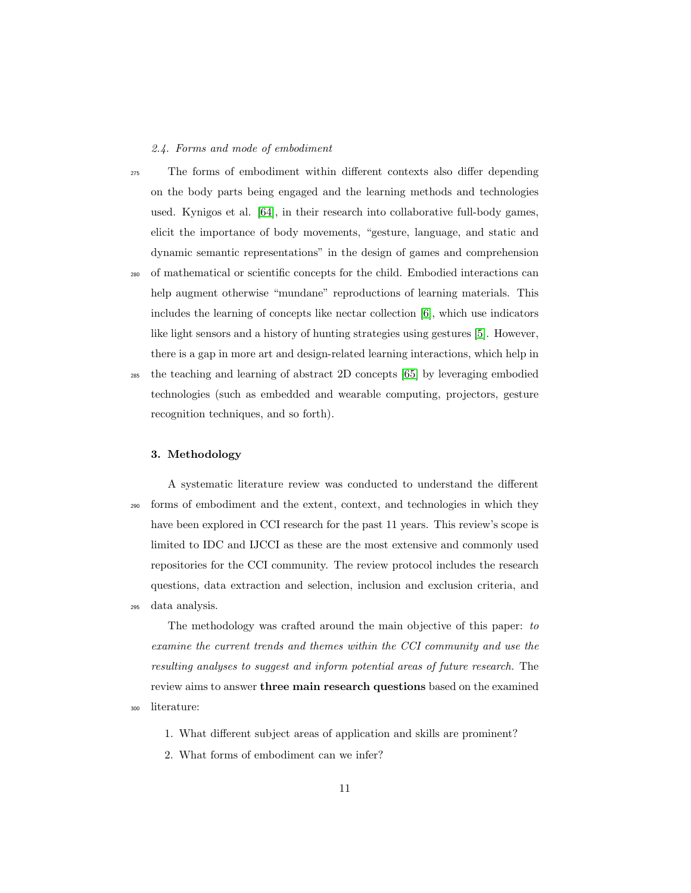#### 2.4. Forms and mode of embodiment

<sup>275</sup> The forms of embodiment within different contexts also differ depending on the body parts being engaged and the learning methods and technologies used. Kynigos et al. [\[64\]](#page-46-0), in their research into collaborative full-body games, elicit the importance of body movements, "gesture, language, and static and dynamic semantic representations" in the design of games and comprehension <sup>280</sup> of mathematical or scientific concepts for the child. Embodied interactions can help augment otherwise "mundane" reproductions of learning materials. This includes the learning of concepts like nectar collection [\[6\]](#page-39-4), which use indicators like light sensors and a history of hunting strategies using gestures [\[5\]](#page-39-3). However, there is a gap in more art and design-related learning interactions, which help in

<sup>285</sup> the teaching and learning of abstract 2D concepts [\[65\]](#page-46-1) by leveraging embodied technologies (such as embedded and wearable computing, projectors, gesture recognition techniques, and so forth).

#### 3. Methodology

A systematic literature review was conducted to understand the different <sup>290</sup> forms of embodiment and the extent, context, and technologies in which they have been explored in CCI research for the past 11 years. This review's scope is limited to IDC and IJCCI as these are the most extensive and commonly used repositories for the CCI community. The review protocol includes the research questions, data extraction and selection, inclusion and exclusion criteria, and <sup>295</sup> data analysis.

The methodology was crafted around the main objective of this paper: to examine the current trends and themes within the CCI community and use the resulting analyses to suggest and inform potential areas of future research. The review aims to answer three main research questions based on the examined <sup>300</sup> literature:

1. What different subject areas of application and skills are prominent?

2. What forms of embodiment can we infer?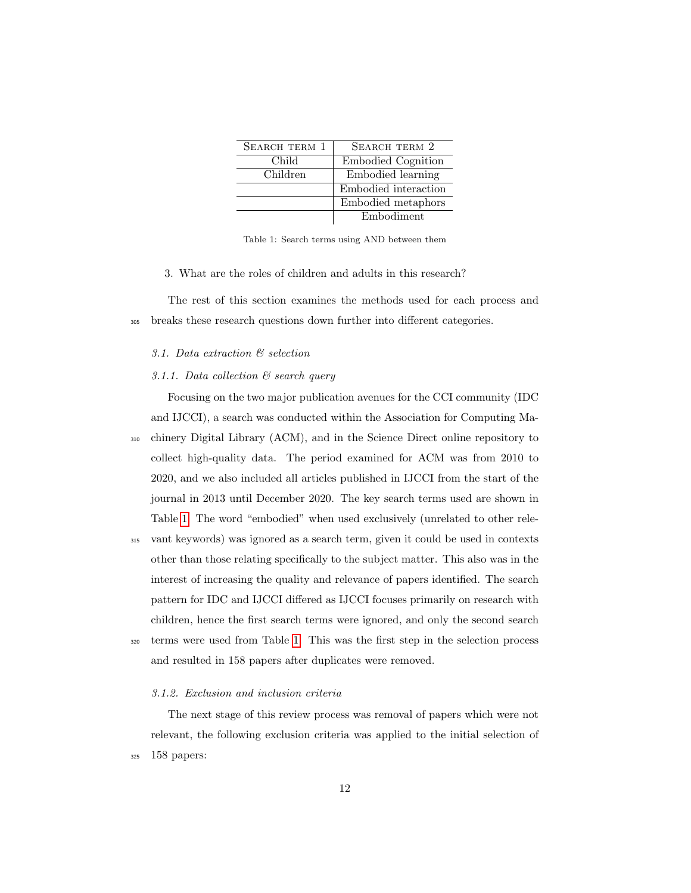| SEARCH TERM 1 | SEARCH TERM 2        |
|---------------|----------------------|
| Child         | Embodied Cognition   |
| Children      | Embodied learning    |
|               | Embodied interaction |
|               | Embodied metaphors   |
|               | Embodiment           |

<span id="page-11-0"></span>Table 1: Search terms using AND between them

3. What are the roles of children and adults in this research?

The rest of this section examines the methods used for each process and <sup>305</sup> breaks these research questions down further into different categories.

#### 3.1. Data extraction & selection

#### 3.1.1. Data collection & search query

Focusing on the two major publication avenues for the CCI community (IDC and IJCCI), a search was conducted within the Association for Computing Ma-<sup>310</sup> chinery Digital Library (ACM), and in the Science Direct online repository to collect high-quality data. The period examined for ACM was from 2010 to 2020, and we also included all articles published in IJCCI from the start of the journal in 2013 until December 2020. The key search terms used are shown in Table [1.](#page-11-0) The word "embodied" when used exclusively (unrelated to other rele-<sup>315</sup> vant keywords) was ignored as a search term, given it could be used in contexts other than those relating specifically to the subject matter. This also was in the interest of increasing the quality and relevance of papers identified. The search

pattern for IDC and IJCCI differed as IJCCI focuses primarily on research with children, hence the first search terms were ignored, and only the second search <sup>320</sup> terms were used from Table [1.](#page-11-0) This was the first step in the selection process and resulted in 158 papers after duplicates were removed.

#### 3.1.2. Exclusion and inclusion criteria

The next stage of this review process was removal of papers which were not relevant, the following exclusion criteria was applied to the initial selection of <sup>325</sup> 158 papers: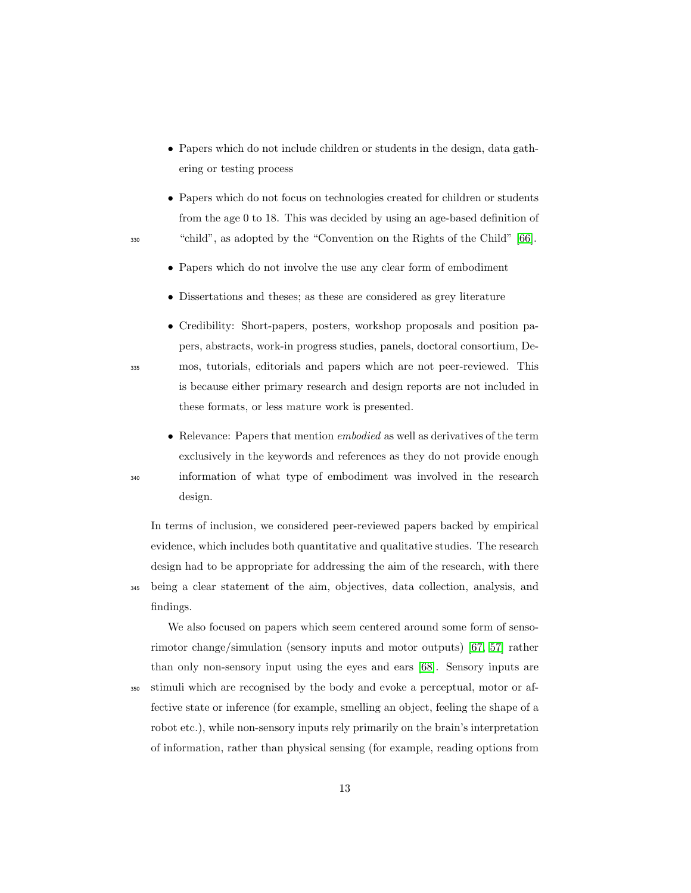- Papers which do not include children or students in the design, data gathering or testing process
- Papers which do not focus on technologies created for children or students from the age 0 to 18. This was decided by using an age-based definition of <sup>330</sup> "child", as adopted by the "Convention on the Rights of the Child" [\[66\]](#page-46-2).
	- Papers which do not involve the use any clear form of embodiment
	- Dissertations and theses; as these are considered as grey literature
- Credibility: Short-papers, posters, workshop proposals and position papers, abstracts, work-in progress studies, panels, doctoral consortium, De-<sup>335</sup> mos, tutorials, editorials and papers which are not peer-reviewed. This is because either primary research and design reports are not included in these formats, or less mature work is presented.
- Relevance: Papers that mention *embodied* as well as derivatives of the term exclusively in the keywords and references as they do not provide enough <sup>340</sup> information of what type of embodiment was involved in the research design.

In terms of inclusion, we considered peer-reviewed papers backed by empirical evidence, which includes both quantitative and qualitative studies. The research design had to be appropriate for addressing the aim of the research, with there

<sup>345</sup> being a clear statement of the aim, objectives, data collection, analysis, and findings.

We also focused on papers which seem centered around some form of sensorimotor change/simulation (sensory inputs and motor outputs) [\[67,](#page-46-3) [57\]](#page-44-8) rather than only non-sensory input using the eyes and ears [\[68\]](#page-46-4). Sensory inputs are

<sup>350</sup> stimuli which are recognised by the body and evoke a perceptual, motor or affective state or inference (for example, smelling an object, feeling the shape of a robot etc.), while non-sensory inputs rely primarily on the brain's interpretation of information, rather than physical sensing (for example, reading options from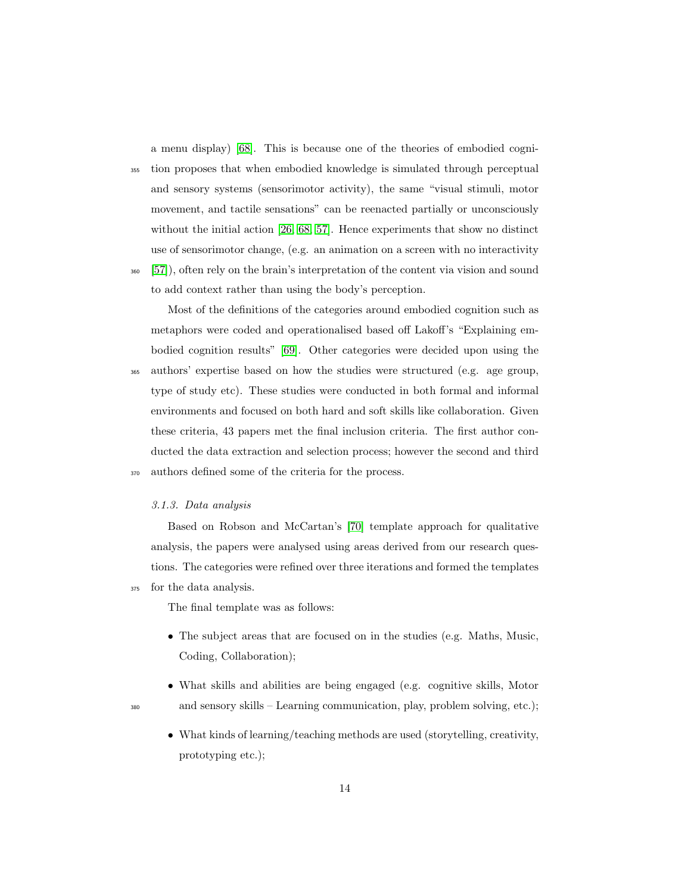a menu display) [\[68\]](#page-46-4). This is because one of the theories of embodied cogni-

<sup>355</sup> tion proposes that when embodied knowledge is simulated through perceptual and sensory systems (sensorimotor activity), the same "visual stimuli, motor movement, and tactile sensations" can be reenacted partially or unconsciously without the initial action [\[26,](#page-41-8) [68,](#page-46-4) [57\]](#page-44-8). Hence experiments that show no distinct use of sensorimotor change, (e.g. an animation on a screen with no interactivity <sup>360</sup> [\[57\]](#page-44-8)), often rely on the brain's interpretation of the content via vision and sound to add context rather than using the body's perception.

Most of the definitions of the categories around embodied cognition such as metaphors were coded and operationalised based off Lakoff's "Explaining embodied cognition results" [\[69\]](#page-46-5). Other categories were decided upon using the <sup>365</sup> authors' expertise based on how the studies were structured (e.g. age group, type of study etc). These studies were conducted in both formal and informal environments and focused on both hard and soft skills like collaboration. Given these criteria, 43 papers met the final inclusion criteria. The first author conducted the data extraction and selection process; however the second and third <sup>370</sup> authors defined some of the criteria for the process.

#### 3.1.3. Data analysis

Based on Robson and McCartan's [\[70\]](#page-46-6) template approach for qualitative analysis, the papers were analysed using areas derived from our research questions. The categories were refined over three iterations and formed the templates <sup>375</sup> for the data analysis.

The final template was as follows:

- The subject areas that are focused on in the studies (e.g. Maths, Music, Coding, Collaboration);
- What skills and abilities are being engaged (e.g. cognitive skills, Motor <sup>380</sup> and sensory skills – Learning communication, play, problem solving, etc.);
- 
- What kinds of learning/teaching methods are used (storytelling, creativity, prototyping etc.);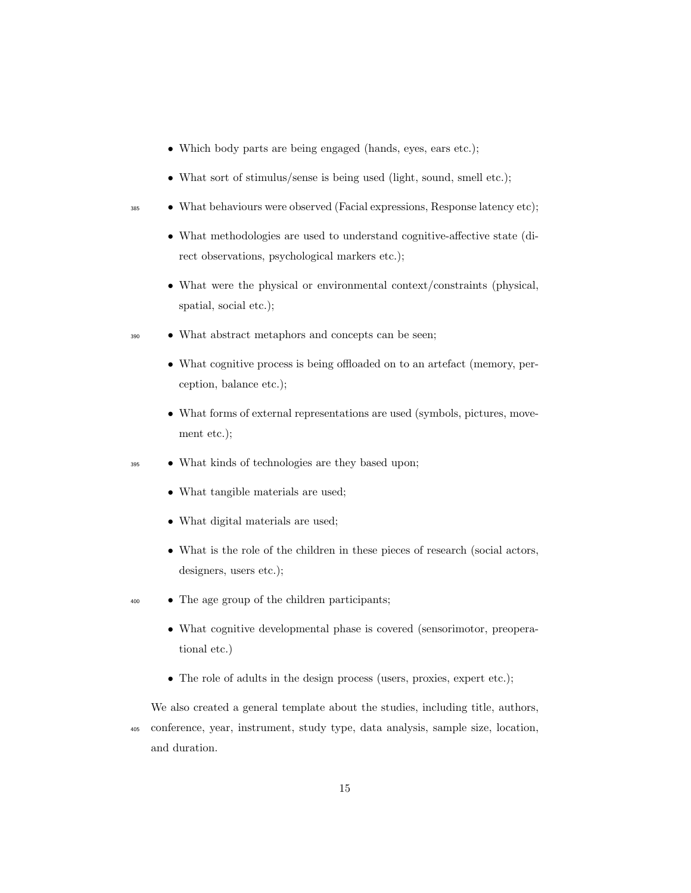- Which body parts are being engaged (hands, eyes, ears etc.);
- What sort of stimulus/sense is being used (light, sound, smell etc.);
- <sup>385</sup> What behaviours were observed (Facial expressions, Response latency etc);
	- What methodologies are used to understand cognitive-affective state (direct observations, psychological markers etc.);
	- What were the physical or environmental context/constraints (physical, spatial, social etc.);
- <sup>390</sup> What abstract metaphors and concepts can be seen;
	- What cognitive process is being offloaded on to an artefact (memory, perception, balance etc.);
	- What forms of external representations are used (symbols, pictures, movement etc.);
- <sup>395</sup> What kinds of technologies are they based upon;
	- What tangible materials are used;
	- What digital materials are used;
	- What is the role of the children in these pieces of research (social actors, designers, users etc.);
- <sup>400</sup> The age group of the children participants;
	- What cognitive developmental phase is covered (sensorimotor, preoperational etc.)
	- The role of adults in the design process (users, proxies, expert etc.);

We also created a general template about the studies, including title, authors, <sup>405</sup> conference, year, instrument, study type, data analysis, sample size, location, and duration.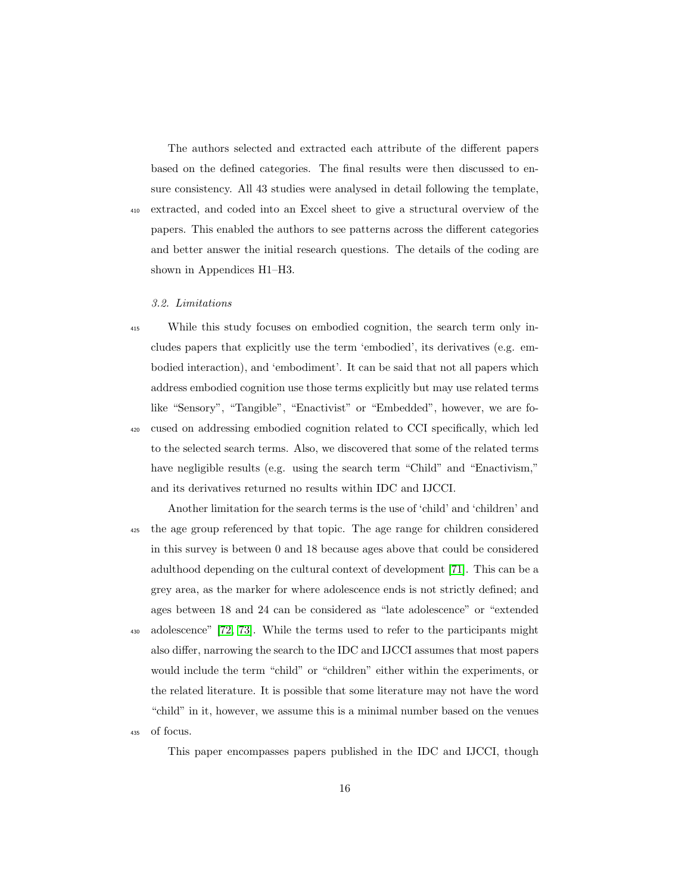The authors selected and extracted each attribute of the different papers based on the defined categories. The final results were then discussed to ensure consistency. All 43 studies were analysed in detail following the template, <sup>410</sup> extracted, and coded into an Excel sheet to give a structural overview of the papers. This enabled the authors to see patterns across the different categories and better answer the initial research questions. The details of the coding are shown in Appendices H1–H3.

#### 3.2. Limitations

- <sup>415</sup> While this study focuses on embodied cognition, the search term only includes papers that explicitly use the term 'embodied', its derivatives (e.g. embodied interaction), and 'embodiment'. It can be said that not all papers which address embodied cognition use those terms explicitly but may use related terms like "Sensory", "Tangible", "Enactivist" or "Embedded", however, we are fo-<sup>420</sup> cused on addressing embodied cognition related to CCI specifically, which led to the selected search terms. Also, we discovered that some of the related terms have negligible results (e.g. using the search term "Child" and "Enactivism," and its derivatives returned no results within IDC and IJCCI.
- Another limitation for the search terms is the use of 'child' and 'children' and <sup>425</sup> the age group referenced by that topic. The age range for children considered in this survey is between 0 and 18 because ages above that could be considered adulthood depending on the cultural context of development [\[71\]](#page-46-7). This can be a grey area, as the marker for where adolescence ends is not strictly defined; and ages between 18 and 24 can be considered as "late adolescence" or "extended <sup>430</sup> adolescence" [\[72,](#page-46-8) [73\]](#page-46-9). While the terms used to refer to the participants might also differ, narrowing the search to the IDC and IJCCI assumes that most papers would include the term "child" or "children" either within the experiments, or the related literature. It is possible that some literature may not have the word "child" in it, however, we assume this is a minimal number based on the venues <sup>435</sup> of focus.

This paper encompasses papers published in the IDC and IJCCI, though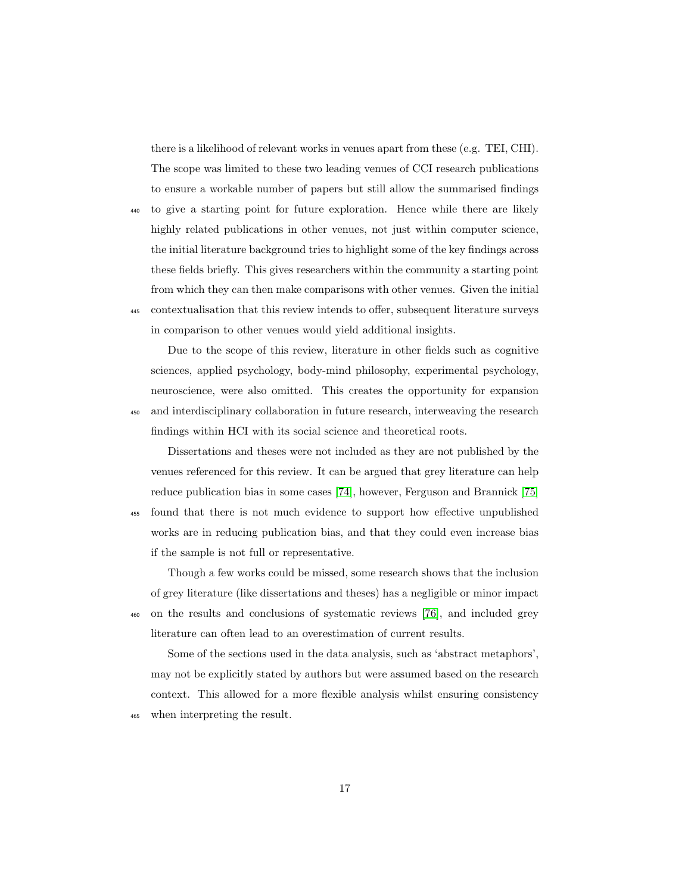there is a likelihood of relevant works in venues apart from these (e.g. TEI, CHI). The scope was limited to these two leading venues of CCI research publications to ensure a workable number of papers but still allow the summarised findings

<sup>440</sup> to give a starting point for future exploration. Hence while there are likely highly related publications in other venues, not just within computer science, the initial literature background tries to highlight some of the key findings across these fields briefly. This gives researchers within the community a starting point from which they can then make comparisons with other venues. Given the initial <sup>445</sup> contextualisation that this review intends to offer, subsequent literature surveys in comparison to other venues would yield additional insights.

Due to the scope of this review, literature in other fields such as cognitive sciences, applied psychology, body-mind philosophy, experimental psychology, neuroscience, were also omitted. This creates the opportunity for expansion <sup>450</sup> and interdisciplinary collaboration in future research, interweaving the research findings within HCI with its social science and theoretical roots.

Dissertations and theses were not included as they are not published by the venues referenced for this review. It can be argued that grey literature can help reduce publication bias in some cases [\[74\]](#page-47-0), however, Ferguson and Brannick [\[75\]](#page-47-1) <sup>455</sup> found that there is not much evidence to support how effective unpublished works are in reducing publication bias, and that they could even increase bias if the sample is not full or representative.

Though a few works could be missed, some research shows that the inclusion of grey literature (like dissertations and theses) has a negligible or minor impact <sup>460</sup> on the results and conclusions of systematic reviews [\[76\]](#page-47-2), and included grey literature can often lead to an overestimation of current results.

Some of the sections used in the data analysis, such as 'abstract metaphors', may not be explicitly stated by authors but were assumed based on the research context. This allowed for a more flexible analysis whilst ensuring consistency <sup>465</sup> when interpreting the result.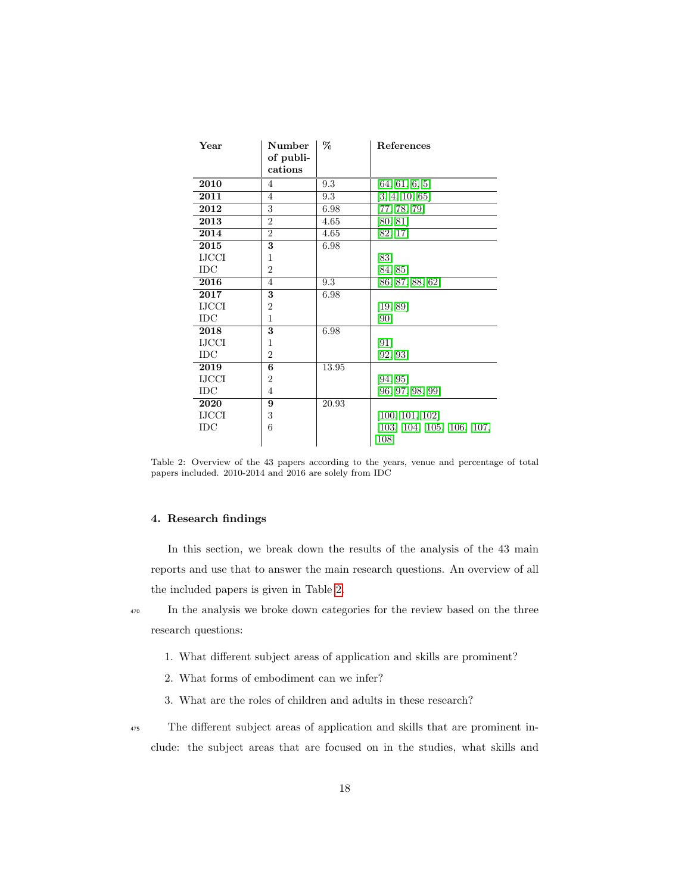| Year            | Number<br>of publi- | %     | References                |
|-----------------|---------------------|-------|---------------------------|
|                 | cations             |       |                           |
| 2010            | 4                   | 9.3   | [64, 61, 6, 5]            |
| 2011            | 4                   | 9.3   | [3, 4, 10, 65]            |
| 2012            | 3                   | 6.98  | [77, 78, 79]              |
| 2013            | $\overline{2}$      | 4.65  | [80, 81]                  |
| 2014            | $\overline{2}$      | 4.65  | [82, 17]                  |
| 2015            | 3                   | 6.98  |                           |
| <b>IJCCI</b>    | 1                   |       | [83]                      |
| $_{\text{IDC}}$ | $\overline{2}$      |       | [84, 85]                  |
| 2016            | 4                   | 9.3   | [86, 87, 88, 62]          |
| 2017            | 3                   | 6.98  |                           |
| <b>IJCCI</b>    | $\overline{2}$      |       | [19, 89]                  |
| $_{\text{IDC}}$ | 1                   |       | [90]                      |
| 2018            | 3                   | 6.98  |                           |
| <b>IJCCI</b>    | 1                   |       | [91]                      |
| $_{\text{IDC}}$ | $\overline{2}$      |       | [92, 93]                  |
| 2019            | 6                   | 13.95 |                           |
| <b>IJCCI</b>    | $\overline{2}$      |       | [94, 95]                  |
| IDC             | 4                   |       | [96, 97, 98, 99]          |
| 2020            | 9                   | 20.93 |                           |
| <b>IJCCI</b>    | 3                   |       | [100, 101, 102]           |
| $_{\text{IDC}}$ | 6                   |       | [103, 104, 105, 106, 107, |
|                 |                     |       | 108                       |

<span id="page-17-0"></span>Table 2: Overview of the 43 papers according to the years, venue and percentage of total papers included. 2010-2014 and 2016 are solely from IDC

#### 4. Research findings

In this section, we break down the results of the analysis of the 43 main reports and use that to answer the main research questions. An overview of all the included papers is given in Table [2.](#page-17-0)

<sup>470</sup> In the analysis we broke down categories for the review based on the three research questions:

- 1. What different subject areas of application and skills are prominent?
- 2. What forms of embodiment can we infer?
- 3. What are the roles of children and adults in these research?

<sup>475</sup> The different subject areas of application and skills that are prominent include: the subject areas that are focused on in the studies, what skills and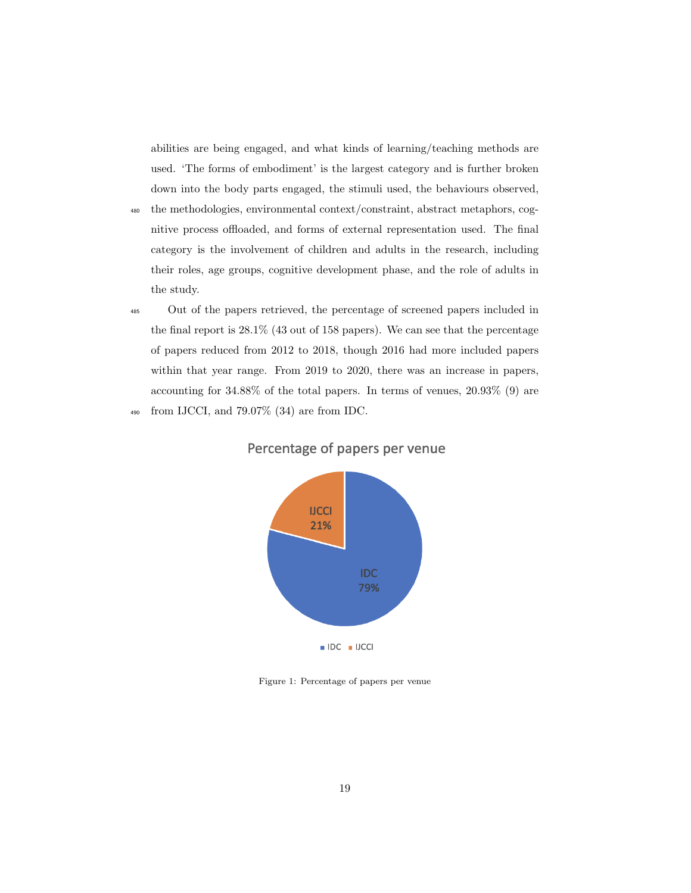abilities are being engaged, and what kinds of learning/teaching methods are used. 'The forms of embodiment' is the largest category and is further broken down into the body parts engaged, the stimuli used, the behaviours observed,

- <sup>480</sup> the methodologies, environmental context/constraint, abstract metaphors, cognitive process offloaded, and forms of external representation used. The final category is the involvement of children and adults in the research, including their roles, age groups, cognitive development phase, and the role of adults in the study.
- <sup>485</sup> Out of the papers retrieved, the percentage of screened papers included in the final report is 28.1% (43 out of 158 papers). We can see that the percentage of papers reduced from 2012 to 2018, though 2016 had more included papers within that year range. From 2019 to 2020, there was an increase in papers, accounting for 34.88% of the total papers. In terms of venues, 20.93% (9) are <sup>490</sup> from IJCCI, and 79.07% (34) are from IDC.



Percentage of papers per venue

Figure 1: Percentage of papers per venue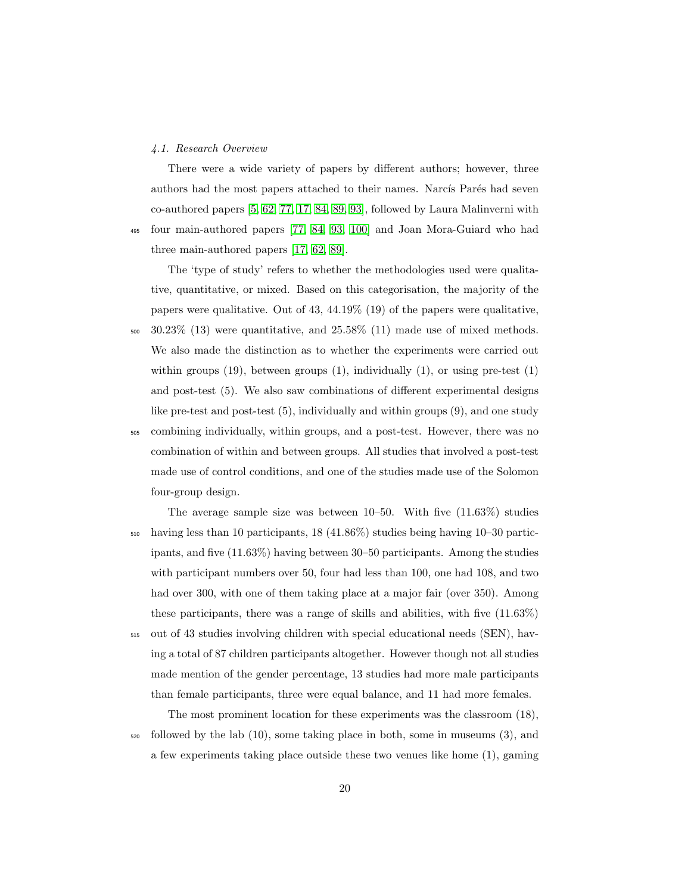#### 4.1. Research Overview

There were a wide variety of papers by different authors; however, three authors had the most papers attached to their names. Narcís Parés had seven co-authored papers [\[5,](#page-39-3) [62,](#page-45-4) [77,](#page-47-3) [17,](#page-40-8) [84,](#page-48-3) [89,](#page-49-1) [93\]](#page-49-5), followed by Laura Malinverni with <sup>495</sup> four main-authored papers [\[77,](#page-47-3) [84,](#page-48-3) [93,](#page-49-5) [100\]](#page-50-5) and Joan Mora-Guiard who had three main-authored papers [\[17,](#page-40-8) [62,](#page-45-4) [89\]](#page-49-1).

The 'type of study' refers to whether the methodologies used were qualitative, quantitative, or mixed. Based on this categorisation, the majority of the papers were qualitative. Out of 43, 44.19% (19) of the papers were qualitative,  $_{500}$  30.23\% (13) were quantitative, and 25.58\% (11) made use of mixed methods. We also made the distinction as to whether the experiments were carried out within groups  $(19)$ , between groups  $(1)$ , individually  $(1)$ , or using pre-test  $(1)$ and post-test (5). We also saw combinations of different experimental designs like pre-test and post-test (5), individually and within groups (9), and one study <sup>505</sup> combining individually, within groups, and a post-test. However, there was no combination of within and between groups. All studies that involved a post-test made use of control conditions, and one of the studies made use of the Solomon four-group design.

The average sample size was between 10–50. With five (11.63%) studies <sup>510</sup> having less than 10 participants, 18 (41.86%) studies being having 10–30 participants, and five (11.63%) having between 30–50 participants. Among the studies with participant numbers over 50, four had less than 100, one had 108, and two had over 300, with one of them taking place at a major fair (over 350). Among these participants, there was a range of skills and abilities, with five (11.63%) <sup>515</sup> out of 43 studies involving children with special educational needs (SEN), having a total of 87 children participants altogether. However though not all studies made mention of the gender percentage, 13 studies had more male participants

than female participants, three were equal balance, and 11 had more females.

The most prominent location for these experiments was the classroom (18),  $\frac{1}{220}$  followed by the lab  $(10)$ , some taking place in both, some in museums  $(3)$ , and a few experiments taking place outside these two venues like home (1), gaming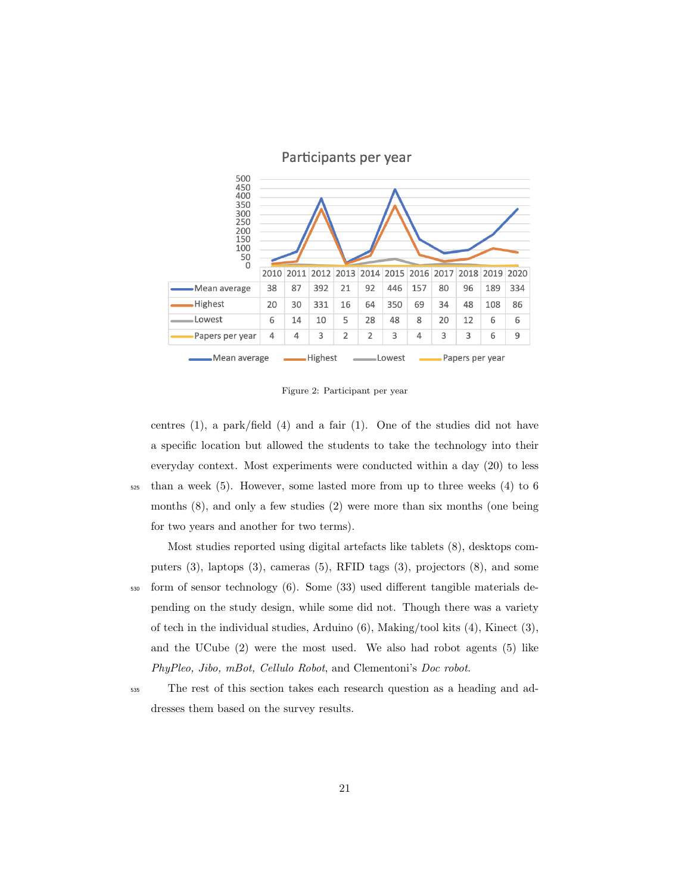

### Participants per year

Figure 2: Participant per year

centres  $(1)$ , a park/field  $(4)$  and a fair  $(1)$ . One of the studies did not have a specific location but allowed the students to take the technology into their everyday context. Most experiments were conducted within a day (20) to less

<sup>525</sup> than a week (5). However, some lasted more from up to three weeks (4) to 6 months (8), and only a few studies (2) were more than six months (one being for two years and another for two terms).

Most studies reported using digital artefacts like tablets (8), desktops computers (3), laptops (3), cameras (5), RFID tags (3), projectors (8), and some

- <sup>530</sup> form of sensor technology (6). Some (33) used different tangible materials depending on the study design, while some did not. Though there was a variety of tech in the individual studies, Arduino (6), Making/tool kits (4), Kinect (3), and the UCube (2) were the most used. We also had robot agents (5) like PhyPleo, Jibo, mBot, Cellulo Robot, and Clementoni's Doc robot.
- 

<sup>535</sup> The rest of this section takes each research question as a heading and addresses them based on the survey results.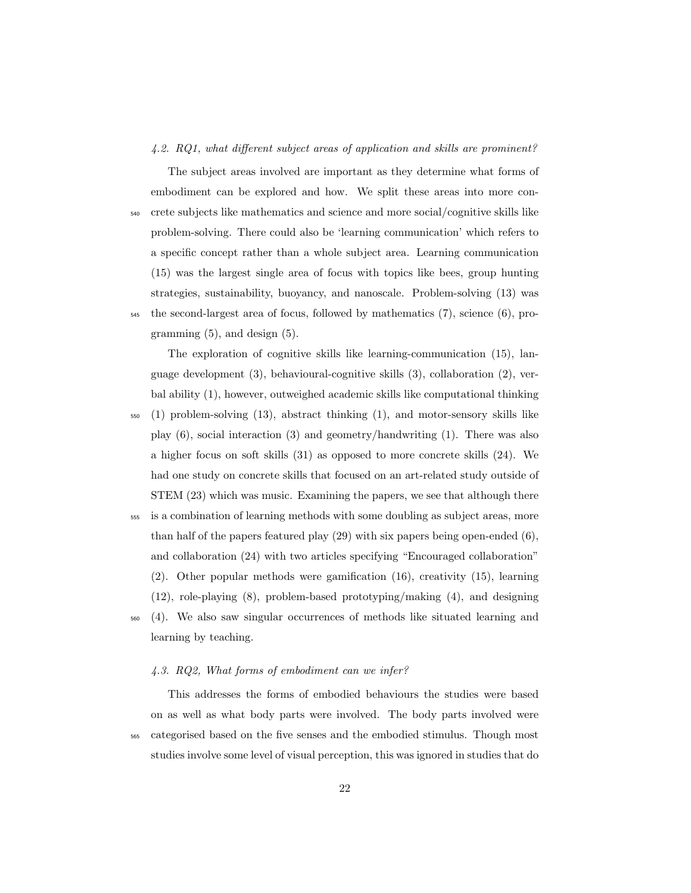#### 4.2. RQ1, what different subject areas of application and skills are prominent?

The subject areas involved are important as they determine what forms of embodiment can be explored and how. We split these areas into more con-<sup>540</sup> crete subjects like mathematics and science and more social/cognitive skills like problem-solving. There could also be 'learning communication' which refers to a specific concept rather than a whole subject area. Learning communication (15) was the largest single area of focus with topics like bees, group hunting strategies, sustainability, buoyancy, and nanoscale. Problem-solving (13) was <sup>545</sup> the second-largest area of focus, followed by mathematics (7), science (6), programming (5), and design (5).

The exploration of cognitive skills like learning-communication (15), language development (3), behavioural-cognitive skills (3), collaboration (2), verbal ability (1), however, outweighed academic skills like computational thinking <sup>550</sup> (1) problem-solving (13), abstract thinking (1), and motor-sensory skills like play (6), social interaction (3) and geometry/handwriting (1). There was also a higher focus on soft skills (31) as opposed to more concrete skills (24). We had one study on concrete skills that focused on an art-related study outside of STEM (23) which was music. Examining the papers, we see that although there <sup>555</sup> is a combination of learning methods with some doubling as subject areas, more

than half of the papers featured play  $(29)$  with six papers being open-ended  $(6)$ , and collaboration (24) with two articles specifying "Encouraged collaboration" (2). Other popular methods were gamification (16), creativity (15), learning (12), role-playing (8), problem-based prototyping/making (4), and designing <sup>560</sup> (4). We also saw singular occurrences of methods like situated learning and learning by teaching.

# 4.3. RQ2, What forms of embodiment can we infer?

This addresses the forms of embodied behaviours the studies were based on as well as what body parts were involved. The body parts involved were <sup>565</sup> categorised based on the five senses and the embodied stimulus. Though most studies involve some level of visual perception, this was ignored in studies that do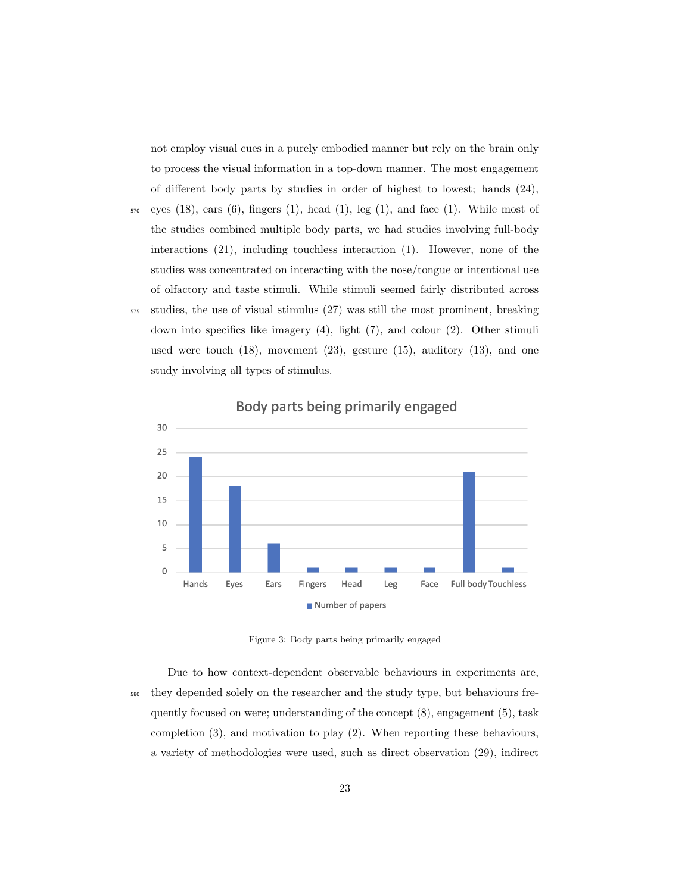not employ visual cues in a purely embodied manner but rely on the brain only to process the visual information in a top-down manner. The most engagement of different body parts by studies in order of highest to lowest; hands (24),

- $570$  eyes (18), ears (6), fingers (1), head (1), leg (1), and face (1). While most of the studies combined multiple body parts, we had studies involving full-body interactions (21), including touchless interaction (1). However, none of the studies was concentrated on interacting with the nose/tongue or intentional use of olfactory and taste stimuli. While stimuli seemed fairly distributed across <sup>575</sup> studies, the use of visual stimulus (27) was still the most prominent, breaking
- down into specifics like imagery (4), light (7), and colour (2). Other stimuli used were touch  $(18)$ , movement  $(23)$ , gesture  $(15)$ , auditory  $(13)$ , and one study involving all types of stimulus.



Body parts being primarily engaged

Figure 3: Body parts being primarily engaged

Due to how context-dependent observable behaviours in experiments are, <sup>580</sup> they depended solely on the researcher and the study type, but behaviours frequently focused on were; understanding of the concept (8), engagement (5), task completion (3), and motivation to play (2). When reporting these behaviours, a variety of methodologies were used, such as direct observation (29), indirect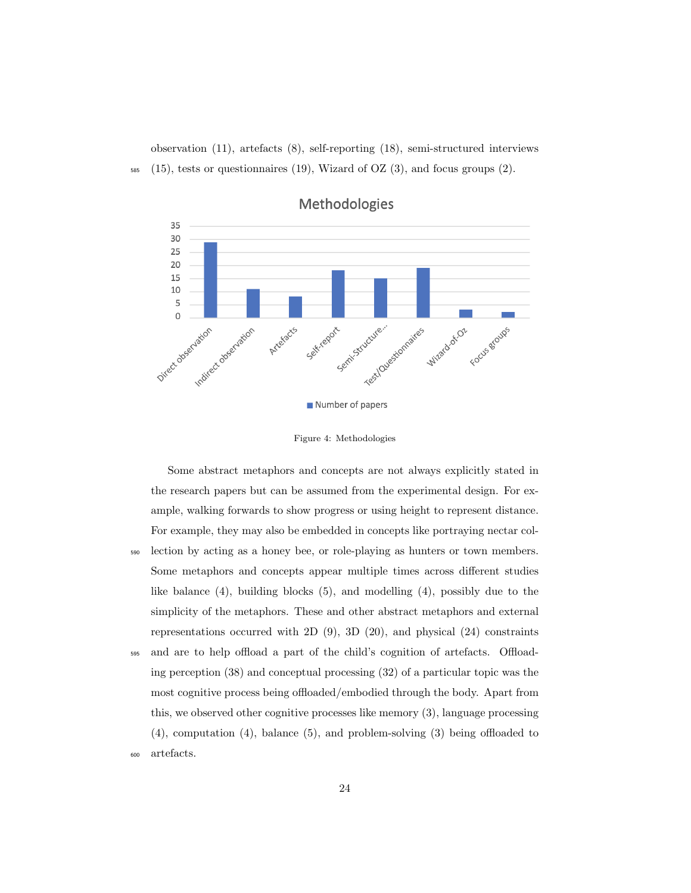observation (11), artefacts (8), self-reporting (18), semi-structured interviews  $585$  (15), tests or questionnaires (19), Wizard of OZ (3), and focus groups (2).



Methodologies

Some abstract metaphors and concepts are not always explicitly stated in the research papers but can be assumed from the experimental design. For example, walking forwards to show progress or using height to represent distance. For example, they may also be embedded in concepts like portraying nectar col-<sup>590</sup> lection by acting as a honey bee, or role-playing as hunters or town members. Some metaphors and concepts appear multiple times across different studies like balance  $(4)$ , building blocks  $(5)$ , and modelling  $(4)$ , possibly due to the simplicity of the metaphors. These and other abstract metaphors and external representations occurred with 2D (9), 3D (20), and physical (24) constraints <sup>595</sup> and are to help offload a part of the child's cognition of artefacts. Offloading perception (38) and conceptual processing (32) of a particular topic was the most cognitive process being offloaded/embodied through the body. Apart from this, we observed other cognitive processes like memory (3), language processing (4), computation (4), balance (5), and problem-solving (3) being offloaded to <sup>600</sup> artefacts.

Figure 4: Methodologies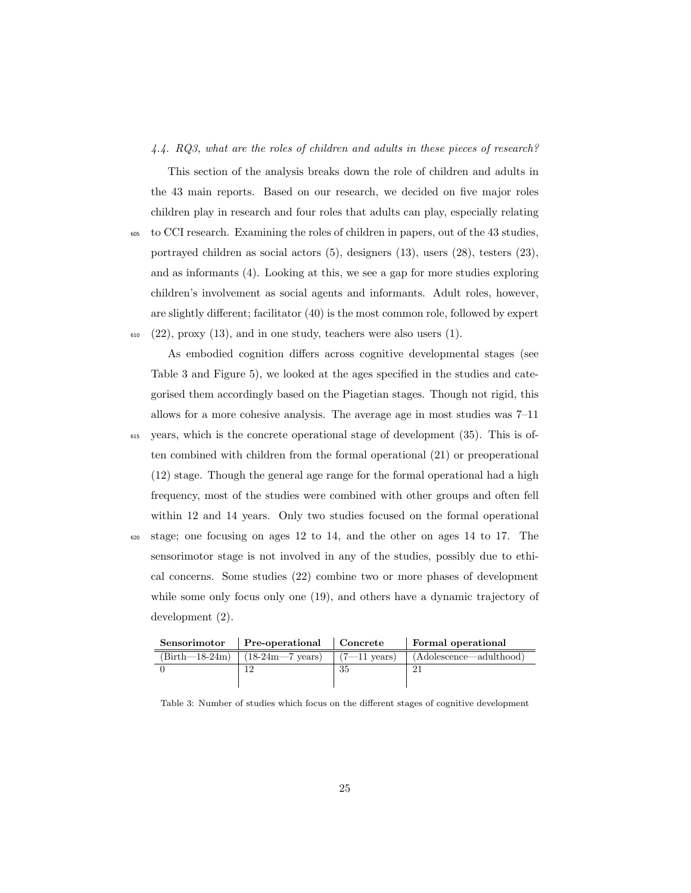#### 4.4. RQ3, what are the roles of children and adults in these pieces of research?

This section of the analysis breaks down the role of children and adults in the 43 main reports. Based on our research, we decided on five major roles children play in research and four roles that adults can play, especially relating

<sup>605</sup> to CCI research. Examining the roles of children in papers, out of the 43 studies, portrayed children as social actors (5), designers (13), users (28), testers (23), and as informants (4). Looking at this, we see a gap for more studies exploring children's involvement as social agents and informants. Adult roles, however, are slightly different; facilitator (40) is the most common role, followed by expert  $(22)$ , proxy  $(13)$ , and in one study, teachers were also users  $(1)$ .

As embodied cognition differs across cognitive developmental stages (see Table 3 and Figure 5), we looked at the ages specified in the studies and categorised them accordingly based on the Piagetian stages. Though not rigid, this allows for a more cohesive analysis. The average age in most studies was 7–11

<sup>615</sup> years, which is the concrete operational stage of development (35). This is often combined with children from the formal operational (21) or preoperational (12) stage. Though the general age range for the formal operational had a high frequency, most of the studies were combined with other groups and often fell within 12 and 14 years. Only two studies focused on the formal operational <sup>620</sup> stage; one focusing on ages 12 to 14, and the other on ages 14 to 17. The sensorimotor stage is not involved in any of the studies, possibly due to ethical concerns. Some studies (22) combine two or more phases of development while some only focus only one (19), and others have a dynamic trajectory of development (2).

| Sensorimotor     | Pre-operational Concrete   |                        | Formal operational      |
|------------------|----------------------------|------------------------|-------------------------|
| $(Birth-18-24m)$ | $(18-24m-7 \text{ years})$ | $(7-11 \text{ years})$ | (Adolescence—adulthood) |
|                  |                            | 35                     |                         |
|                  |                            |                        |                         |

Table 3: Number of studies which focus on the different stages of cognitive development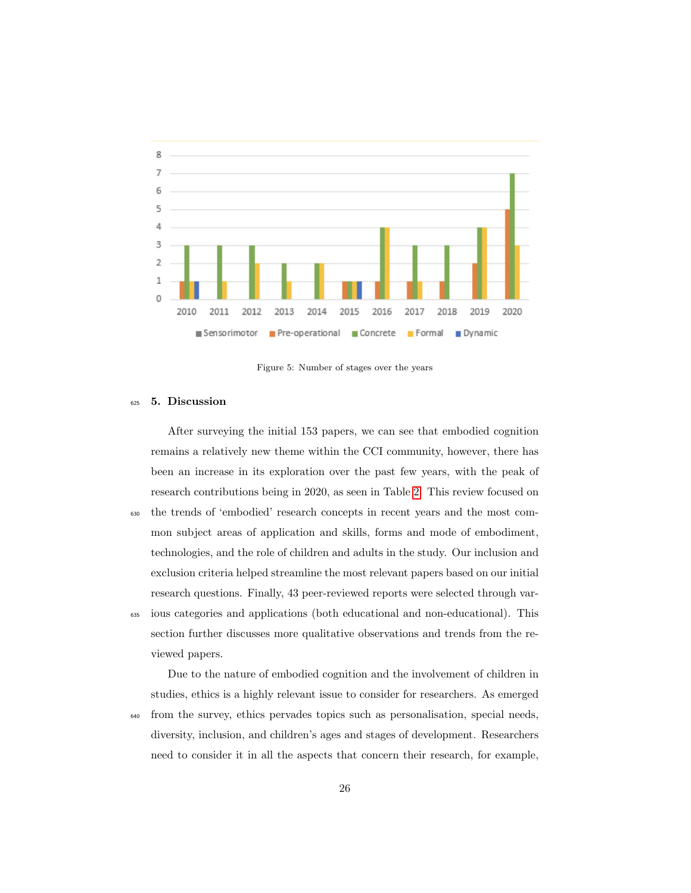

Figure 5: Number of stages over the years

#### <sup>625</sup> 5. Discussion

After surveying the initial 153 papers, we can see that embodied cognition remains a relatively new theme within the CCI community, however, there has been an increase in its exploration over the past few years, with the peak of research contributions being in 2020, as seen in Table [2.](#page-17-0) This review focused on <sup>630</sup> the trends of 'embodied' research concepts in recent years and the most common subject areas of application and skills, forms and mode of embodiment, technologies, and the role of children and adults in the study. Our inclusion and exclusion criteria helped streamline the most relevant papers based on our initial research questions. Finally, 43 peer-reviewed reports were selected through var-<sup>635</sup> ious categories and applications (both educational and non-educational). This

section further discusses more qualitative observations and trends from the reviewed papers.

Due to the nature of embodied cognition and the involvement of children in studies, ethics is a highly relevant issue to consider for researchers. As emerged <sup>640</sup> from the survey, ethics pervades topics such as personalisation, special needs, diversity, inclusion, and children's ages and stages of development. Researchers need to consider it in all the aspects that concern their research, for example,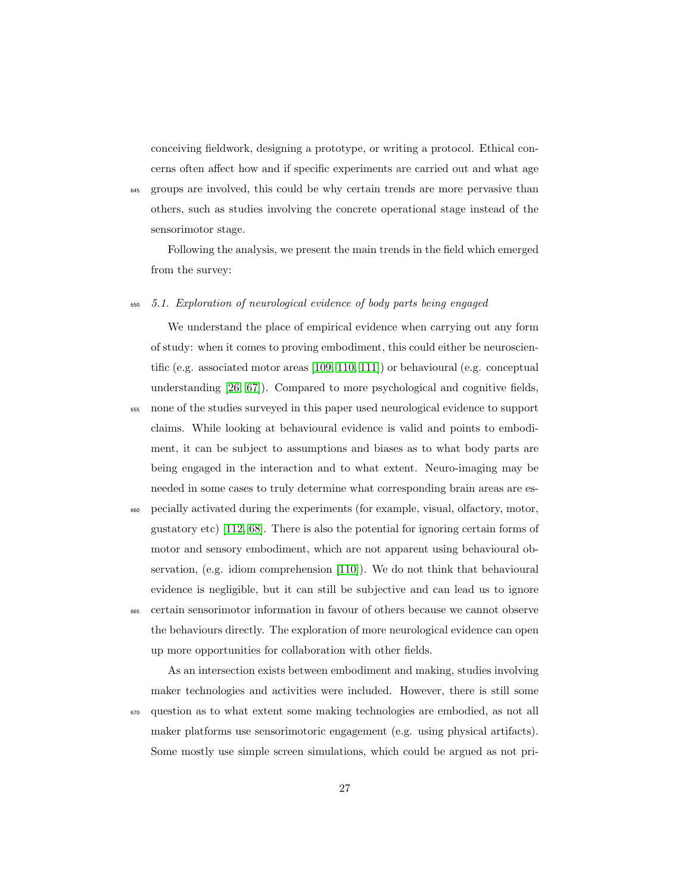conceiving fieldwork, designing a prototype, or writing a protocol. Ethical concerns often affect how and if specific experiments are carried out and what age

<sup>645</sup> groups are involved, this could be why certain trends are more pervasive than others, such as studies involving the concrete operational stage instead of the sensorimotor stage.

Following the analysis, we present the main trends in the field which emerged from the survey:

#### <sup>650</sup> 5.1. Exploration of neurological evidence of body parts being engaged

We understand the place of empirical evidence when carrying out any form of study: when it comes to proving embodiment, this could either be neuroscientific (e.g. associated motor areas [\[109,](#page-52-1) [110,](#page-52-2) [111\]](#page-52-3)) or behavioural (e.g. conceptual understanding [\[26,](#page-41-8) [67\]](#page-46-3)). Compared to more psychological and cognitive fields,

- <sup>655</sup> none of the studies surveyed in this paper used neurological evidence to support claims. While looking at behavioural evidence is valid and points to embodiment, it can be subject to assumptions and biases as to what body parts are being engaged in the interaction and to what extent. Neuro-imaging may be needed in some cases to truly determine what corresponding brain areas are es-
- <sup>660</sup> pecially activated during the experiments (for example, visual, olfactory, motor, gustatory etc) [\[112,](#page-52-4) [68\]](#page-46-4). There is also the potential for ignoring certain forms of motor and sensory embodiment, which are not apparent using behavioural observation, (e.g. idiom comprehension [\[110\]](#page-52-2)). We do not think that behavioural evidence is negligible, but it can still be subjective and can lead us to ignore <sup>665</sup> certain sensorimotor information in favour of others because we cannot observe the behaviours directly. The exploration of more neurological evidence can open up more opportunities for collaboration with other fields.

As an intersection exists between embodiment and making, studies involving maker technologies and activities were included. However, there is still some <sup>670</sup> question as to what extent some making technologies are embodied, as not all maker platforms use sensorimotoric engagement (e.g. using physical artifacts). Some mostly use simple screen simulations, which could be argued as not pri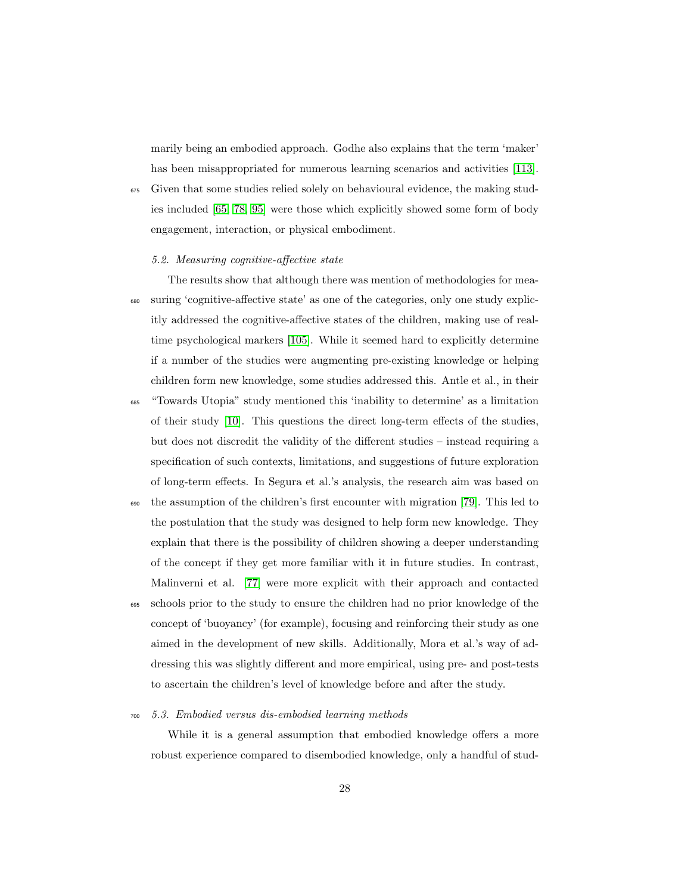marily being an embodied approach. Godhe also explains that the term 'maker' has been misappropriated for numerous learning scenarios and activities [\[113\]](#page-52-5).

<sup>675</sup> Given that some studies relied solely on behavioural evidence, the making studies included [\[65,](#page-46-1) [78,](#page-47-4) [95\]](#page-50-0) were those which explicitly showed some form of body engagement, interaction, or physical embodiment.

#### 5.2. Measuring cognitive-affective state

The results show that although there was mention of methodologies for mea-<sup>680</sup> suring 'cognitive-affective state' as one of the categories, only one study explicitly addressed the cognitive-affective states of the children, making use of realtime psychological markers [\[105\]](#page-51-3). While it seemed hard to explicitly determine if a number of the studies were augmenting pre-existing knowledge or helping children form new knowledge, some studies addressed this. Antle et al., in their

<sup>685</sup> "Towards Utopia" study mentioned this 'inability to determine' as a limitation of their study [\[10\]](#page-40-1). This questions the direct long-term effects of the studies, but does not discredit the validity of the different studies – instead requiring a specification of such contexts, limitations, and suggestions of future exploration of long-term effects. In Segura et al.'s analysis, the research aim was based on

- <sup>690</sup> the assumption of the children's first encounter with migration [\[79\]](#page-47-5). This led to the postulation that the study was designed to help form new knowledge. They explain that there is the possibility of children showing a deeper understanding of the concept if they get more familiar with it in future studies. In contrast, Malinverni et al. [\[77\]](#page-47-3) were more explicit with their approach and contacted
- <sup>695</sup> schools prior to the study to ensure the children had no prior knowledge of the concept of 'buoyancy' (for example), focusing and reinforcing their study as one aimed in the development of new skills. Additionally, Mora et al.'s way of addressing this was slightly different and more empirical, using pre- and post-tests to ascertain the children's level of knowledge before and after the study.

#### <sup>700</sup> 5.3. Embodied versus dis-embodied learning methods

While it is a general assumption that embodied knowledge offers a more robust experience compared to disembodied knowledge, only a handful of stud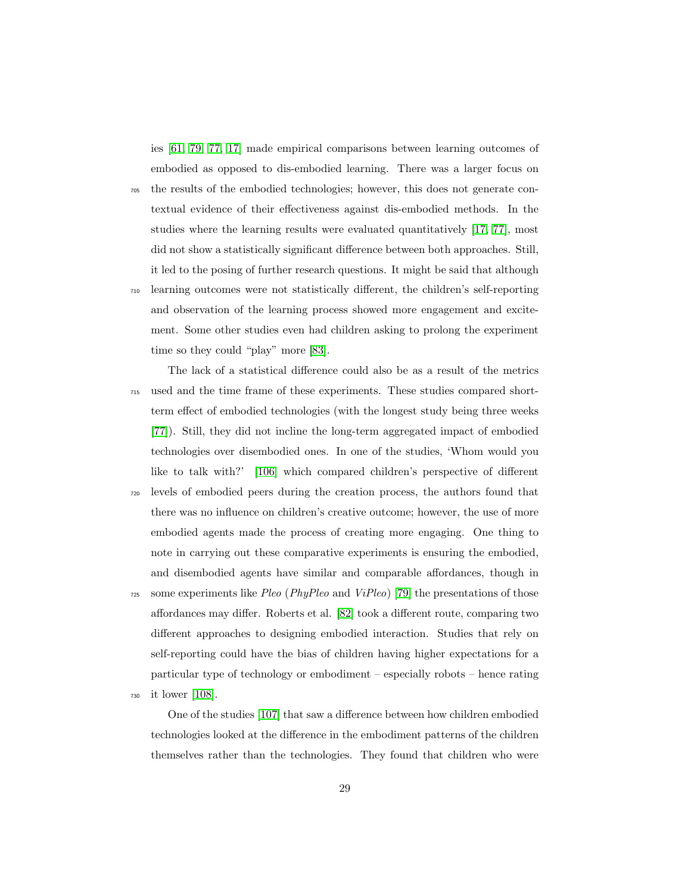ies [\[61,](#page-45-3) [79,](#page-47-5) [77,](#page-47-3) [17\]](#page-40-8) made empirical comparisons between learning outcomes of embodied as opposed to dis-embodied learning. There was a larger focus on

- <sup>705</sup> the results of the embodied technologies; however, this does not generate contextual evidence of their effectiveness against dis-embodied methods. In the studies where the learning results were evaluated quantitatively [\[17,](#page-40-8) [77\]](#page-47-3), most did not show a statistically significant difference between both approaches. Still, it led to the posing of further research questions. It might be said that although
- <sup>710</sup> learning outcomes were not statistically different, the children's self-reporting and observation of the learning process showed more engagement and excitement. Some other studies even had children asking to prolong the experiment time so they could "play" more [\[83\]](#page-48-2).

The lack of a statistical difference could also be as a result of the metrics <sup>715</sup> used and the time frame of these experiments. These studies compared shortterm effect of embodied technologies (with the longest study being three weeks [\[77\]](#page-47-3)). Still, they did not incline the long-term aggregated impact of embodied technologies over disembodied ones. In one of the studies, 'Whom would you like to talk with?' [\[106\]](#page-51-4) which compared children's perspective of different <sup>720</sup> levels of embodied peers during the creation process, the authors found that there was no influence on children's creative outcome; however, the use of more embodied agents made the process of creating more engaging. One thing to note in carrying out these comparative experiments is ensuring the embodied, and disembodied agents have similar and comparable affordances, though in

- $725$  some experiments like Pleo (PhyPleo and ViPleo) [\[79\]](#page-47-5) the presentations of those affordances may differ. Roberts et al. [\[82\]](#page-48-1) took a different route, comparing two different approaches to designing embodied interaction. Studies that rely on self-reporting could have the bias of children having higher expectations for a particular type of technology or embodiment – especially robots – hence rating
- <sup>730</sup> it lower [\[108\]](#page-52-0).

One of the studies [\[107\]](#page-51-5) that saw a difference between how children embodied technologies looked at the difference in the embodiment patterns of the children themselves rather than the technologies. They found that children who were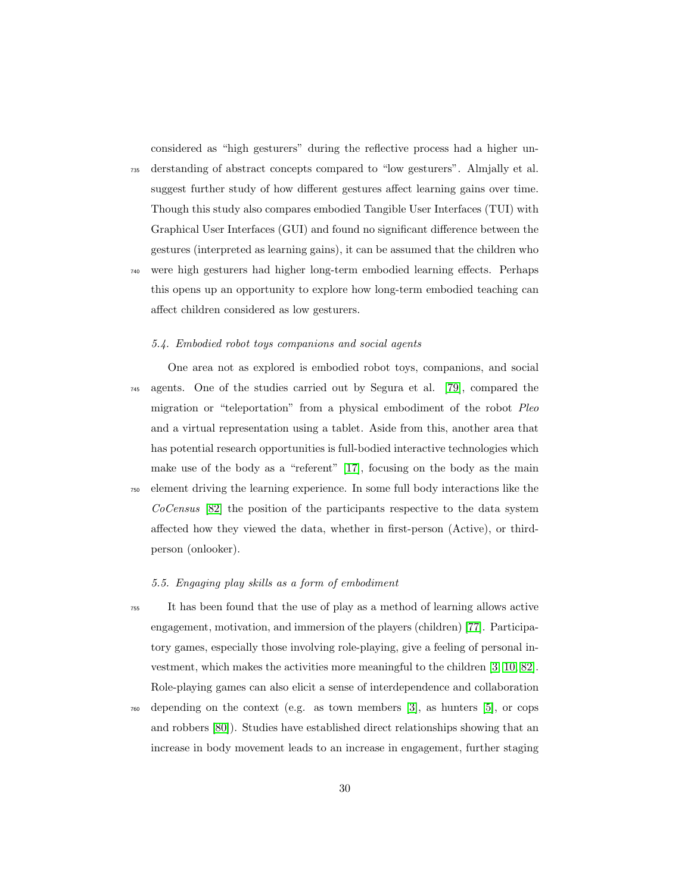considered as "high gesturers" during the reflective process had a higher un-

<sup>735</sup> derstanding of abstract concepts compared to "low gesturers". Almjally et al. suggest further study of how different gestures affect learning gains over time. Though this study also compares embodied Tangible User Interfaces (TUI) with Graphical User Interfaces (GUI) and found no significant difference between the gestures (interpreted as learning gains), it can be assumed that the children who

<sup>740</sup> were high gesturers had higher long-term embodied learning effects. Perhaps this opens up an opportunity to explore how long-term embodied teaching can affect children considered as low gesturers.

#### 5.4. Embodied robot toys companions and social agents

One area not as explored is embodied robot toys, companions, and social <sup>745</sup> agents. One of the studies carried out by Segura et al. [\[79\]](#page-47-5), compared the migration or "teleportation" from a physical embodiment of the robot Pleo and a virtual representation using a tablet. Aside from this, another area that has potential research opportunities is full-bodied interactive technologies which make use of the body as a "referent" [\[17\]](#page-40-8), focusing on the body as the main <sup>750</sup> element driving the learning experience. In some full body interactions like the CoCensus [\[82\]](#page-48-1) the position of the participants respective to the data system affected how they viewed the data, whether in first-person (Active), or third-

person (onlooker).

#### 5.5. Engaging play skills as a form of embodiment

- <sup>755</sup> It has been found that the use of play as a method of learning allows active engagement, motivation, and immersion of the players (children) [\[77\]](#page-47-3). Participatory games, especially those involving role-playing, give a feeling of personal investment, which makes the activities more meaningful to the children [\[3,](#page-39-1) [10,](#page-40-1) [82\]](#page-48-1). Role-playing games can also elicit a sense of interdependence and collaboration
- <sup>760</sup> depending on the context (e.g. as town members [\[3\]](#page-39-1), as hunters [\[5\]](#page-39-3), or cops and robbers [\[80\]](#page-47-6)). Studies have established direct relationships showing that an increase in body movement leads to an increase in engagement, further staging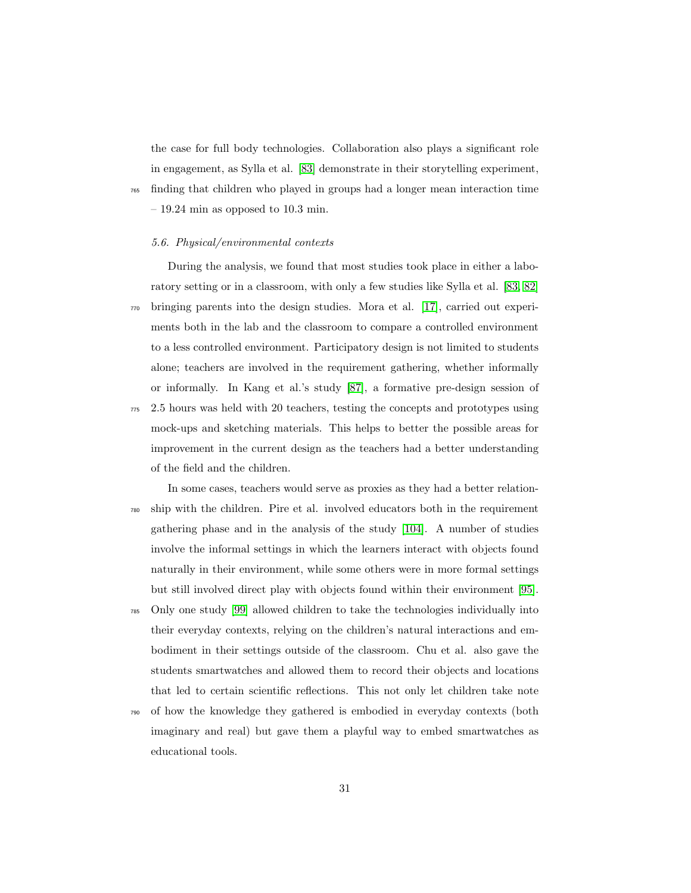the case for full body technologies. Collaboration also plays a significant role in engagement, as Sylla et al. [\[83\]](#page-48-2) demonstrate in their storytelling experiment, <sup>765</sup> finding that children who played in groups had a longer mean interaction time  $-19.24$  min as opposed to 10.3 min.

#### 5.6. Physical/environmental contexts

During the analysis, we found that most studies took place in either a laboratory setting or in a classroom, with only a few studies like Sylla et al. [\[83,](#page-48-2) [82\]](#page-48-1) <sup>770</sup> bringing parents into the design studies. Mora et al. [\[17\]](#page-40-8), carried out experiments both in the lab and the classroom to compare a controlled environment to a less controlled environment. Participatory design is not limited to students alone; teachers are involved in the requirement gathering, whether informally or informally. In Kang et al.'s study [\[87\]](#page-48-6), a formative pre-design session of <sup>775</sup> 2.5 hours was held with 20 teachers, testing the concepts and prototypes using mock-ups and sketching materials. This helps to better the possible areas for improvement in the current design as the teachers had a better understanding of the field and the children.

In some cases, teachers would serve as proxies as they had a better relation-<sup>780</sup> ship with the children. Pire et al. involved educators both in the requirement gathering phase and in the analysis of the study [\[104\]](#page-51-2). A number of studies involve the informal settings in which the learners interact with objects found naturally in their environment, while some others were in more formal settings but still involved direct play with objects found within their environment [\[95\]](#page-50-0).

- <sup>785</sup> Only one study [\[99\]](#page-50-4) allowed children to take the technologies individually into their everyday contexts, relying on the children's natural interactions and embodiment in their settings outside of the classroom. Chu et al. also gave the students smartwatches and allowed them to record their objects and locations that led to certain scientific reflections. This not only let children take note
- <sup>790</sup> of how the knowledge they gathered is embodied in everyday contexts (both imaginary and real) but gave them a playful way to embed smartwatches as educational tools.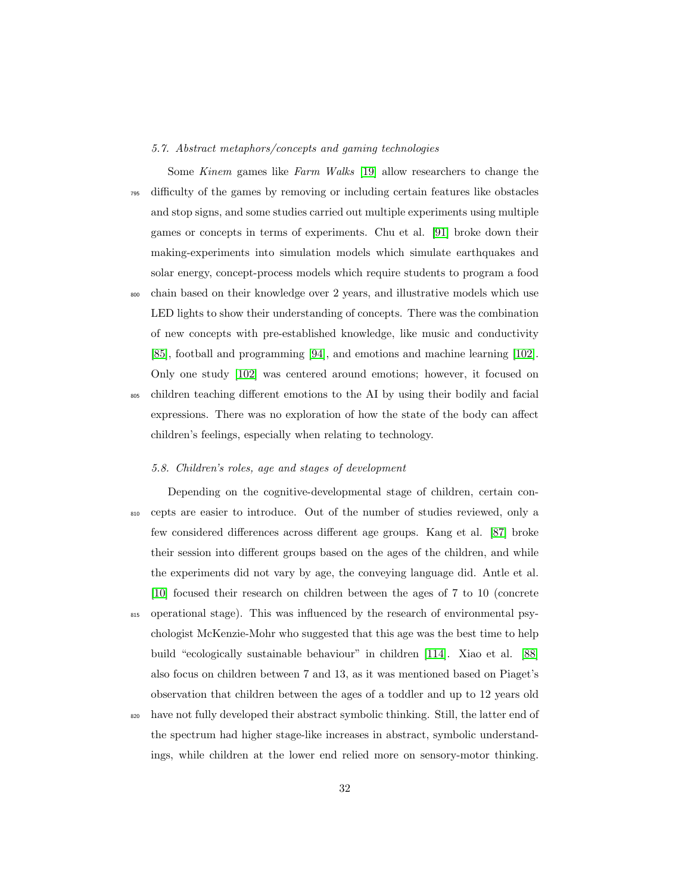#### 5.7. Abstract metaphors/concepts and gaming technologies

Some Kinem games like Farm Walks [\[19\]](#page-41-1) allow researchers to change the <sup>795</sup> difficulty of the games by removing or including certain features like obstacles and stop signs, and some studies carried out multiple experiments using multiple games or concepts in terms of experiments. Chu et al. [\[91\]](#page-49-3) broke down their making-experiments into simulation models which simulate earthquakes and solar energy, concept-process models which require students to program a food <sup>800</sup> chain based on their knowledge over 2 years, and illustrative models which use LED lights to show their understanding of concepts. There was the combination of new concepts with pre-established knowledge, like music and conductivity

Only one study [\[102\]](#page-51-0) was centered around emotions; however, it focused on <sup>805</sup> children teaching different emotions to the AI by using their bodily and facial expressions. There was no exploration of how the state of the body can affect children's feelings, especially when relating to technology.

[\[85\]](#page-48-4), football and programming [\[94\]](#page-49-6), and emotions and machine learning [\[102\]](#page-51-0).

#### 5.8. Children's roles, age and stages of development

Depending on the cognitive-developmental stage of children, certain con-<sup>810</sup> cepts are easier to introduce. Out of the number of studies reviewed, only a few considered differences across different age groups. Kang et al. [\[87\]](#page-48-6) broke their session into different groups based on the ages of the children, and while the experiments did not vary by age, the conveying language did. Antle et al. [\[10\]](#page-40-1) focused their research on children between the ages of 7 to 10 (concrete <sup>815</sup> operational stage). This was influenced by the research of environmental psychologist McKenzie-Mohr who suggested that this age was the best time to help build "ecologically sustainable behaviour" in children [\[114\]](#page-52-6). Xiao et al. [\[88\]](#page-49-0) also focus on children between 7 and 13, as it was mentioned based on Piaget's observation that children between the ages of a toddler and up to 12 years old

<sup>820</sup> have not fully developed their abstract symbolic thinking. Still, the latter end of the spectrum had higher stage-like increases in abstract, symbolic understandings, while children at the lower end relied more on sensory-motor thinking.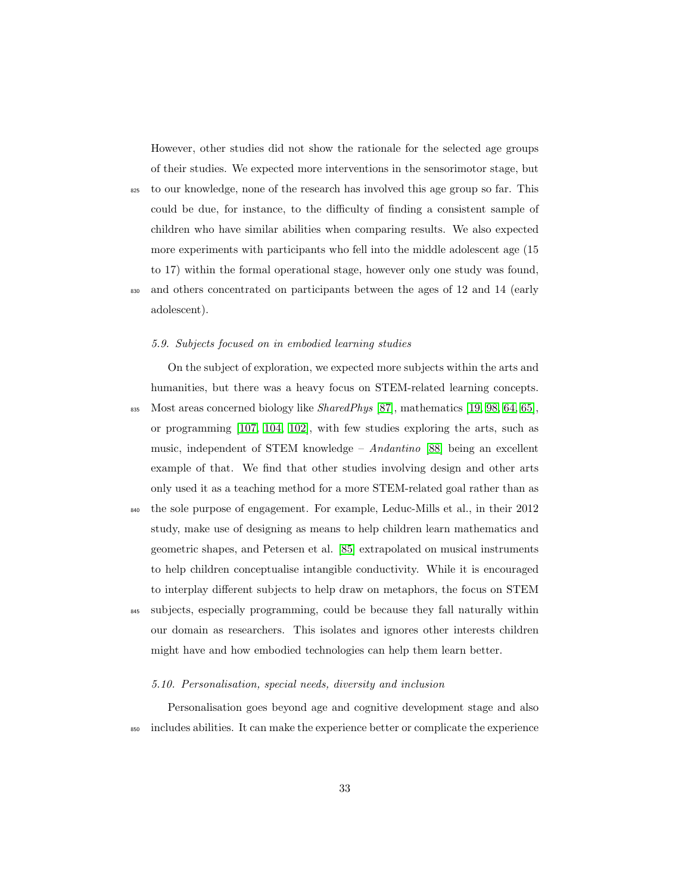However, other studies did not show the rationale for the selected age groups of their studies. We expected more interventions in the sensorimotor stage, but

- <sup>825</sup> to our knowledge, none of the research has involved this age group so far. This could be due, for instance, to the difficulty of finding a consistent sample of children who have similar abilities when comparing results. We also expected more experiments with participants who fell into the middle adolescent age (15 to 17) within the formal operational stage, however only one study was found,
- <sup>830</sup> and others concentrated on participants between the ages of 12 and 14 (early adolescent).

#### 5.9. Subjects focused on in embodied learning studies

On the subject of exploration, we expected more subjects within the arts and humanities, but there was a heavy focus on STEM-related learning concepts. 835 Most areas concerned biology like  $SharedPhys$  [\[87\]](#page-48-6), mathematics [\[19,](#page-41-1) [98,](#page-50-3) [64,](#page-46-0) [65\]](#page-46-1), or programming [\[107,](#page-51-5) [104,](#page-51-2) [102\]](#page-51-0), with few studies exploring the arts, such as music, independent of STEM knowledge – Andantino [\[88\]](#page-49-0) being an excellent example of that. We find that other studies involving design and other arts only used it as a teaching method for a more STEM-related goal rather than as <sup>840</sup> the sole purpose of engagement. For example, Leduc-Mills et al., in their 2012 study, make use of designing as means to help children learn mathematics and geometric shapes, and Petersen et al. [\[85\]](#page-48-4) extrapolated on musical instruments to help children conceptualise intangible conductivity. While it is encouraged to interplay different subjects to help draw on metaphors, the focus on STEM <sup>845</sup> subjects, especially programming, could be because they fall naturally within

our domain as researchers. This isolates and ignores other interests children might have and how embodied technologies can help them learn better.

#### 5.10. Personalisation, special needs, diversity and inclusion

Personalisation goes beyond age and cognitive development stage and also <sup>850</sup> includes abilities. It can make the experience better or complicate the experience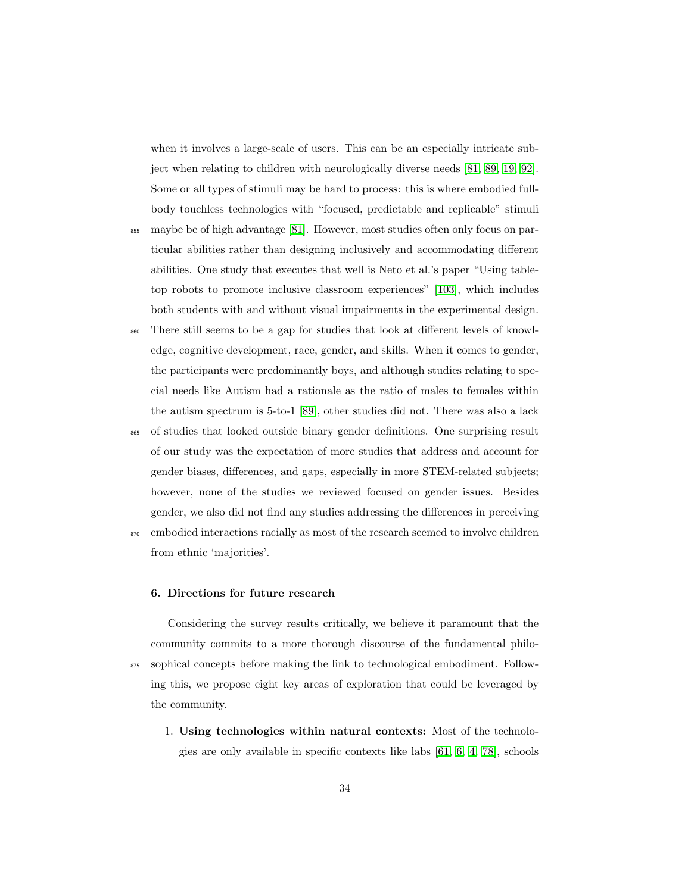when it involves a large-scale of users. This can be an especially intricate subject when relating to children with neurologically diverse needs [\[81,](#page-48-0) [89,](#page-49-1) [19,](#page-41-1) [92\]](#page-49-4). Some or all types of stimuli may be hard to process: this is where embodied fullbody touchless technologies with "focused, predictable and replicable" stimuli

- <sup>855</sup> maybe be of high advantage [\[81\]](#page-48-0). However, most studies often only focus on particular abilities rather than designing inclusively and accommodating different abilities. One study that executes that well is Neto et al.'s paper "Using tabletop robots to promote inclusive classroom experiences" [\[103\]](#page-51-1), which includes both students with and without visual impairments in the experimental design.
- <sup>860</sup> There still seems to be a gap for studies that look at different levels of knowledge, cognitive development, race, gender, and skills. When it comes to gender, the participants were predominantly boys, and although studies relating to special needs like Autism had a rationale as the ratio of males to females within the autism spectrum is 5-to-1 [\[89\]](#page-49-1), other studies did not. There was also a lack

<sup>865</sup> of studies that looked outside binary gender definitions. One surprising result of our study was the expectation of more studies that address and account for gender biases, differences, and gaps, especially in more STEM-related subjects; however, none of the studies we reviewed focused on gender issues. Besides gender, we also did not find any studies addressing the differences in perceiving

<sup>870</sup> embodied interactions racially as most of the research seemed to involve children from ethnic 'majorities'.

#### 6. Directions for future research

Considering the survey results critically, we believe it paramount that the community commits to a more thorough discourse of the fundamental philo-875 sophical concepts before making the link to technological embodiment. Following this, we propose eight key areas of exploration that could be leveraged by the community.

1. Using technologies within natural contexts: Most of the technologies are only available in specific contexts like labs [\[61,](#page-45-3) [6,](#page-39-4) [4,](#page-39-2) [78\]](#page-47-4), schools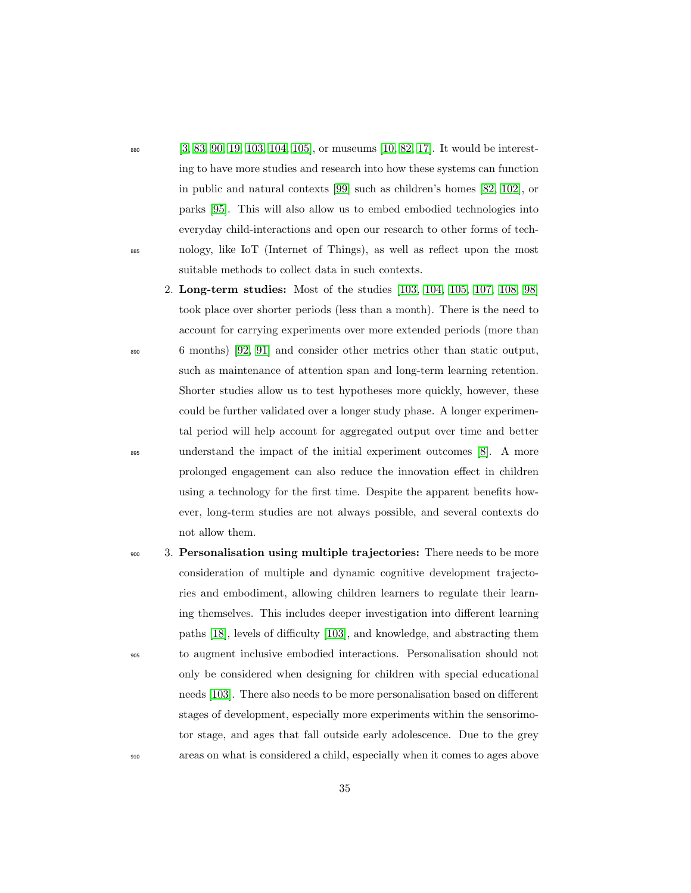- 880 [\[3,](#page-39-1) [83,](#page-48-2) [90,](#page-49-2) [19,](#page-41-1) [103,](#page-51-1) [104,](#page-51-2) [105\]](#page-51-3), or museums [\[10,](#page-40-1) [82,](#page-48-1) [17\]](#page-40-8). It would be interesting to have more studies and research into how these systems can function in public and natural contexts [\[99\]](#page-50-4) such as children's homes [\[82,](#page-48-1) [102\]](#page-51-0), or parks [\[95\]](#page-50-0). This will also allow us to embed embodied technologies into everyday child-interactions and open our research to other forms of tech-<sup>885</sup> nology, like IoT (Internet of Things), as well as reflect upon the most suitable methods to collect data in such contexts.
- 2. Long-term studies: Most of the studies [\[103,](#page-51-1) [104,](#page-51-2) [105,](#page-51-3) [107,](#page-51-5) [108,](#page-52-0) [98\]](#page-50-3) took place over shorter periods (less than a month). There is the need to account for carrying experiments over more extended periods (more than <sup>890</sup> 6 months) [\[92,](#page-49-4) [91\]](#page-49-3) and consider other metrics other than static output, such as maintenance of attention span and long-term learning retention. Shorter studies allow us to test hypotheses more quickly, however, these could be further validated over a longer study phase. A longer experimental period will help account for aggregated output over time and better <sup>895</sup> understand the impact of the initial experiment outcomes [\[8\]](#page-39-6). A more prolonged engagement can also reduce the innovation effect in children using a technology for the first time. Despite the apparent benefits however, long-term studies are not always possible, and several contexts do not allow them.
- 900 3. Personalisation using multiple trajectories: There needs to be more consideration of multiple and dynamic cognitive development trajectories and embodiment, allowing children learners to regulate their learning themselves. This includes deeper investigation into different learning paths [\[18\]](#page-41-0), levels of difficulty [\[103\]](#page-51-1), and knowledge, and abstracting them <sup>905</sup> to augment inclusive embodied interactions. Personalisation should not only be considered when designing for children with special educational needs [\[103\]](#page-51-1). There also needs to be more personalisation based on different stages of development, especially more experiments within the sensorimotor stage, and ages that fall outside early adolescence. Due to the grey <sup>910</sup> areas on what is considered a child, especially when it comes to ages above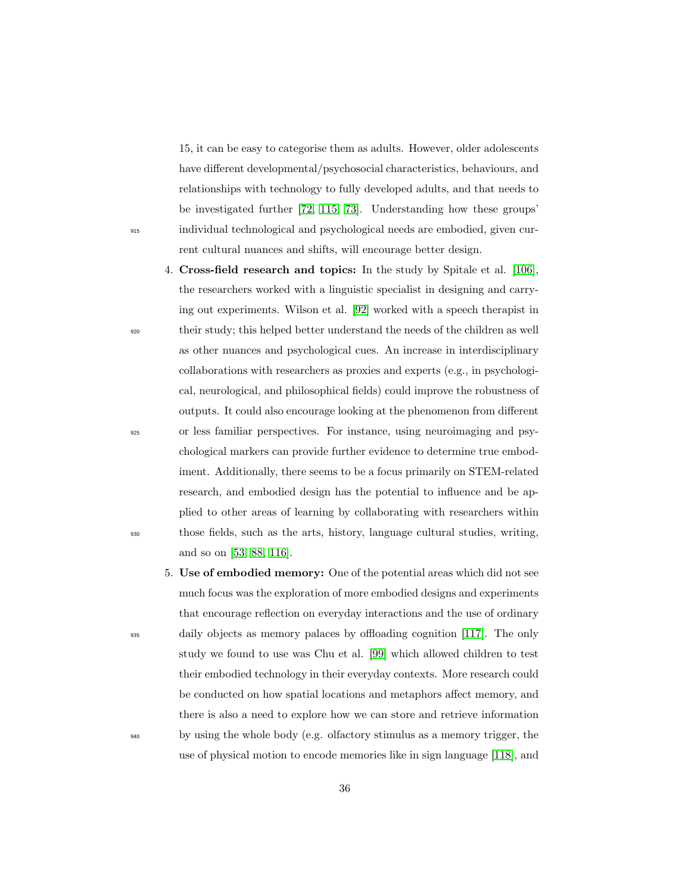15, it can be easy to categorise them as adults. However, older adolescents have different developmental/psychosocial characteristics, behaviours, and relationships with technology to fully developed adults, and that needs to be investigated further [\[72,](#page-46-8) [115,](#page-52-7) [73\]](#page-46-9). Understanding how these groups' <sup>915</sup> individual technological and psychological needs are embodied, given current cultural nuances and shifts, will encourage better design.

- 4. Cross-field research and topics: In the study by Spitale et al. [\[106\]](#page-51-4), the researchers worked with a linguistic specialist in designing and carrying out experiments. Wilson et al. [\[92\]](#page-49-4) worked with a speech therapist in <sup>920</sup> their study; this helped better understand the needs of the children as well as other nuances and psychological cues. An increase in interdisciplinary collaborations with researchers as proxies and experts (e.g., in psychological, neurological, and philosophical fields) could improve the robustness of outputs. It could also encourage looking at the phenomenon from different <sup>925</sup> or less familiar perspectives. For instance, using neuroimaging and psychological markers can provide further evidence to determine true embodiment. Additionally, there seems to be a focus primarily on STEM-related research, and embodied design has the potential to influence and be applied to other areas of learning by collaborating with researchers within <sup>930</sup> those fields, such as the arts, history, language cultural studies, writing, and so on [\[53,](#page-44-4) [88,](#page-49-0) [116\]](#page-52-8).
- 5. Use of embodied memory: One of the potential areas which did not see much focus was the exploration of more embodied designs and experiments that encourage reflection on everyday interactions and the use of ordinary <sup>935</sup> daily objects as memory palaces by offloading cognition [\[117\]](#page-53-0). The only study we found to use was Chu et al. [\[99\]](#page-50-4) which allowed children to test their embodied technology in their everyday contexts. More research could be conducted on how spatial locations and metaphors affect memory, and there is also a need to explore how we can store and retrieve information <sup>940</sup> by using the whole body (e.g. olfactory stimulus as a memory trigger, the use of physical motion to encode memories like in sign language [\[118\]](#page-53-1), and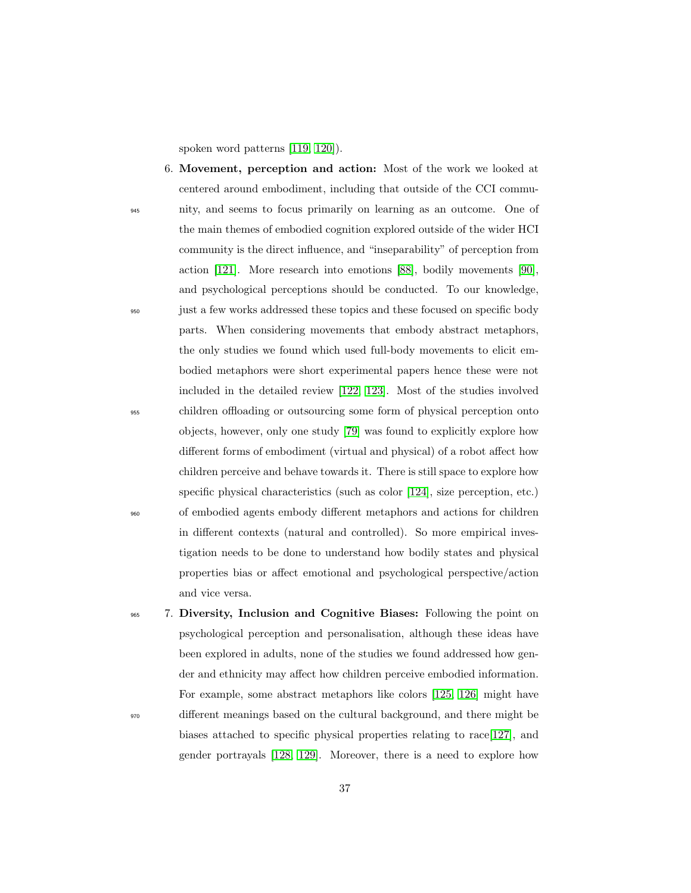spoken word patterns [\[119,](#page-53-0) [120\]](#page-53-1)).

- 6. Movement, perception and action: Most of the work we looked at centered around embodiment, including that outside of the CCI commu-<sup>945</sup> nity, and seems to focus primarily on learning as an outcome. One of the main themes of embodied cognition explored outside of the wider HCI community is the direct influence, and "inseparability" of perception from action [\[121\]](#page-53-2). More research into emotions [\[88\]](#page-49-0), bodily movements [\[90\]](#page-49-1), and psychological perceptions should be conducted. To our knowledge, <sup>950</sup> just a few works addressed these topics and these focused on specific body parts. When considering movements that embody abstract metaphors, the only studies we found which used full-body movements to elicit embodied metaphors were short experimental papers hence these were not included in the detailed review [\[122,](#page-53-3) [123\]](#page-53-4). Most of the studies involved <sup>955</sup> children offloading or outsourcing some form of physical perception onto objects, however, only one study [\[79\]](#page-47-0) was found to explicitly explore how different forms of embodiment (virtual and physical) of a robot affect how children perceive and behave towards it. There is still space to explore how specific physical characteristics (such as color [\[124\]](#page-53-5), size perception, etc.) <sup>960</sup> of embodied agents embody different metaphors and actions for children in different contexts (natural and controlled). So more empirical investigation needs to be done to understand how bodily states and physical properties bias or affect emotional and psychological perspective/action and vice versa.
- <sup>965</sup> 7. Diversity, Inclusion and Cognitive Biases: Following the point on psychological perception and personalisation, although these ideas have been explored in adults, none of the studies we found addressed how gender and ethnicity may affect how children perceive embodied information. For example, some abstract metaphors like colors [\[125,](#page-53-6) [126\]](#page-53-7) might have <sup>970</sup> different meanings based on the cultural background, and there might be biases attached to specific physical properties relating to race[\[127\]](#page-54-0), and gender portrayals [\[128,](#page-54-1) [129\]](#page-54-2). Moreover, there is a need to explore how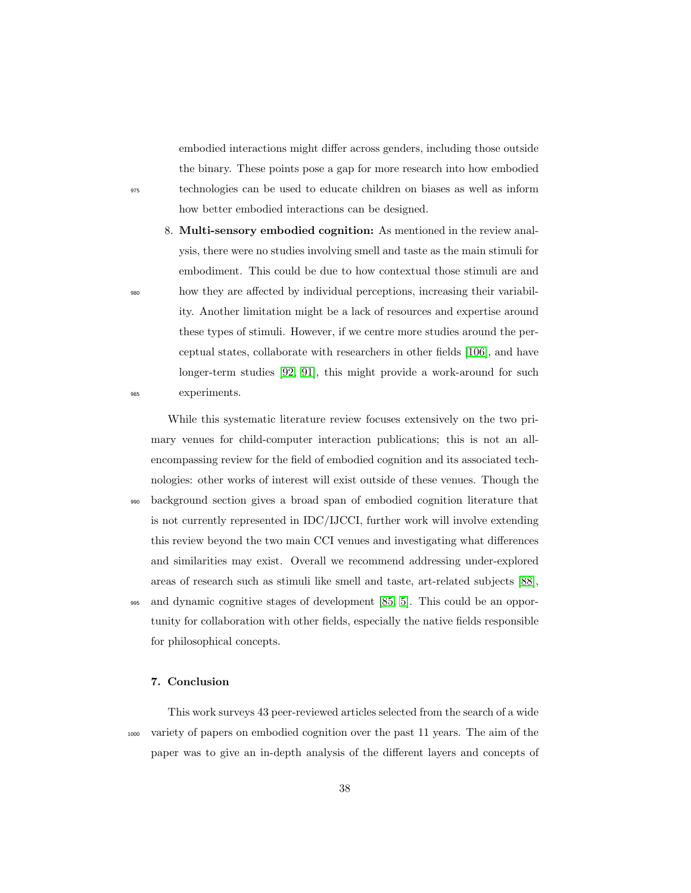embodied interactions might differ across genders, including those outside the binary. These points pose a gap for more research into how embodied <sup>975</sup> technologies can be used to educate children on biases as well as inform how better embodied interactions can be designed.

8. Multi-sensory embodied cognition: As mentioned in the review analysis, there were no studies involving smell and taste as the main stimuli for embodiment. This could be due to how contextual those stimuli are and <sup>980</sup> how they are affected by individual perceptions, increasing their variability. Another limitation might be a lack of resources and expertise around these types of stimuli. However, if we centre more studies around the perceptual states, collaborate with researchers in other fields [\[106\]](#page-51-0), and have longer-term studies [\[92,](#page-49-2) [91\]](#page-49-3), this might provide a work-around for such <sup>985</sup> experiments.

While this systematic literature review focuses extensively on the two primary venues for child-computer interaction publications; this is not an allencompassing review for the field of embodied cognition and its associated technologies: other works of interest will exist outside of these venues. Though the <sup>990</sup> background section gives a broad span of embodied cognition literature that is not currently represented in IDC/IJCCI, further work will involve extending this review beyond the two main CCI venues and investigating what differences and similarities may exist. Overall we recommend addressing under-explored areas of research such as stimuli like smell and taste, art-related subjects [\[88\]](#page-49-0), <sup>995</sup> and dynamic cognitive stages of development [\[85,](#page-48-0) [5\]](#page-39-0). This could be an oppor-

tunity for collaboration with other fields, especially the native fields responsible for philosophical concepts.

## 7. Conclusion

This work surveys 43 peer-reviewed articles selected from the search of a wide <sup>1000</sup> variety of papers on embodied cognition over the past 11 years. The aim of the paper was to give an in-depth analysis of the different layers and concepts of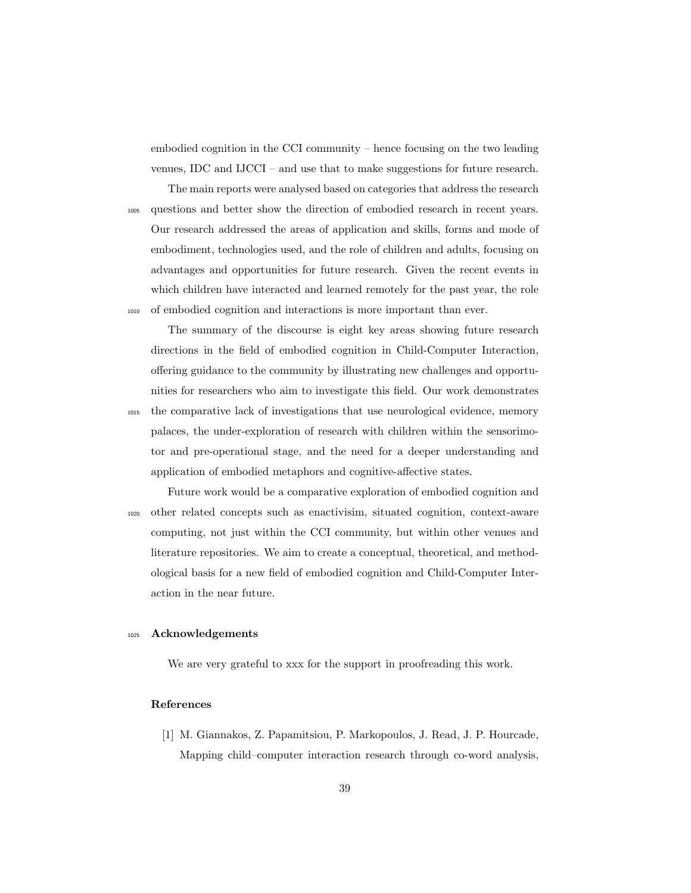embodied cognition in the CCI community – hence focusing on the two leading venues, IDC and IJCCI – and use that to make suggestions for future research.

The main reports were analysed based on categories that address the research <sup>1005</sup> questions and better show the direction of embodied research in recent years. Our research addressed the areas of application and skills, forms and mode of embodiment, technologies used, and the role of children and adults, focusing on advantages and opportunities for future research. Given the recent events in which children have interacted and learned remotely for the past year, the role <sup>1010</sup> of embodied cognition and interactions is more important than ever.

The summary of the discourse is eight key areas showing future research directions in the field of embodied cognition in Child-Computer Interaction, offering guidance to the community by illustrating new challenges and opportunities for researchers who aim to investigate this field. Our work demonstrates <sup>1015</sup> the comparative lack of investigations that use neurological evidence, memory palaces, the under-exploration of research with children within the sensorimotor and pre-operational stage, and the need for a deeper understanding and application of embodied metaphors and cognitive-affective states.

Future work would be a comparative exploration of embodied cognition and <sup>1020</sup> other related concepts such as enactivisim, situated cognition, context-aware computing, not just within the CCI community, but within other venues and literature repositories. We aim to create a conceptual, theoretical, and methodological basis for a new field of embodied cognition and Child-Computer Interaction in the near future.

## <sup>1025</sup> Acknowledgements

We are very grateful to xxx for the support in proofreading this work.

## References

[1] M. Giannakos, Z. Papamitsiou, P. Markopoulos, J. Read, J. P. Hourcade, Mapping child–computer interaction research through co-word analysis,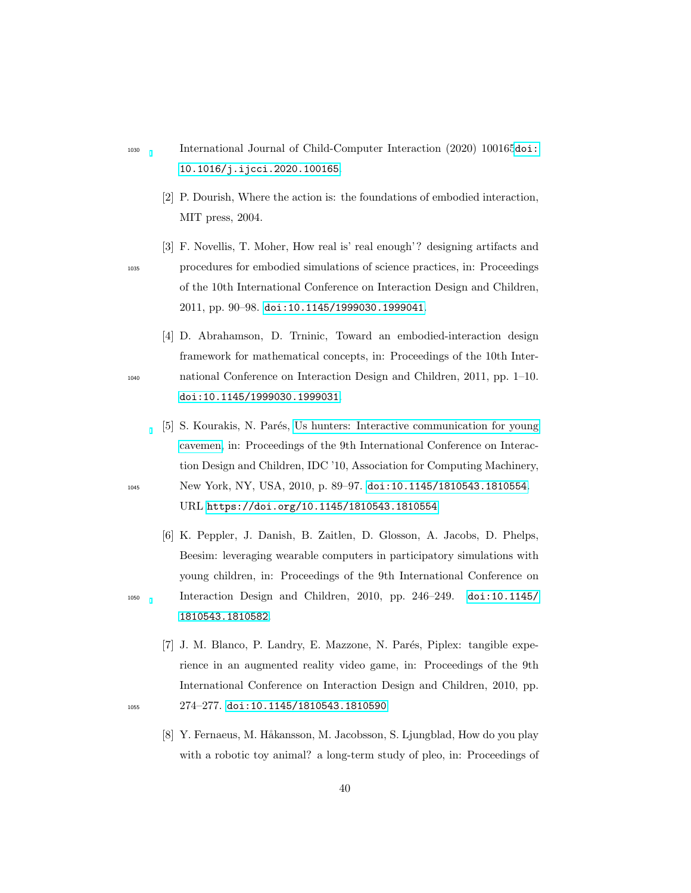- <sup>1030</sup> International Journal of Child-Computer Interaction (2020) 100165[doi:](http://dx.doi.org/10.1016/j.ijcci.2020.100165) [10.1016/j.ijcci.2020.100165](http://dx.doi.org/10.1016/j.ijcci.2020.100165).
	- [2] P. Dourish, Where the action is: the foundations of embodied interaction, MIT press, 2004.
- <span id="page-39-2"></span>[3] F. Novellis, T. Moher, How real is' real enough'? designing artifacts and <sup>1035</sup> procedures for embodied simulations of science practices, in: Proceedings of the 10th International Conference on Interaction Design and Children, 2011, pp. 90–98. [doi:10.1145/1999030.1999041](http://dx.doi.org/10.1145/1999030.1999041).
- <span id="page-39-3"></span>[4] D. Abrahamson, D. Trninic, Toward an embodied-interaction design framework for mathematical concepts, in: Proceedings of the 10th Inter-<sup>1040</sup> national Conference on Interaction Design and Children, 2011, pp. 1–10. [doi:10.1145/1999030.1999031](http://dx.doi.org/10.1145/1999030.1999031).
- <span id="page-39-0"></span>[5] S. Kourakis, N. Parés, [Us hunters: Interactive communication for young](https://doi.org/10.1145/1810543.1810554) [cavemen,](https://doi.org/10.1145/1810543.1810554) in: Proceedings of the 9th International Conference on Interaction Design and Children, IDC '10, Association for Computing Machinery, <sup>1045</sup> New York, NY, USA, 2010, p. 89–97. [doi:10.1145/1810543.1810554](http://dx.doi.org/10.1145/1810543.1810554). URL <https://doi.org/10.1145/1810543.1810554>
- <span id="page-39-1"></span>[6] K. Peppler, J. Danish, B. Zaitlen, D. Glosson, A. Jacobs, D. Phelps, Beesim: leveraging wearable computers in participatory simulations with young children, in: Proceedings of the 9th International Conference on <sup>1050</sup> Interaction Design and Children, 2010, pp. 246–249. [doi:10.1145/](http://dx.doi.org/10.1145/1810543.1810582) [1810543.1810582](http://dx.doi.org/10.1145/1810543.1810582).
- [7] J. M. Blanco, P. Landry, E. Mazzone, N. Parés, Piplex: tangible experience in an augmented reality video game, in: Proceedings of the 9th International Conference on Interaction Design and Children, 2010, pp. 1055 274–277. [doi:10.1145/1810543.1810590](http://dx.doi.org/10.1145/1810543.1810590).
- 
- [8] Y. Fernaeus, M. Håkansson, M. Jacobsson, S. Ljungblad, How do you play with a robotic toy animal? a long-term study of pleo, in: Proceedings of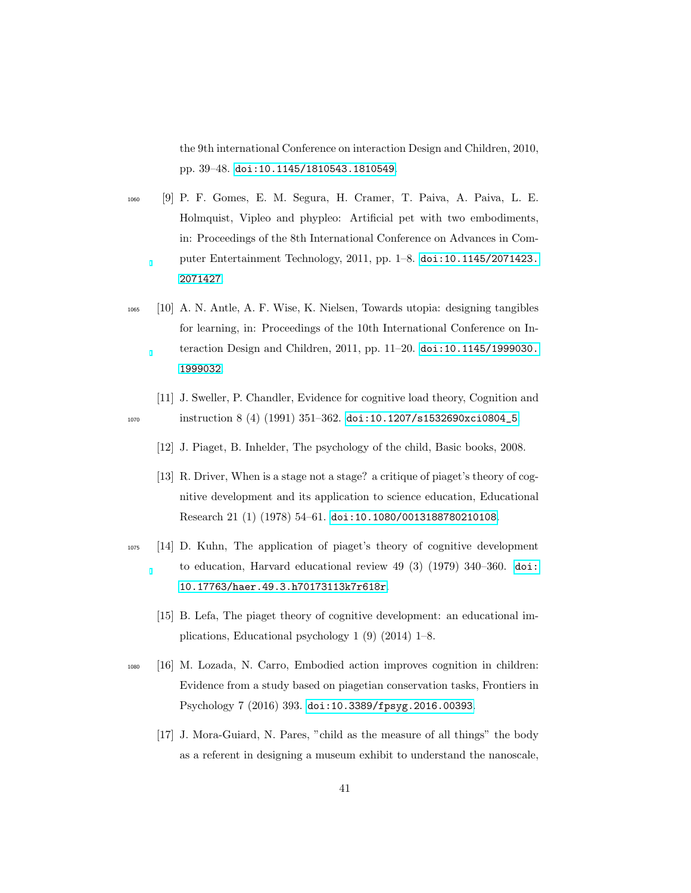the 9th international Conference on interaction Design and Children, 2010, pp. 39–48. [doi:10.1145/1810543.1810549](http://dx.doi.org/10.1145/1810543.1810549).

- <sup>1060</sup> [9] P. F. Gomes, E. M. Segura, H. Cramer, T. Paiva, A. Paiva, L. E. Holmquist, Vipleo and phypleo: Artificial pet with two embodiments, in: Proceedings of the 8th International Conference on Advances in Computer Entertainment Technology, 2011, pp. 1–8. [doi:10.1145/2071423.](http://dx.doi.org/10.1145/2071423.2071427) [2071427](http://dx.doi.org/10.1145/2071423.2071427).
- <span id="page-40-0"></span><sup>1065</sup> [10] A. N. Antle, A. F. Wise, K. Nielsen, Towards utopia: designing tangibles for learning, in: Proceedings of the 10th International Conference on Interaction Design and Children, 2011, pp. 11–20. [doi:10.1145/1999030.](http://dx.doi.org/10.1145/1999030.1999032) [1999032](http://dx.doi.org/10.1145/1999030.1999032).
- [11] J. Sweller, P. Chandler, Evidence for cognitive load theory, Cognition and 1070 instruction 8 (4) (1991) 351–362. [doi:10.1207/s1532690xci0804\\_5](http://dx.doi.org/10.1207/s1532690xci0804_5).
	- [12] J. Piaget, B. Inhelder, The psychology of the child, Basic books, 2008.
	- [13] R. Driver, When is a stage not a stage? a critique of piaget's theory of cognitive development and its application to science education, Educational Research 21 (1) (1978) 54–61. [doi:10.1080/0013188780210108](http://dx.doi.org/10.1080/0013188780210108).
- <sup>1075</sup> [14] D. Kuhn, The application of piaget's theory of cognitive development to education, Harvard educational review 49 (3) (1979) 340–360. [doi:](http://dx.doi.org/10.17763/haer.49.3.h70173113k7r618r) [10.17763/haer.49.3.h70173113k7r618r](http://dx.doi.org/10.17763/haer.49.3.h70173113k7r618r).
	- [15] B. Lefa, The piaget theory of cognitive development: an educational implications, Educational psychology 1 (9) (2014) 1–8.
- <span id="page-40-1"></span><sup>1080</sup> [16] M. Lozada, N. Carro, Embodied action improves cognition in children: Evidence from a study based on piagetian conservation tasks, Frontiers in Psychology 7 (2016) 393. [doi:10.3389/fpsyg.2016.00393](http://dx.doi.org/10.3389/fpsyg.2016.00393).
	- [17] J. Mora-Guiard, N. Pares, "child as the measure of all things" the body as a referent in designing a museum exhibit to understand the nanoscale,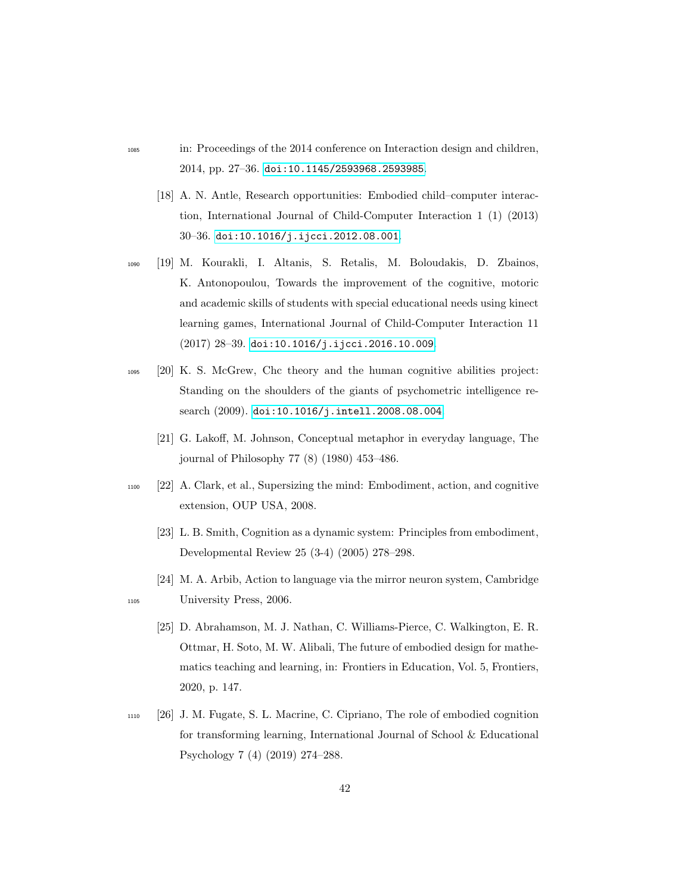- <sup>1085</sup> in: Proceedings of the 2014 conference on Interaction design and children, 2014, pp. 27–36. [doi:10.1145/2593968.2593985](http://dx.doi.org/10.1145/2593968.2593985).
	- [18] A. N. Antle, Research opportunities: Embodied child–computer interaction, International Journal of Child-Computer Interaction 1 (1) (2013) 30–36. [doi:10.1016/j.ijcci.2012.08.001](http://dx.doi.org/10.1016/j.ijcci.2012.08.001).
- <span id="page-41-0"></span><sup>1090</sup> [19] M. Kourakli, I. Altanis, S. Retalis, M. Boloudakis, D. Zbainos, K. Antonopoulou, Towards the improvement of the cognitive, motoric and academic skills of students with special educational needs using kinect learning games, International Journal of Child-Computer Interaction 11 (2017) 28–39. [doi:10.1016/j.ijcci.2016.10.009](http://dx.doi.org/10.1016/j.ijcci.2016.10.009).
- <sup>1095</sup> [20] K. S. McGrew, Chc theory and the human cognitive abilities project: Standing on the shoulders of the giants of psychometric intelligence research (2009). [doi:10.1016/j.intell.2008.08.004](http://dx.doi.org/10.1016/j.intell.2008.08.004).
	- [21] G. Lakoff, M. Johnson, Conceptual metaphor in everyday language, The journal of Philosophy 77 (8) (1980) 453–486.
- <sup>1100</sup> [22] A. Clark, et al., Supersizing the mind: Embodiment, action, and cognitive extension, OUP USA, 2008.
	- [23] L. B. Smith, Cognition as a dynamic system: Principles from embodiment, Developmental Review 25 (3-4) (2005) 278–298.
- [24] M. A. Arbib, Action to language via the mirror neuron system, Cambridge <sup>1105</sup> University Press, 2006.
	- [25] D. Abrahamson, M. J. Nathan, C. Williams-Pierce, C. Walkington, E. R. Ottmar, H. Soto, M. W. Alibali, The future of embodied design for mathematics teaching and learning, in: Frontiers in Education, Vol. 5, Frontiers, 2020, p. 147.
- <sup>1110</sup> [26] J. M. Fugate, S. L. Macrine, C. Cipriano, The role of embodied cognition for transforming learning, International Journal of School & Educational Psychology 7 (4) (2019) 274–288.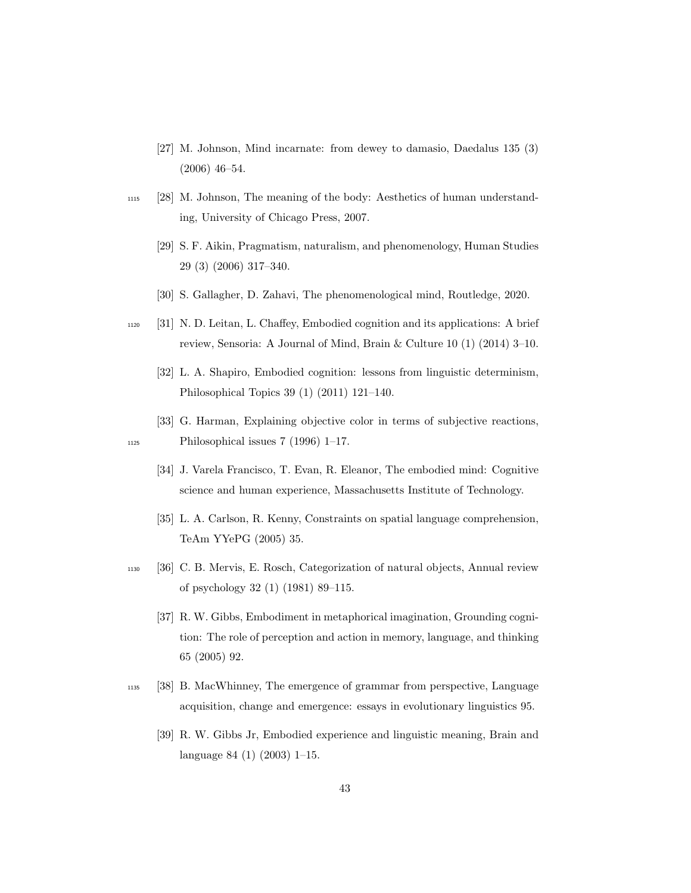- [27] M. Johnson, Mind incarnate: from dewey to damasio, Daedalus 135 (3) (2006) 46–54.
- <sup>1115</sup> [28] M. Johnson, The meaning of the body: Aesthetics of human understanding, University of Chicago Press, 2007.
	- [29] S. F. Aikin, Pragmatism, naturalism, and phenomenology, Human Studies 29 (3) (2006) 317–340.
	- [30] S. Gallagher, D. Zahavi, The phenomenological mind, Routledge, 2020.
- <sup>1120</sup> [31] N. D. Leitan, L. Chaffey, Embodied cognition and its applications: A brief review, Sensoria: A Journal of Mind, Brain & Culture 10 (1) (2014) 3–10.
	- [32] L. A. Shapiro, Embodied cognition: lessons from linguistic determinism, Philosophical Topics 39 (1) (2011) 121–140.
- [33] G. Harman, Explaining objective color in terms of subjective reactions,  $_{1125}$  Philosophical issues 7 (1996) 1–17.
	- [34] J. Varela Francisco, T. Evan, R. Eleanor, The embodied mind: Cognitive science and human experience, Massachusetts Institute of Technology.
	- [35] L. A. Carlson, R. Kenny, Constraints on spatial language comprehension, TeAm YYePG (2005) 35.
- <sup>1130</sup> [36] C. B. Mervis, E. Rosch, Categorization of natural objects, Annual review of psychology 32 (1) (1981) 89–115.
	- [37] R. W. Gibbs, Embodiment in metaphorical imagination, Grounding cognition: The role of perception and action in memory, language, and thinking 65 (2005) 92.
- <sup>1135</sup> [38] B. MacWhinney, The emergence of grammar from perspective, Language acquisition, change and emergence: essays in evolutionary linguistics 95.
	- [39] R. W. Gibbs Jr, Embodied experience and linguistic meaning, Brain and language 84 (1) (2003) 1–15.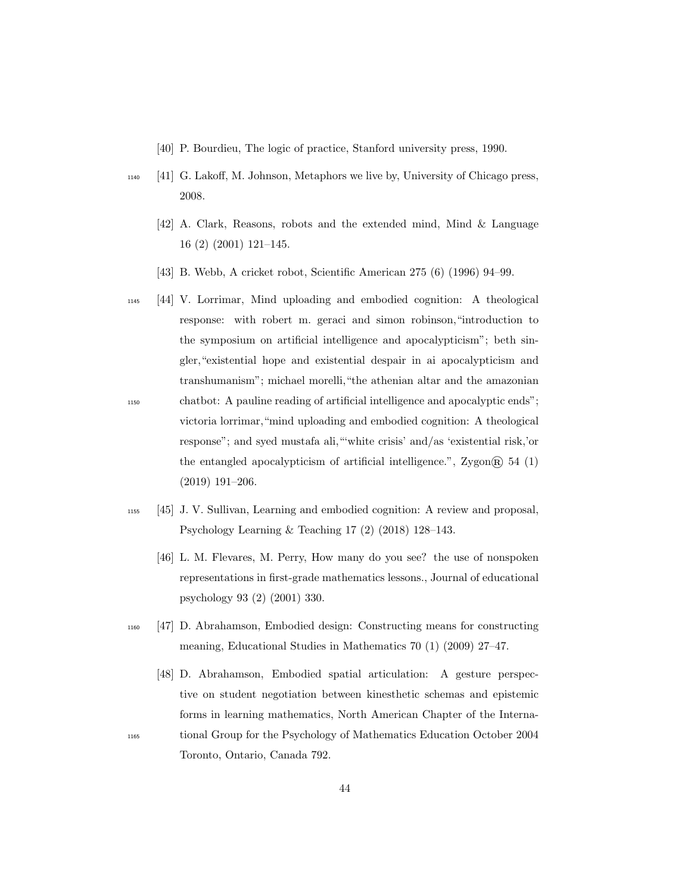- [40] P. Bourdieu, The logic of practice, Stanford university press, 1990.
- <sup>1140</sup> [41] G. Lakoff, M. Johnson, Metaphors we live by, University of Chicago press, 2008.
	- [42] A. Clark, Reasons, robots and the extended mind, Mind & Language 16 (2) (2001) 121–145.
	- [43] B. Webb, A cricket robot, Scientific American 275 (6) (1996) 94–99.
- <sup>1145</sup> [44] V. Lorrimar, Mind uploading and embodied cognition: A theological response: with robert m. geraci and simon robinson,"introduction to the symposium on artificial intelligence and apocalypticism"; beth singler,"existential hope and existential despair in ai apocalypticism and transhumanism"; michael morelli,"the athenian altar and the amazonian <sup>1150</sup> chatbot: A pauline reading of artificial intelligence and apocalyptic ends"; victoria lorrimar,"mind uploading and embodied cognition: A theological response"; and syed mustafa ali,"'white crisis' and/as 'existential risk,'or the entangled apocalypticism of artificial intelligence.",  $\text{Zygon}(\widehat{R})$  54 (1) (2019) 191–206.
- <sup>1155</sup> [45] J. V. Sullivan, Learning and embodied cognition: A review and proposal, Psychology Learning & Teaching 17 (2) (2018) 128–143.
	- [46] L. M. Flevares, M. Perry, How many do you see? the use of nonspoken representations in first-grade mathematics lessons., Journal of educational psychology 93 (2) (2001) 330.
- <sup>1160</sup> [47] D. Abrahamson, Embodied design: Constructing means for constructing meaning, Educational Studies in Mathematics 70 (1) (2009) 27–47.
- [48] D. Abrahamson, Embodied spatial articulation: A gesture perspective on student negotiation between kinesthetic schemas and epistemic forms in learning mathematics, North American Chapter of the Interna-<sup>1165</sup> tional Group for the Psychology of Mathematics Education October 2004 Toronto, Ontario, Canada 792.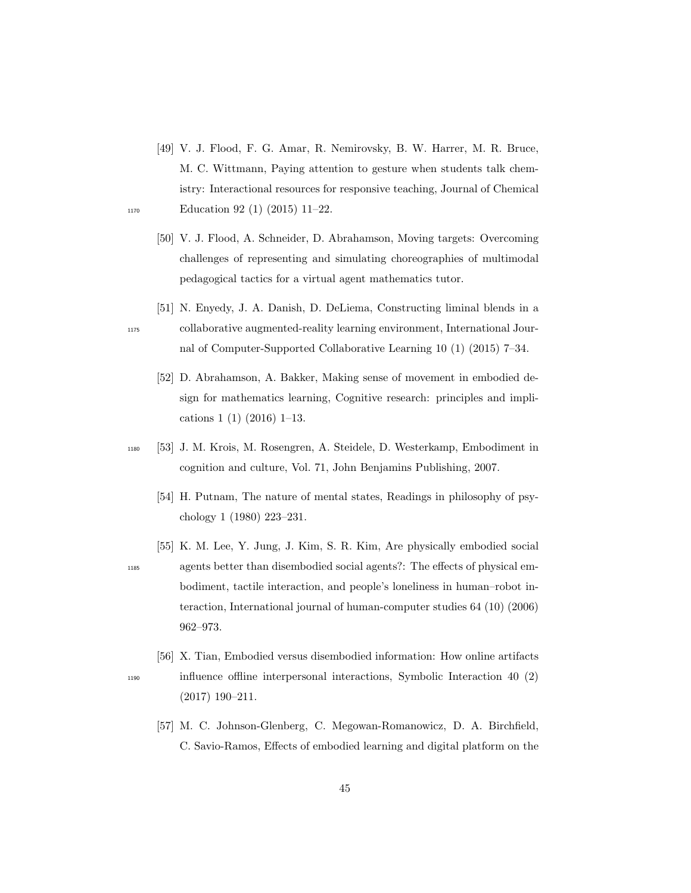- [49] V. J. Flood, F. G. Amar, R. Nemirovsky, B. W. Harrer, M. R. Bruce, M. C. Wittmann, Paying attention to gesture when students talk chemistry: Interactional resources for responsive teaching, Journal of Chemical 1170 Education 92 (1) (2015) 11–22.
	- [50] V. J. Flood, A. Schneider, D. Abrahamson, Moving targets: Overcoming challenges of representing and simulating choreographies of multimodal pedagogical tactics for a virtual agent mathematics tutor.
- [51] N. Enyedy, J. A. Danish, D. DeLiema, Constructing liminal blends in a <sup>1175</sup> collaborative augmented-reality learning environment, International Journal of Computer-Supported Collaborative Learning 10 (1) (2015) 7–34.
	- [52] D. Abrahamson, A. Bakker, Making sense of movement in embodied design for mathematics learning, Cognitive research: principles and implications 1 (1) (2016) 1–13.
- <sup>1180</sup> [53] J. M. Krois, M. Rosengren, A. Steidele, D. Westerkamp, Embodiment in cognition and culture, Vol. 71, John Benjamins Publishing, 2007.
	- [54] H. Putnam, The nature of mental states, Readings in philosophy of psychology 1 (1980) 223–231.
- [55] K. M. Lee, Y. Jung, J. Kim, S. R. Kim, Are physically embodied social <sup>1185</sup> agents better than disembodied social agents?: The effects of physical embodiment, tactile interaction, and people's loneliness in human–robot interaction, International journal of human-computer studies 64 (10) (2006) 962–973.
- [56] X. Tian, Embodied versus disembodied information: How online artifacts <sup>1190</sup> influence offline interpersonal interactions, Symbolic Interaction 40 (2) (2017) 190–211.
	- [57] M. C. Johnson-Glenberg, C. Megowan-Romanowicz, D. A. Birchfield, C. Savio-Ramos, Effects of embodied learning and digital platform on the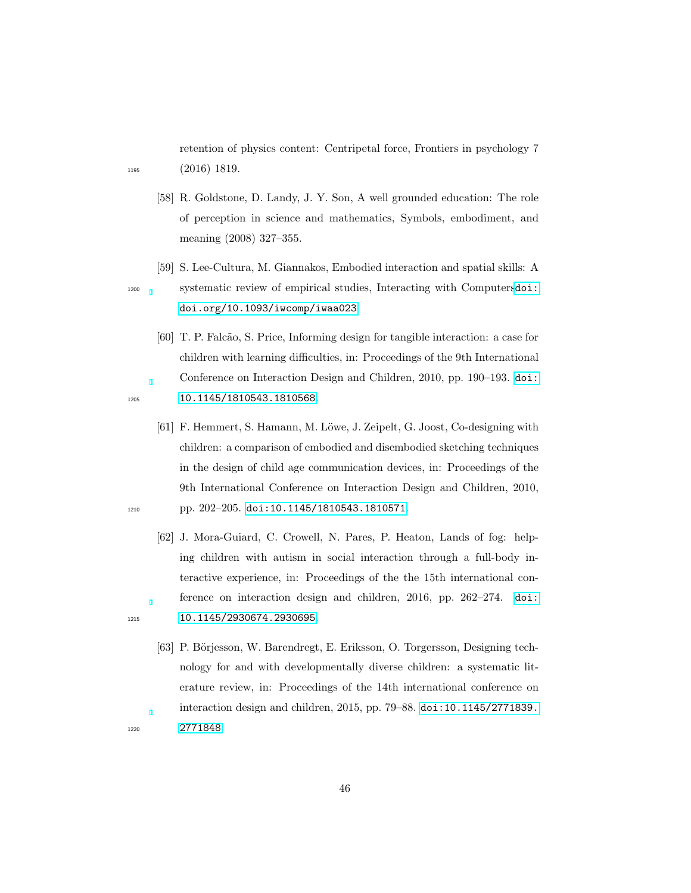retention of physics content: Centripetal force, Frontiers in psychology 7 <sup>1195</sup> (2016) 1819.

- [58] R. Goldstone, D. Landy, J. Y. Son, A well grounded education: The role of perception in science and mathematics, Symbols, embodiment, and meaning (2008) 327–355.
- [59] S. Lee-Cultura, M. Giannakos, Embodied interaction and spatial skills: A <sup>1200</sup> systematic review of empirical studies, Interacting with Computers[doi:](http://dx.doi.org/doi.org/10.1093/iwcomp/iwaa023) [doi.org/10.1093/iwcomp/iwaa023](http://dx.doi.org/doi.org/10.1093/iwcomp/iwaa023).
- [60] T. P. Falc˜ao, S. Price, Informing design for tangible interaction: a case for children with learning difficulties, in: Proceedings of the 9th International Conference on Interaction Design and Children, 2010, pp. 190–193. [doi:](http://dx.doi.org/10.1145/1810543.1810568) 1205 [10.1145/1810543.1810568](http://dx.doi.org/10.1145/1810543.1810568).
- <span id="page-45-0"></span>[61] F. Hemmert, S. Hamann, M. Löwe, J. Zeipelt, G. Joost, Co-designing with children: a comparison of embodied and disembodied sketching techniques in the design of child age communication devices, in: Proceedings of the 9th International Conference on Interaction Design and Children, 2010, 1210 pp. 202-205. [doi:10.1145/1810543.1810571](http://dx.doi.org/10.1145/1810543.1810571).
- <span id="page-45-1"></span>[62] J. Mora-Guiard, C. Crowell, N. Pares, P. Heaton, Lands of fog: helping children with autism in social interaction through a full-body interactive experience, in: Proceedings of the the 15th international conference on interaction design and children, 2016, pp. 262–274. [doi:](http://dx.doi.org/10.1145/2930674.2930695) 1215 [10.1145/2930674.2930695](http://dx.doi.org/10.1145/2930674.2930695).
- [63] P. Börjesson, W. Barendregt, E. Eriksson, O. Torgersson, Designing technology for and with developmentally diverse children: a systematic literature review, in: Proceedings of the 14th international conference on interaction design and children, 2015, pp. 79–88. [doi:10.1145/2771839.](http://dx.doi.org/10.1145/2771839.2771848) <sup>1220</sup> [2771848](http://dx.doi.org/10.1145/2771839.2771848).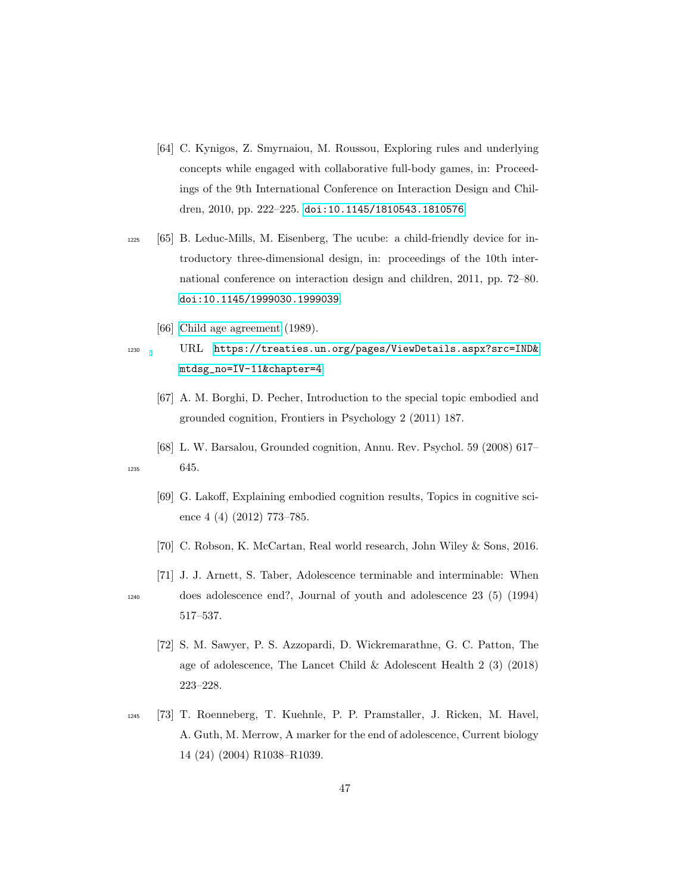- <span id="page-46-0"></span>[64] C. Kynigos, Z. Smyrnaiou, M. Roussou, Exploring rules and underlying concepts while engaged with collaborative full-body games, in: Proceedings of the 9th International Conference on Interaction Design and Children, 2010, pp. 222–225. [doi:10.1145/1810543.1810576](http://dx.doi.org/10.1145/1810543.1810576).
- <span id="page-46-1"></span><sup>1225</sup> [65] B. Leduc-Mills, M. Eisenberg, The ucube: a child-friendly device for introductory three-dimensional design, in: proceedings of the 10th international conference on interaction design and children, 2011, pp. 72–80. [doi:10.1145/1999030.1999039](http://dx.doi.org/10.1145/1999030.1999039).
	- [66] [Child age agreement](https://treaties.un.org/pages/ViewDetails.aspx?src=IND&mtdsg_no=IV-11&chapter=4) (1989).

<sup>1230</sup> URL [https://treaties.un.org/pages/ViewDetails.aspx?src=IND&](https://treaties.un.org/pages/ViewDetails.aspx?src=IND&mtdsg_no=IV-11&chapter=4) [mtdsg\\_no=IV-11&chapter=4](https://treaties.un.org/pages/ViewDetails.aspx?src=IND&mtdsg_no=IV-11&chapter=4)

- [67] A. M. Borghi, D. Pecher, Introduction to the special topic embodied and grounded cognition, Frontiers in Psychology 2 (2011) 187.
- [68] L. W. Barsalou, Grounded cognition, Annu. Rev. Psychol. 59 (2008) 617– <sup>1235</sup> 645.
	- [69] G. Lakoff, Explaining embodied cognition results, Topics in cognitive science 4 (4) (2012) 773–785.
	- [70] C. Robson, K. McCartan, Real world research, John Wiley & Sons, 2016.
- [71] J. J. Arnett, S. Taber, Adolescence terminable and interminable: When <sup>1240</sup> does adolescence end?, Journal of youth and adolescence 23 (5) (1994) 517–537.
	- [72] S. M. Sawyer, P. S. Azzopardi, D. Wickremarathne, G. C. Patton, The age of adolescence, The Lancet Child & Adolescent Health 2 (3) (2018) 223–228.
- <sup>1245</sup> [73] T. Roenneberg, T. Kuehnle, P. P. Pramstaller, J. Ricken, M. Havel, A. Guth, M. Merrow, A marker for the end of adolescence, Current biology 14 (24) (2004) R1038–R1039.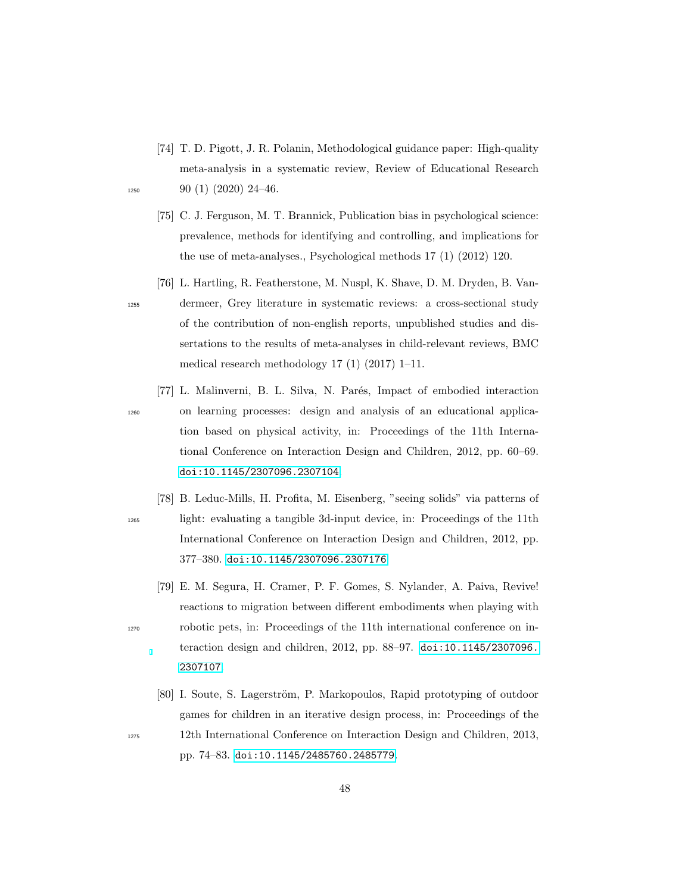- [74] T. D. Pigott, J. R. Polanin, Methodological guidance paper: High-quality meta-analysis in a systematic review, Review of Educational Research  $1250$  90 (1) (2020) 24-46.
- 
- [75] C. J. Ferguson, M. T. Brannick, Publication bias in psychological science: prevalence, methods for identifying and controlling, and implications for the use of meta-analyses., Psychological methods 17 (1) (2012) 120.
- [76] L. Hartling, R. Featherstone, M. Nuspl, K. Shave, D. M. Dryden, B. Van-<sup>1255</sup> dermeer, Grey literature in systematic reviews: a cross-sectional study of the contribution of non-english reports, unpublished studies and dissertations to the results of meta-analyses in child-relevant reviews, BMC medical research methodology 17 (1) (2017) 1–11.
- <span id="page-47-2"></span>[77] L. Malinverni, B. L. Silva, N. Parés, Impact of embodied interaction <sup>1260</sup> on learning processes: design and analysis of an educational application based on physical activity, in: Proceedings of the 11th International Conference on Interaction Design and Children, 2012, pp. 60–69. [doi:10.1145/2307096.2307104](http://dx.doi.org/10.1145/2307096.2307104).
- <span id="page-47-1"></span>[78] B. Leduc-Mills, H. Profita, M. Eisenberg, "seeing solids" via patterns of <sup>1265</sup> light: evaluating a tangible 3d-input device, in: Proceedings of the 11th International Conference on Interaction Design and Children, 2012, pp. 377–380. [doi:10.1145/2307096.2307176](http://dx.doi.org/10.1145/2307096.2307176).
- <span id="page-47-0"></span>[79] E. M. Segura, H. Cramer, P. F. Gomes, S. Nylander, A. Paiva, Revive! reactions to migration between different embodiments when playing with <sup>1270</sup> robotic pets, in: Proceedings of the 11th international conference on interaction design and children, 2012, pp. 88–97. [doi:10.1145/2307096.](http://dx.doi.org/10.1145/2307096.2307107) [2307107](http://dx.doi.org/10.1145/2307096.2307107).
- <span id="page-47-3"></span>[80] I. Soute, S. Lagerström, P. Markopoulos, Rapid prototyping of outdoor games for children in an iterative design process, in: Proceedings of the <sup>1275</sup> 12th International Conference on Interaction Design and Children, 2013,

pp. 74–83. [doi:10.1145/2485760.2485779](http://dx.doi.org/10.1145/2485760.2485779).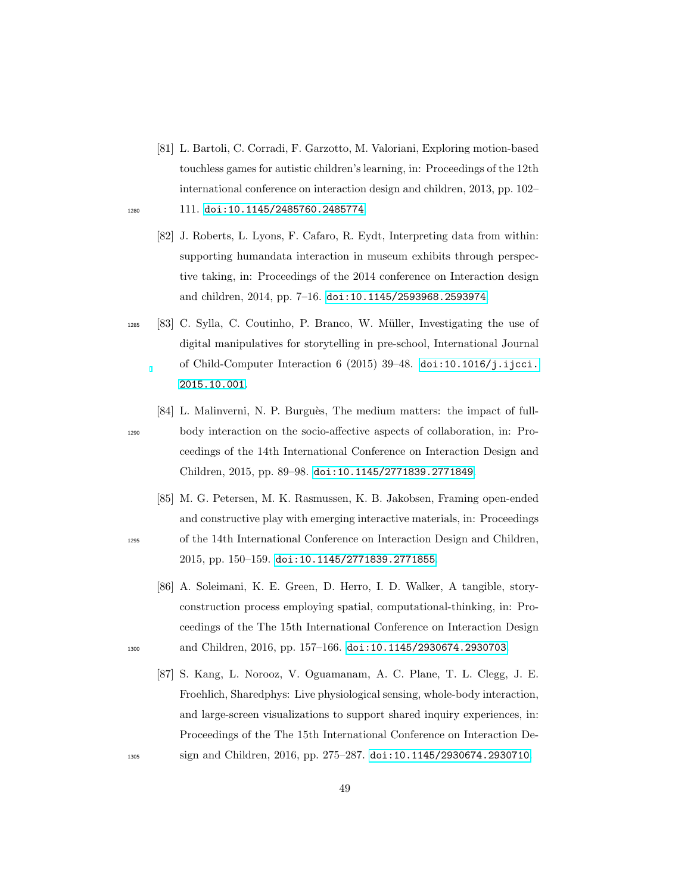- <span id="page-48-1"></span>[81] L. Bartoli, C. Corradi, F. Garzotto, M. Valoriani, Exploring motion-based touchless games for autistic children's learning, in: Proceedings of the 12th international conference on interaction design and children, 2013, pp. 102– 1280 111. [doi:10.1145/2485760.2485774](http://dx.doi.org/10.1145/2485760.2485774).
	- [82] J. Roberts, L. Lyons, F. Cafaro, R. Eydt, Interpreting data from within: supporting humandata interaction in museum exhibits through perspective taking, in: Proceedings of the 2014 conference on Interaction design and children, 2014, pp. 7–16. [doi:10.1145/2593968.2593974](http://dx.doi.org/10.1145/2593968.2593974).
- <span id="page-48-4"></span> $1285$  [83] C. Sylla, C. Coutinho, P. Branco, W. Müller, Investigating the use of digital manipulatives for storytelling in pre-school, International Journal of Child-Computer Interaction 6 (2015) 39–48. [doi:10.1016/j.ijcci.](http://dx.doi.org/10.1016/j.ijcci.2015.10.001) [2015.10.001](http://dx.doi.org/10.1016/j.ijcci.2015.10.001).
- <span id="page-48-3"></span>[84] L. Malinverni, N. P. Burguès, The medium matters: the impact of full-<sup>1290</sup> body interaction on the socio-affective aspects of collaboration, in: Proceedings of the 14th International Conference on Interaction Design and Children, 2015, pp. 89–98. [doi:10.1145/2771839.2771849](http://dx.doi.org/10.1145/2771839.2771849).
- <span id="page-48-0"></span>[85] M. G. Petersen, M. K. Rasmussen, K. B. Jakobsen, Framing open-ended and constructive play with emerging interactive materials, in: Proceedings <sup>1295</sup> of the 14th International Conference on Interaction Design and Children, 2015, pp. 150–159. [doi:10.1145/2771839.2771855](http://dx.doi.org/10.1145/2771839.2771855).
- <span id="page-48-6"></span>[86] A. Soleimani, K. E. Green, D. Herro, I. D. Walker, A tangible, storyconstruction process employing spatial, computational-thinking, in: Proceedings of the The 15th International Conference on Interaction Design 1300 and Children, 2016, pp. 157-166. [doi:10.1145/2930674.2930703](http://dx.doi.org/10.1145/2930674.2930703).
- [87] S. Kang, L. Norooz, V. Oguamanam, A. C. Plane, T. L. Clegg, J. E. Froehlich, Sharedphys: Live physiological sensing, whole-body interaction, and large-screen visualizations to support shared inquiry experiences, in: Proceedings of the The 15th International Conference on Interaction De-<sup>1305</sup> sign and Children, 2016, pp. 275–287. [doi:10.1145/2930674.2930710](http://dx.doi.org/10.1145/2930674.2930710).

<span id="page-48-2"></span>

<span id="page-48-5"></span>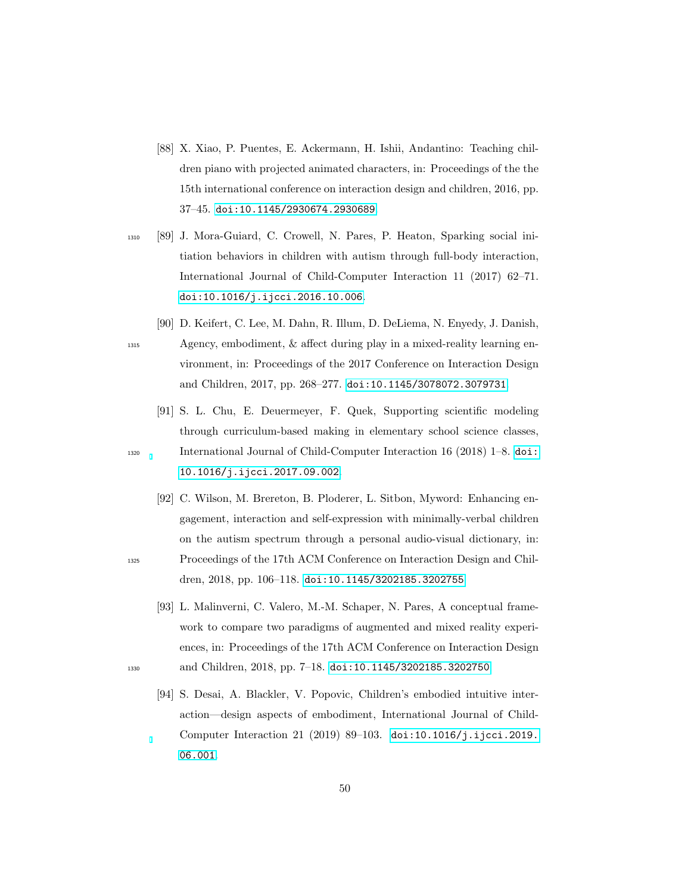- <span id="page-49-0"></span>[88] X. Xiao, P. Puentes, E. Ackermann, H. Ishii, Andantino: Teaching children piano with projected animated characters, in: Proceedings of the the 15th international conference on interaction design and children, 2016, pp. 37–45. [doi:10.1145/2930674.2930689](http://dx.doi.org/10.1145/2930674.2930689).
- <span id="page-49-4"></span><sup>1310</sup> [89] J. Mora-Guiard, C. Crowell, N. Pares, P. Heaton, Sparking social initiation behaviors in children with autism through full-body interaction, International Journal of Child-Computer Interaction 11 (2017) 62–71. [doi:10.1016/j.ijcci.2016.10.006](http://dx.doi.org/10.1016/j.ijcci.2016.10.006).
- <span id="page-49-1"></span>[90] D. Keifert, C. Lee, M. Dahn, R. Illum, D. DeLiema, N. Enyedy, J. Danish, <sup>1315</sup> Agency, embodiment, & affect during play in a mixed-reality learning environment, in: Proceedings of the 2017 Conference on Interaction Design and Children, 2017, pp. 268–277. [doi:10.1145/3078072.3079731](http://dx.doi.org/10.1145/3078072.3079731).
- <span id="page-49-3"></span>[91] S. L. Chu, E. Deuermeyer, F. Quek, Supporting scientific modeling through curriculum-based making in elementary school science classes, <sup>1320</sup> International Journal of Child-Computer Interaction 16 (2018) 1–8. [doi:](http://dx.doi.org/10.1016/j.ijcci.2017.09.002) [10.1016/j.ijcci.2017.09.002](http://dx.doi.org/10.1016/j.ijcci.2017.09.002).
- <span id="page-49-2"></span>[92] C. Wilson, M. Brereton, B. Ploderer, L. Sitbon, Myword: Enhancing engagement, interaction and self-expression with minimally-verbal children on the autism spectrum through a personal audio-visual dictionary, in: <sup>1325</sup> Proceedings of the 17th ACM Conference on Interaction Design and Children, 2018, pp. 106–118. [doi:10.1145/3202185.3202755](http://dx.doi.org/10.1145/3202185.3202755).
- <span id="page-49-5"></span>[93] L. Malinverni, C. Valero, M.-M. Schaper, N. Pares, A conceptual framework to compare two paradigms of augmented and mixed reality experiences, in: Proceedings of the 17th ACM Conference on Interaction Design 1330 and Children, 2018, pp. 7-18. [doi:10.1145/3202185.3202750](http://dx.doi.org/10.1145/3202185.3202750).
	- [94] S. Desai, A. Blackler, V. Popovic, Children's embodied intuitive interaction—design aspects of embodiment, International Journal of Child-Computer Interaction 21 (2019) 89–103. [doi:10.1016/j.ijcci.2019.](http://dx.doi.org/10.1016/j.ijcci.2019.06.001) [06.001](http://dx.doi.org/10.1016/j.ijcci.2019.06.001).

<span id="page-49-6"></span>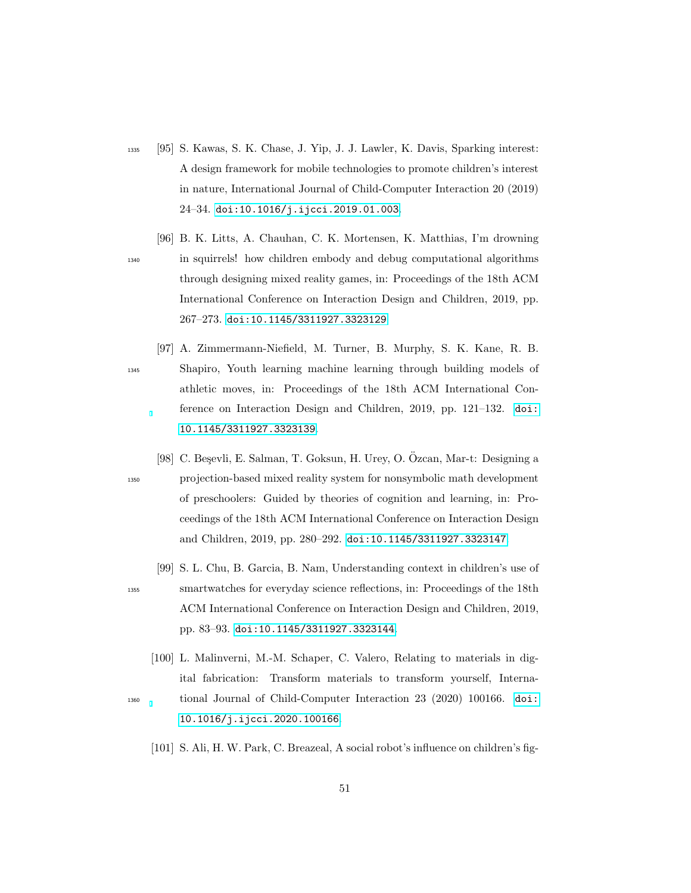- <span id="page-50-0"></span><sup>1335</sup> [95] S. Kawas, S. K. Chase, J. Yip, J. J. Lawler, K. Davis, Sparking interest: A design framework for mobile technologies to promote children's interest in nature, International Journal of Child-Computer Interaction 20 (2019) 24–34. [doi:10.1016/j.ijcci.2019.01.003](http://dx.doi.org/10.1016/j.ijcci.2019.01.003).
- <span id="page-50-4"></span>[96] B. K. Litts, A. Chauhan, C. K. Mortensen, K. Matthias, I'm drowning <sup>1340</sup> in squirrels! how children embody and debug computational algorithms through designing mixed reality games, in: Proceedings of the 18th ACM International Conference on Interaction Design and Children, 2019, pp. 267–273. [doi:10.1145/3311927.3323129](http://dx.doi.org/10.1145/3311927.3323129).

- <span id="page-50-3"></span>[97] A. Zimmermann-Niefield, M. Turner, B. Murphy, S. K. Kane, R. B. <sup>1345</sup> Shapiro, Youth learning machine learning through building models of athletic moves, in: Proceedings of the 18th ACM International Conference on Interaction Design and Children, 2019, pp. 121–132. [doi:](http://dx.doi.org/10.1145/3311927.3323139) [10.1145/3311927.3323139](http://dx.doi.org/10.1145/3311927.3323139).
- <span id="page-50-2"></span>[98] C. Besevli, E. Salman, T. Goksun, H. Urey, O. Özcan, Mar-t: Designing a <sup>1350</sup> projection-based mixed reality system for nonsymbolic math development of preschoolers: Guided by theories of cognition and learning, in: Proceedings of the 18th ACM International Conference on Interaction Design and Children, 2019, pp. 280–292. [doi:10.1145/3311927.3323147](http://dx.doi.org/10.1145/3311927.3323147).
- <span id="page-50-1"></span>[99] S. L. Chu, B. Garcia, B. Nam, Understanding context in children's use of <sup>1355</sup> smartwatches for everyday science reflections, in: Proceedings of the 18th ACM International Conference on Interaction Design and Children, 2019, pp. 83–93. [doi:10.1145/3311927.3323144](http://dx.doi.org/10.1145/3311927.3323144).
- <span id="page-50-6"></span><span id="page-50-5"></span>[100] L. Malinverni, M.-M. Schaper, C. Valero, Relating to materials in digital fabrication: Transform materials to transform yourself, Interna-<sup>1360</sup> tional Journal of Child-Computer Interaction 23 (2020) 100166. [doi:](http://dx.doi.org/10.1016/j.ijcci.2020.100166) [10.1016/j.ijcci.2020.100166](http://dx.doi.org/10.1016/j.ijcci.2020.100166).
	- [101] S. Ali, H. W. Park, C. Breazeal, A social robot's influence on children's fig-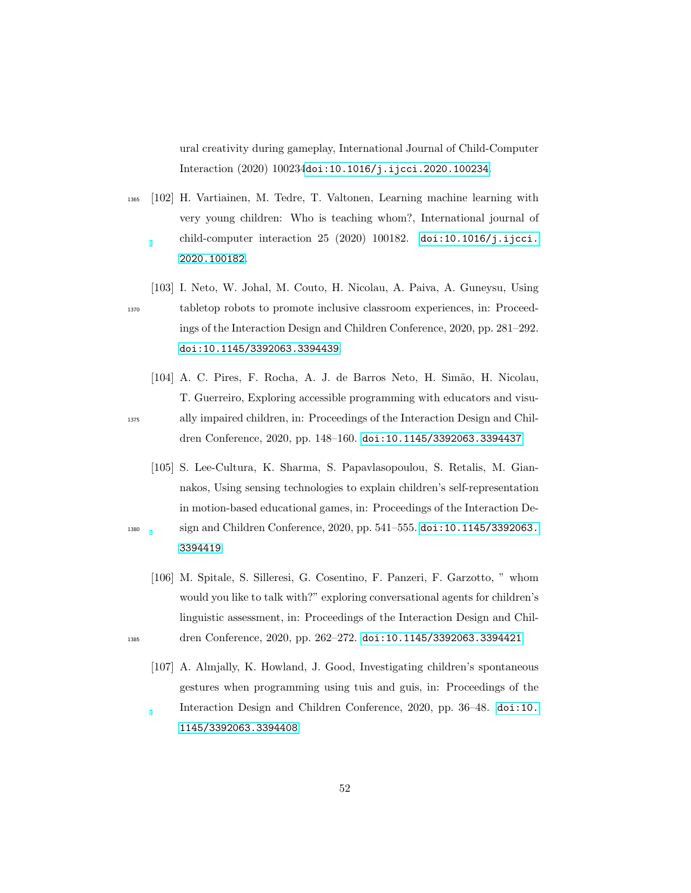ural creativity during gameplay, International Journal of Child-Computer Interaction (2020) 100234[doi:10.1016/j.ijcci.2020.100234](http://dx.doi.org/10.1016/j.ijcci.2020.100234).

- <span id="page-51-1"></span><sup>1365</sup> [102] H. Vartiainen, M. Tedre, T. Valtonen, Learning machine learning with very young children: Who is teaching whom?, International journal of child-computer interaction 25 (2020) 100182. [doi:10.1016/j.ijcci.](http://dx.doi.org/10.1016/j.ijcci.2020.100182) [2020.100182](http://dx.doi.org/10.1016/j.ijcci.2020.100182).
- <span id="page-51-5"></span>[103] I. Neto, W. Johal, M. Couto, H. Nicolau, A. Paiva, A. Guneysu, Using <sup>1370</sup> tabletop robots to promote inclusive classroom experiences, in: Proceedings of the Interaction Design and Children Conference, 2020, pp. 281–292. [doi:10.1145/3392063.3394439](http://dx.doi.org/10.1145/3392063.3394439).
- <span id="page-51-4"></span>[104] A. C. Pires, F. Rocha, A. J. de Barros Neto, H. Simão, H. Nicolau, T. Guerreiro, Exploring accessible programming with educators and visu-<sup>1375</sup> ally impaired children, in: Proceedings of the Interaction Design and Children Conference, 2020, pp. 148–160. [doi:10.1145/3392063.3394437](http://dx.doi.org/10.1145/3392063.3394437).
- <span id="page-51-3"></span>[105] S. Lee-Cultura, K. Sharma, S. Papavlasopoulou, S. Retalis, M. Giannakos, Using sensing technologies to explain children's self-representation in motion-based educational games, in: Proceedings of the Interaction De-<sup>1380</sup> sign and Children Conference, 2020, pp. 541–555. [doi:10.1145/3392063.](http://dx.doi.org/10.1145/3392063.3394419) [3394419](http://dx.doi.org/10.1145/3392063.3394419).
- <span id="page-51-2"></span><span id="page-51-0"></span>[106] M. Spitale, S. Silleresi, G. Cosentino, F. Panzeri, F. Garzotto, " whom would you like to talk with?" exploring conversational agents for children's linguistic assessment, in: Proceedings of the Interaction Design and Chil1385 dren Conference, 2020, pp. 262-272. [doi:10.1145/3392063.3394421](http://dx.doi.org/10.1145/3392063.3394421).
	- [107] A. Almjally, K. Howland, J. Good, Investigating children's spontaneous gestures when programming using tuis and guis, in: Proceedings of the Interaction Design and Children Conference, 2020, pp. 36–48. [doi:10.](http://dx.doi.org/10.1145/3392063.3394408) [1145/3392063.3394408](http://dx.doi.org/10.1145/3392063.3394408).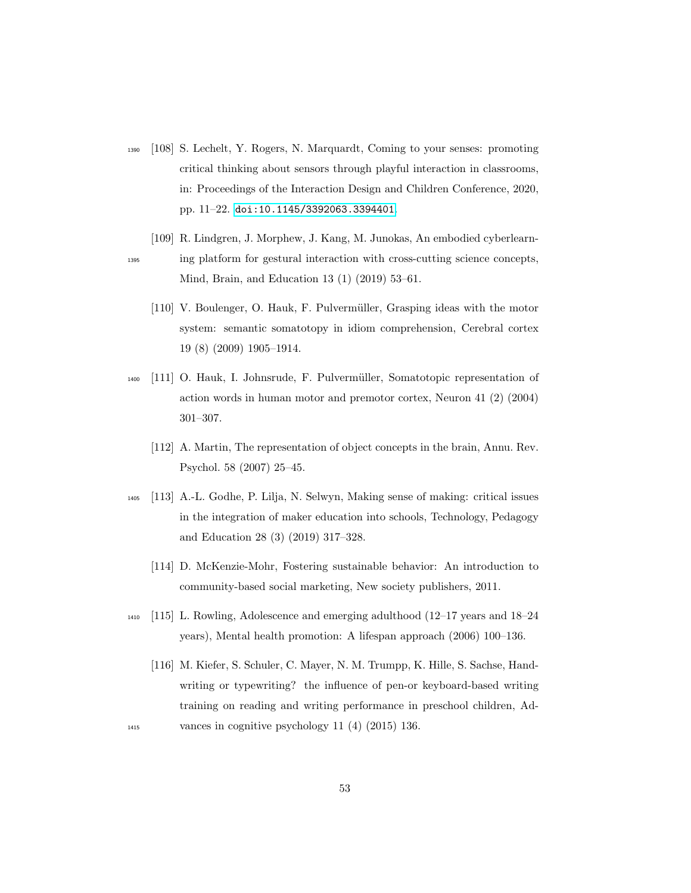- <span id="page-52-0"></span><sup>1390</sup> [108] S. Lechelt, Y. Rogers, N. Marquardt, Coming to your senses: promoting critical thinking about sensors through playful interaction in classrooms, in: Proceedings of the Interaction Design and Children Conference, 2020, pp. 11–22. [doi:10.1145/3392063.3394401](http://dx.doi.org/10.1145/3392063.3394401).
- [109] R. Lindgren, J. Morphew, J. Kang, M. Junokas, An embodied cyberlearn-<sup>1395</sup> ing platform for gestural interaction with cross-cutting science concepts, Mind, Brain, and Education 13 (1) (2019) 53–61.
	- [110] V. Boulenger, O. Hauk, F. Pulvermüller, Grasping ideas with the motor system: semantic somatotopy in idiom comprehension, Cerebral cortex 19 (8) (2009) 1905–1914.
- <sup>1400</sup> [111] O. Hauk, I. Johnsrude, F. Pulverm¨uller, Somatotopic representation of action words in human motor and premotor cortex, Neuron 41 (2) (2004) 301–307.
	- [112] A. Martin, The representation of object concepts in the brain, Annu. Rev. Psychol. 58 (2007) 25–45.
- <sup>1405</sup> [113] A.-L. Godhe, P. Lilja, N. Selwyn, Making sense of making: critical issues in the integration of maker education into schools, Technology, Pedagogy and Education 28 (3) (2019) 317–328.
	- [114] D. McKenzie-Mohr, Fostering sustainable behavior: An introduction to community-based social marketing, New society publishers, 2011.
- <sup>1410</sup> [115] L. Rowling, Adolescence and emerging adulthood (12–17 years and 18–24 years), Mental health promotion: A lifespan approach (2006) 100–136.
- [116] M. Kiefer, S. Schuler, C. Mayer, N. M. Trumpp, K. Hille, S. Sachse, Handwriting or typewriting? the influence of pen-or keyboard-based writing training on reading and writing performance in preschool children, Ad-<sup>1415</sup> vances in cognitive psychology 11 (4) (2015) 136.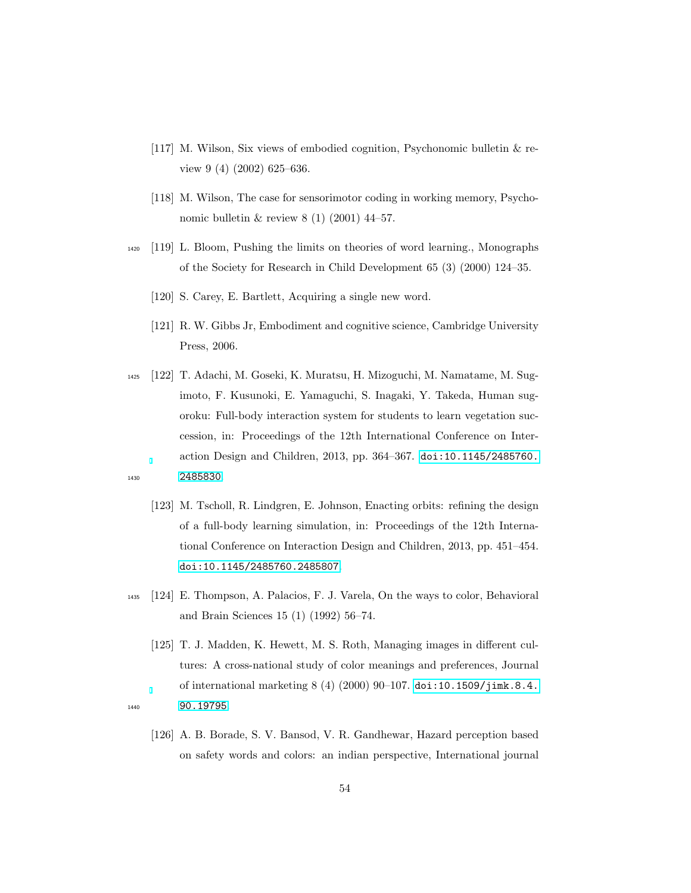- [117] M. Wilson, Six views of embodied cognition, Psychonomic bulletin & review 9 (4) (2002) 625–636.
- [118] M. Wilson, The case for sensorimotor coding in working memory, Psychonomic bulletin & review 8 (1) (2001) 44–57.
- <span id="page-53-1"></span><span id="page-53-0"></span><sup>1420</sup> [119] L. Bloom, Pushing the limits on theories of word learning., Monographs of the Society for Research in Child Development 65 (3) (2000) 124–35.
	- [120] S. Carey, E. Bartlett, Acquiring a single new word.
	- [121] R. W. Gibbs Jr, Embodiment and cognitive science, Cambridge University Press, 2006.

<span id="page-53-3"></span><span id="page-53-2"></span><sup>1425</sup> [122] T. Adachi, M. Goseki, K. Muratsu, H. Mizoguchi, M. Namatame, M. Sugimoto, F. Kusunoki, E. Yamaguchi, S. Inagaki, Y. Takeda, Human sugoroku: Full-body interaction system for students to learn vegetation succession, in: Proceedings of the 12th International Conference on Interaction Design and Children, 2013, pp. 364–367. [doi:10.1145/2485760.](http://dx.doi.org/10.1145/2485760.2485830) <sup>1430</sup> [2485830](http://dx.doi.org/10.1145/2485760.2485830).

- <span id="page-53-4"></span>[123] M. Tscholl, R. Lindgren, E. Johnson, Enacting orbits: refining the design of a full-body learning simulation, in: Proceedings of the 12th International Conference on Interaction Design and Children, 2013, pp. 451–454. [doi:10.1145/2485760.2485807](http://dx.doi.org/10.1145/2485760.2485807).
- <span id="page-53-5"></span><sup>1435</sup> [124] E. Thompson, A. Palacios, F. J. Varela, On the ways to color, Behavioral and Brain Sciences 15 (1) (1992) 56–74.
- <span id="page-53-6"></span>[125] T. J. Madden, K. Hewett, M. S. Roth, Managing images in different cultures: A cross-national study of color meanings and preferences, Journal of international marketing 8 (4) (2000) 90–107. [doi:10.1509/jimk.8.4.](http://dx.doi.org/10.1509/jimk.8.4.90.19795) <sup>1440</sup> [90.19795](http://dx.doi.org/10.1509/jimk.8.4.90.19795).
- 
- <span id="page-53-7"></span>[126] A. B. Borade, S. V. Bansod, V. R. Gandhewar, Hazard perception based on safety words and colors: an indian perspective, International journal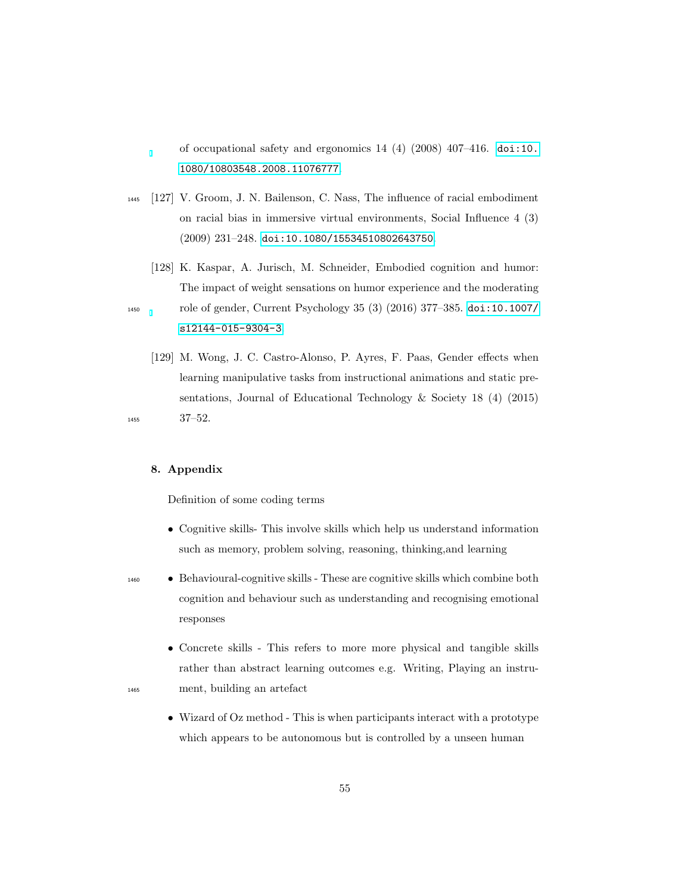of occupational safety and ergonomics  $14$  (4) (2008)  $407-416$ . [doi:10.](http://dx.doi.org/10.1080/10803548.2008.11076777) [1080/10803548.2008.11076777](http://dx.doi.org/10.1080/10803548.2008.11076777).

- <span id="page-54-0"></span><sup>1445</sup> [127] V. Groom, J. N. Bailenson, C. Nass, The influence of racial embodiment on racial bias in immersive virtual environments, Social Influence 4 (3) (2009) 231–248. [doi:10.1080/15534510802643750](http://dx.doi.org/10.1080/15534510802643750).
- <span id="page-54-1"></span>[128] K. Kaspar, A. Jurisch, M. Schneider, Embodied cognition and humor: The impact of weight sensations on humor experience and the moderating <sup>1450</sup> role of gender, Current Psychology 35 (3) (2016) 377–385. [doi:10.1007/](http://dx.doi.org/10.1007/s12144-015-9304-3) [s12144-015-9304-3](http://dx.doi.org/10.1007/s12144-015-9304-3).
- <span id="page-54-2"></span>[129] M. Wong, J. C. Castro-Alonso, P. Ayres, F. Paas, Gender effects when learning manipulative tasks from instructional animations and static presentations, Journal of Educational Technology & Society 18 (4) (2015) <sup>1455</sup> 37–52.
- 

## 8. Appendix

Definition of some coding terms

- Cognitive skills- This involve skills which help us understand information such as memory, problem solving, reasoning, thinking,and learning
- <sup>1460</sup> Behavioural-cognitive skills These are cognitive skills which combine both cognition and behaviour such as understanding and recognising emotional responses
- Concrete skills This refers to more more physical and tangible skills rather than abstract learning outcomes e.g. Writing, Playing an instru-<sup>1465</sup> ment, building an artefact
- 
- Wizard of Oz method This is when participants interact with a prototype which appears to be autonomous but is controlled by a unseen human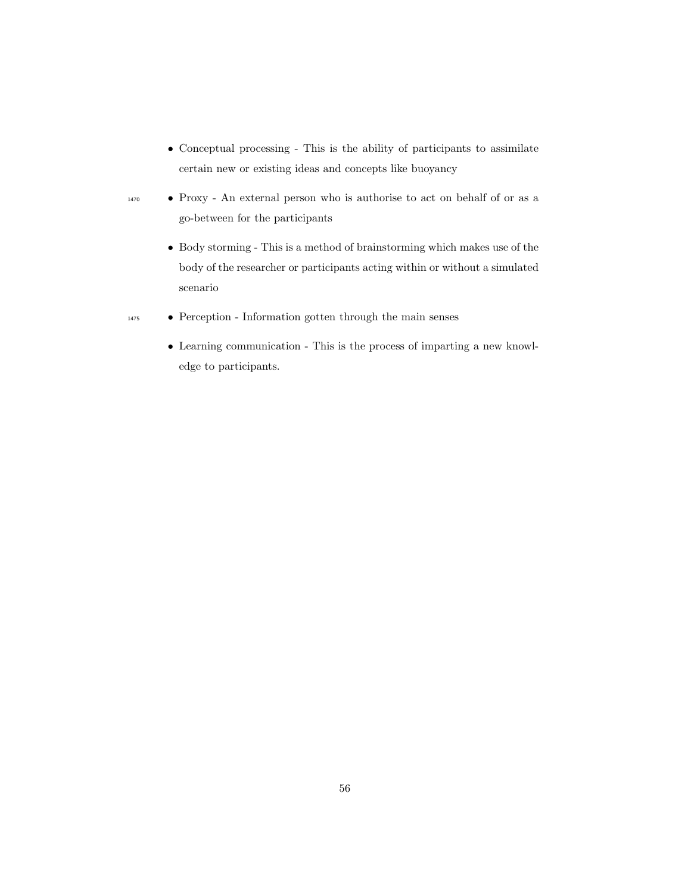- Conceptual processing This is the ability of participants to assimilate certain new or existing ideas and concepts like buoyancy
- <sup>1470</sup> Proxy An external person who is authorise to act on behalf of or as a go-between for the participants
	- $\bullet~$  Body storming This is a method of brainstorming which makes use of the body of the researcher or participants acting within or without a simulated scenario
- <sup>1475</sup> Perception Information gotten through the main senses
	- Learning communication This is the process of imparting a new knowledge to participants.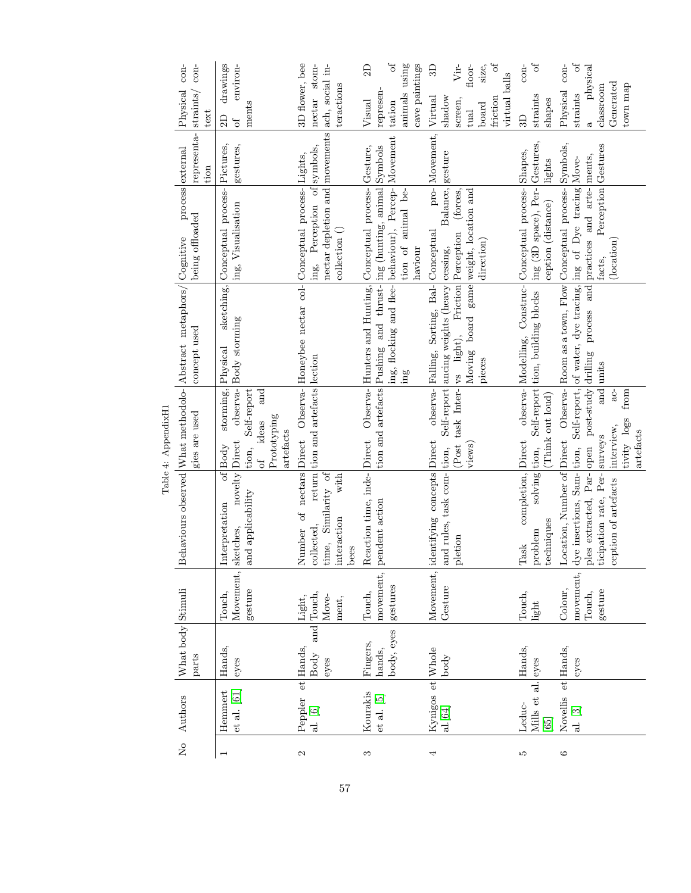| 。<br>2  | Authors                                            | What body Stimuli<br>parts       |                                           |                                                                                                                                           | gies are used                                                                                                                      | Behaviours observed What methodolo-Abstract metaphors/ Cognitive<br>concept used                                                                                                                    | being offloaded                                                                            | representa-<br>process external<br>tion | $con-$<br>$\rm con$<br>Physical<br>straints<br>text                                                                    |
|---------|----------------------------------------------------|----------------------------------|-------------------------------------------|-------------------------------------------------------------------------------------------------------------------------------------------|------------------------------------------------------------------------------------------------------------------------------------|-----------------------------------------------------------------------------------------------------------------------------------------------------------------------------------------------------|--------------------------------------------------------------------------------------------|-----------------------------------------|------------------------------------------------------------------------------------------------------------------------|
|         | Hemmert<br>$et$ al. $[61]$                         | Hands,<br>eyes                   | Movement,<br>gesture<br>Touch,            | novelty Direct<br>and applicability<br>Interpretation<br>sketches,                                                                        | $\rm{storming}, \vert {\rm Physical}$<br>Self-report<br>and<br>Prototyping<br>ideas<br>artefacts<br>of Body<br>tion,<br>$\sigma f$ | observa-Body storming                                                                                                                                                                               | sketching, Conceptual process- Pictures,<br>ing, Visualisation                             | gestures,                               | drawings<br>environ-<br>ments<br>$\Omega$<br>$\sigma$                                                                  |
| 2       | $\overline{e}$<br>Peppler<br>al. [6]               | Hands,<br>Body<br>eyes           | and Touch,<br>Move-<br>Light,<br>ment,    | nectars Direct<br>with<br>Similarity of<br>$\sigma$<br>interaction<br>collected,<br>Number<br>time,<br>bees                               | return tion and artefacts lection                                                                                                  | Observa-Honeybee nectar col-Conceptual process-Lights,                                                                                                                                              | nectar depletion and movements<br>Perception of symbols,<br>$\text{collection}$ ()<br>ing, |                                         | 3D flower, bee<br>stom-<br>ach, social in-<br>teractions<br>nectar                                                     |
| 3       | Kourakis<br>et al. [5]                             | body, eyes<br>Fingers,<br>hands, | movement,<br>gestures<br>Touch,           | Reaction time, inde-Direct<br>pendent action                                                                                              |                                                                                                                                    | tion and artefacts Pushing and thrust-ing (hunting, animal Symbols<br>ing, flocking and flee- behaviour), Percep-<br>Observa- Hunters and Hunting, Conceptual process-<br>ing                       | animal be-<br>tion of<br>haviour                                                           | Movement<br>Gesture,                    | ð<br>using<br>cave paintings<br>$\Omega$<br>represen-<br>animals<br>Visual<br>tation                                   |
| 4       | Kynigos et Whole<br>al.[64]                        | body                             | Movement,<br>Gesture                      | identifying concepts Direct<br>and rules, task com-tion,<br>pletion                                                                       | (Post<br>views)                                                                                                                    | task Inter- vs light), Friction Perception (forces,<br>Moving board game weight, location and<br>observa- Falling, Sorting, Bal- Conceptual<br>Self-report ancing weights (heavy cessing,<br>pieces | Balance, gesture<br>direction)                                                             | pro-Movement,                           | $\sigma$<br>Vir-<br>size,<br>floor-<br>B<br>virtual balls<br>Virtual<br>shadow<br>friction<br>screen,<br>board<br>tual |
| S       | Mills et al.<br>Leduc-<br>65                       | Hands,<br>eyes                   | Touch,<br>light                           | completion, Direct<br>solving tion,<br>techniques<br>problem<br>Task                                                                      | (Think out loud)                                                                                                                   | Self-report tion, building blocks  ing (3D space), Per- Gestures,<br>observa- Modelling, Construc- Conceptual process- Shapes,                                                                      | ception (distance)                                                                         | lights                                  | $\sigma$<br>$con-$<br>straints<br>$shape$ s<br>3D                                                                      |
| $\circ$ | $\frac{1}{2}$<br>Novellis<br>al. $\left[ 3\right]$ | Hands,<br>eyes                   | movement,<br>Colour,<br>gesture<br>Touch, | Location, Number of Direct<br>Par- open<br>dye insertions, Sam- tion,<br>ticipation rate, Per-<br>ception of artefacts<br>ples extracted, | d-<br>from<br>tivity logs<br>interview,<br>artefacts<br>surveys                                                                    | Self-report, of water, dye tracing, ing of Dye tracing Move-<br>Observa-Room as a town, Flow Conceptual process-<br>post-study drilling process and practices and arte-<br>and units                | Perception Gestures<br>(location)<br>facts,                                                | Symbols,<br>ments,                      | ð<br>$\cos$<br>physical<br>${\tt Generated}$<br>town map<br>classroom<br>Physical<br>straints<br>$\mathfrak{S}$        |

Table 4: AppendixH1 Table 4: AppendixH1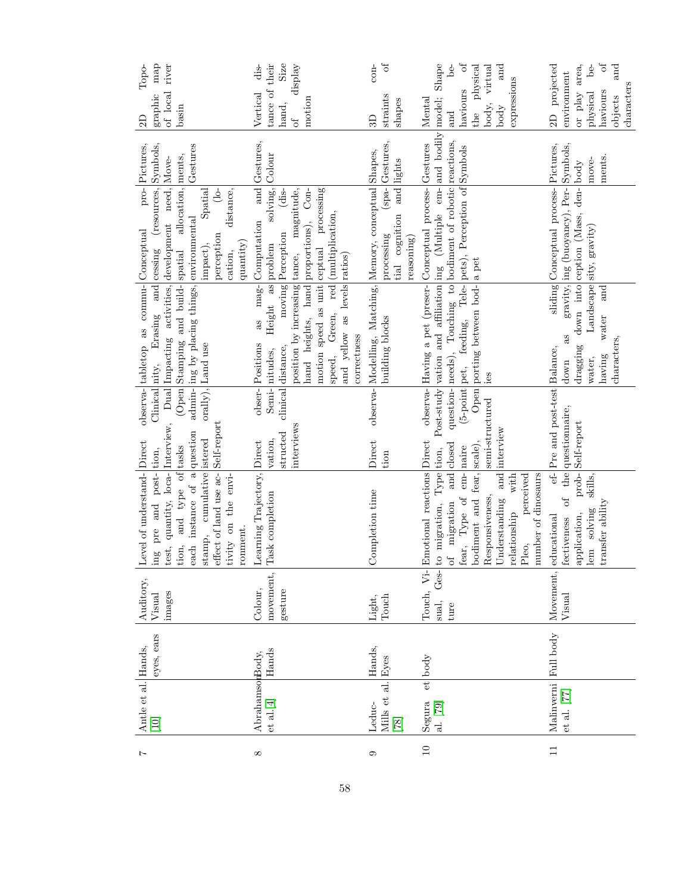| map<br>river<br>Topo-                                                                                                                                                                                                                               | Size<br>display<br>dis-                                                                                                                                                                                                                                                                                                      | ð<br>$\rm con$                                                                                                                                                                                                                                                                                                                                                                                                                                                                      | $\rm ^{of}$<br>Shape<br>be-<br>virtual<br>and                                                                                                                                                                                                                                                             | $\mathfrak{h}$<br>area,<br>$be-$<br>and                                                                                                          |
|-----------------------------------------------------------------------------------------------------------------------------------------------------------------------------------------------------------------------------------------------------|------------------------------------------------------------------------------------------------------------------------------------------------------------------------------------------------------------------------------------------------------------------------------------------------------------------------------|-------------------------------------------------------------------------------------------------------------------------------------------------------------------------------------------------------------------------------------------------------------------------------------------------------------------------------------------------------------------------------------------------------------------------------------------------------------------------------------|-----------------------------------------------------------------------------------------------------------------------------------------------------------------------------------------------------------------------------------------------------------------------------------------------------------|--------------------------------------------------------------------------------------------------------------------------------------------------|
| of local<br>graphic<br>basin<br>2D                                                                                                                                                                                                                  | tance of their<br>Vertical<br>motion<br>hand,<br>of                                                                                                                                                                                                                                                                          | straints<br>$shape$ s<br>3D                                                                                                                                                                                                                                                                                                                                                                                                                                                         | the physical<br>expressions<br>haviours<br>Mental<br>body,<br>body<br>and                                                                                                                                                                                                                                 | 2D projected<br>environment<br>characters<br>haviours<br>or play<br>physical<br>objects                                                          |
| Symbols,<br>Pictures,<br>Gestures                                                                                                                                                                                                                   | and Gestures,                                                                                                                                                                                                                                                                                                                | (spa- Gestures,<br>and lights                                                                                                                                                                                                                                                                                                                                                                                                                                                       |                                                                                                                                                                                                                                                                                                           | ments.<br>move-                                                                                                                                  |
| $pro-$<br>(resources,<br>Spatial<br>distance,<br>$\frac{1}{2}$<br>perception<br>quantity)<br>impact),<br>and cessing<br>cation,                                                                                                                     | solving, Colour<br>dis-<br>(multiplication,<br>mag-Computation<br>moving Perception                                                                                                                                                                                                                                          | tial cognition<br>processing<br>reasoning)                                                                                                                                                                                                                                                                                                                                                                                                                                          |                                                                                                                                                                                                                                                                                                           | gravity, ing (buoyancy), Per- Symbols,<br>sliding Conceptual process- Pictures,<br>down into ception (Mass, den-body<br>Landscape sity, gravity) |
| (Open Stamping and build-spatial allocation, ments,<br>Dual Impacting activities, development need, Move-<br>admin- ing by placing things, environmental<br>observa- tabletop as commu- Conceptual<br>Erasing<br>orally), Land use                  | position by increasing tance, magnitude,<br>hand heights, hand proportions), Con-<br>motion speed as unit ceptual processing<br>Height as problem<br>and yellow as levels ratios)<br>red<br>Green,<br>as<br>correctness<br>obser-Positions<br>$\text{clinical}\left \text{distance}\right\rangle$<br>Semi-nitudes,<br>speed, | observa- Modelling, Matching, Memory, conceptual Shapes,<br>building blocks                                                                                                                                                                                                                                                                                                                                                                                                         | Post-study vation and affiliation ing (Multiple em- and bodily model;<br>question-needs), Touching to bodiment of robotic reactions,<br>observa- Having a pet (preser- Conceptual process- Gestures<br>(5-point pet, feeding, Tele-pets), Perception of Symbols<br>Open porting between bod- a pet<br>ies | and<br>water<br>as<br>characters,<br>dragging<br>having<br>water,<br>down                                                                        |
| Clinical nity,<br>Self-report                                                                                                                                                                                                                       | interviews<br>structed<br>vation,                                                                                                                                                                                                                                                                                            | Direct<br>tion                                                                                                                                                                                                                                                                                                                                                                                                                                                                      | semi-structured<br>interview                                                                                                                                                                                                                                                                              | ef-Pre and post-test Balance,<br>of the questionnaire,<br>Self-report                                                                            |
| test, quantity, loca- Interview,<br>each instance of a question<br>stamp, cumulative istered<br>Level of understand-Direct<br>and type of tasks<br>ing pre and post- tion,<br>effect of land use ac-<br>envi-<br>tivity on the<br>ronment.<br>tion, | Learning Trajectory, Direct<br>Task completion                                                                                                                                                                                                                                                                               | Completion time                                                                                                                                                                                                                                                                                                                                                                                                                                                                     | Emotional reactions Direct<br>bodiment and fear, scale),<br>and closed<br>em-<br>  naire<br>to migration, Type tion,<br>and<br>number of dinosaurs<br>perceived<br>with<br>fear, Type of<br>Responsiveness,<br>Understanding<br>of migration<br>relationship<br>Pleo,                                     | $prob-$<br>skills,<br>transfer ability<br>lem solving<br>application,<br>educational<br>fectiveness                                              |
| Auditory,<br>images<br>Visual                                                                                                                                                                                                                       | movement,<br>Colour,<br>gesture                                                                                                                                                                                                                                                                                              | Touch<br>Light,                                                                                                                                                                                                                                                                                                                                                                                                                                                                     | Touch, Vi-<br>$Ges-$<br>sual,<br>ture                                                                                                                                                                                                                                                                     | Movement,<br>Visual                                                                                                                              |
| eyes, ears<br>Hands,                                                                                                                                                                                                                                | Hands                                                                                                                                                                                                                                                                                                                        | Hands,<br>${\rm Eyes}$                                                                                                                                                                                                                                                                                                                                                                                                                                                              | body                                                                                                                                                                                                                                                                                                      | Full body                                                                                                                                        |
| Antle et al.                                                                                                                                                                                                                                        | AbrahamsonBody,<br>$\left[$ et al.<br>$\left[ 4\right]$                                                                                                                                                                                                                                                                      | Mills et al.<br>Leduc-<br>$[78] \centering% \includegraphics[width=1\textwidth]{images/TransY.pdf} \caption{The first two different values of the data set. The first two different values of the data set. The first two different values of the data set. The second two different values of the data set. The second two different values of the data set. The second two different values of the data set. The second two different values of the data set.} \label{fig:class}$ | et<br>Segura<br>al. [79]                                                                                                                                                                                                                                                                                  | Malinverni<br>et al. $[77]$                                                                                                                      |
| L                                                                                                                                                                                                                                                   | $\infty$                                                                                                                                                                                                                                                                                                                     | 0                                                                                                                                                                                                                                                                                                                                                                                                                                                                                   | $\overline{10}$                                                                                                                                                                                                                                                                                           | $\overline{11}$                                                                                                                                  |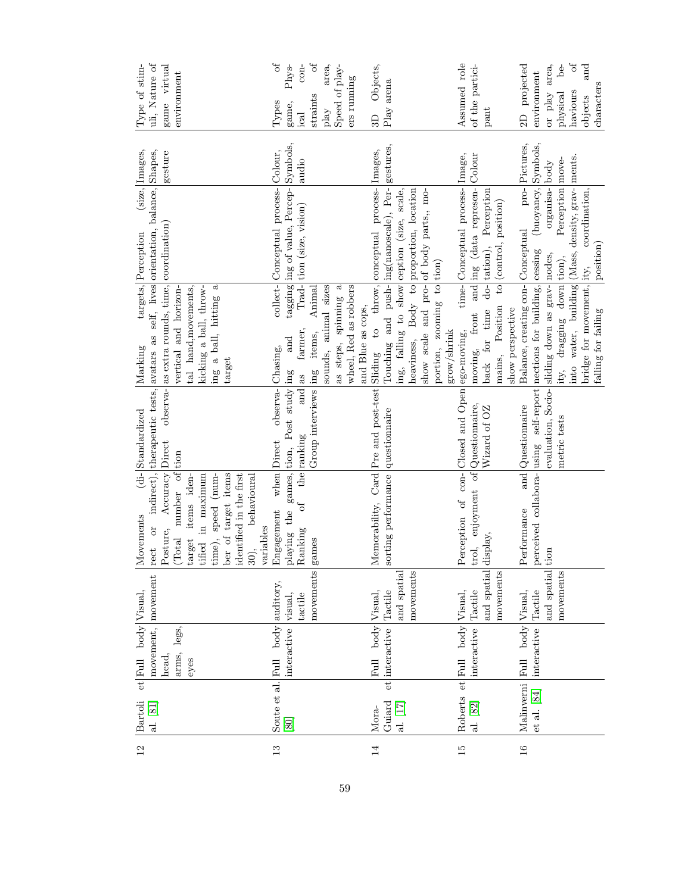| 12              | <b>Bartoli</b><br>al. [81] | movement, movement<br>$et$ Full body Visual, |             | Movements                                         | (di-Standardized                | rect or indirect), therapeutic tests, avatars as self, lives orientation, balance, Shapes,<br>$[{{\rm{Marking}}}$ | targets, Perception                  | (size, Images, | uli, Nature of<br>Type of stim- |
|-----------------|----------------------------|----------------------------------------------|-------------|---------------------------------------------------|---------------------------------|-------------------------------------------------------------------------------------------------------------------|--------------------------------------|----------------|---------------------------------|
|                 |                            | legs,<br>arms,<br>head,                      |             | Posture, Accuracy Direct<br>(Total number of tion |                                 | observa- as extra rounds, time, coordination)<br>vertical and horizon-                                            |                                      | gesture        | game virtual<br>environment     |
|                 |                            | eyes                                         |             | tified in maximum<br>items iden-<br>target        |                                 | tal hand, movements,<br>kicking a ball, throw-                                                                    |                                      |                |                                 |
|                 |                            |                                              |             | time), speed (num-                                |                                 | $\mathfrak{a}$<br>ing a ball, hitting                                                                             |                                      |                |                                 |
|                 |                            |                                              |             | ber of target items<br>identified in the first    |                                 | target                                                                                                            |                                      |                |                                 |
|                 |                            |                                              |             | behavioural<br>30),                               |                                 |                                                                                                                   |                                      |                |                                 |
|                 |                            |                                              |             | variables                                         |                                 |                                                                                                                   |                                      |                |                                 |
| 13              | Soute et al.               | Full body auditory,                          |             | Engagement                                        | observa-Chasing,<br>when Direct |                                                                                                                   | collect- Conceptual process- Colour, |                | ð<br>Types                      |
|                 | [80]                       | interactive                                  | visual,     | playing the games, tion, Post study ing           |                                 | and                                                                                                               | tagging ing of value, Percep-        | Symbols,       | ${\rm Phys}$<br>game,           |
|                 |                            |                                              | tactile     | $\mathfrak{h}^0$<br>Ranking                       | and as<br>the ranking           | farmer,                                                                                                           | Trad-tion (size, vision)             | audio          | $con-$<br>ical                  |
|                 |                            |                                              | movements   | games                                             | Group interviews ling           | Animal<br>items,                                                                                                  |                                      |                | $\sigma$<br>straints            |
|                 |                            |                                              |             |                                                   |                                 | sounds, animal sizes                                                                                              |                                      |                | area,<br>play                   |
|                 |                            |                                              |             |                                                   |                                 | as steps, spinning a                                                                                              |                                      |                | Speed of play-                  |
|                 |                            |                                              |             |                                                   |                                 | wheel, Red as robbers                                                                                             |                                      |                | ers running                     |
|                 |                            |                                              |             |                                                   |                                 | and Blue as cops,                                                                                                 |                                      |                |                                 |
| 14              | Mora-                      | Full body Visual,                            |             |                                                   |                                 | Memorability, Card Pre and post-test Sliding to throw, conceptual process- Images,                                |                                      |                | Objects,<br>ЭD                  |
|                 | et<br>Guiard               | interactive Tactile                          |             | sorting performance questionnaire                 |                                 | Touching and push- ing(nanoscale), Per- gestures,                                                                 |                                      |                | Play arena                      |
|                 | al. [17]                   |                                              | and spatial |                                                   |                                 | ing, falling to show ception (size, scale,                                                                        |                                      |                |                                 |
|                 |                            |                                              | movements   |                                                   |                                 | heaviness, Body to proportion, location                                                                           |                                      |                |                                 |
|                 |                            |                                              |             |                                                   |                                 | show scale and pro-oof body parts,, mo-                                                                           |                                      |                |                                 |
|                 |                            |                                              |             |                                                   |                                 | portion, zooming to tion)                                                                                         |                                      |                |                                 |
|                 |                            |                                              |             |                                                   |                                 | grow/shrink                                                                                                       |                                      |                |                                 |
| 15              | et<br>Roberts              | Full body Visual,                            |             | Perception of con-Closed and Open ego-moving,     |                                 |                                                                                                                   | time-Conceptual process-Image,       |                | Assumed role                    |
|                 | al. [82]                   | interactive                                  | Tactile     | trol, enjoyment of Questionnaire,                 |                                 | moving, front and ing (data represen-                                                                             |                                      | Colour         | of the partici-                 |
|                 |                            |                                              | and spatial | display,                                          | Wizard of OZ                    | back for time                                                                                                     | do- tation), Perception              |                | $_{\rm part}$                   |
|                 |                            |                                              | movements   |                                                   |                                 | mains, Position                                                                                                   | to (control, position)               |                |                                 |
|                 |                            |                                              |             |                                                   |                                 | show perspective                                                                                                  |                                      |                |                                 |
| $\overline{16}$ | Malinverni                 | Full body Visual,                            |             | Performance                                       | and Questionnaire               | Balance, creating con-Conceptual                                                                                  | pro-                                 | Pictures,      | projected<br>$\overline{c}$     |
|                 | et al. [84]                | interactive                                  | Tactile     |                                                   |                                 | perceived collabora-using self-report nections for building, cessing                                              | (buoyancy, Symbols,                  |                | environment                     |
|                 |                            |                                              | and spatial | tion                                              |                                 | evaluation, Socio- sliding down as grav- nodes,                                                                   | organisa- body                       |                | area,<br>or play                |
|                 |                            |                                              | movements   |                                                   | metric tests                    | ity, dragging down tion),                                                                                         | Perception   move-                   |                | $be-$<br>physical               |
|                 |                            |                                              |             |                                                   |                                 | into water, building (Mass, density, grav- ments.                                                                 |                                      |                | $\delta$<br>haviours            |
|                 |                            |                                              |             |                                                   |                                 | bridge for movement, ity,                                                                                         | coordination,                        |                | and<br>objects                  |
|                 |                            |                                              |             |                                                   |                                 | falling for failing                                                                                               | position)                            |                | characters                      |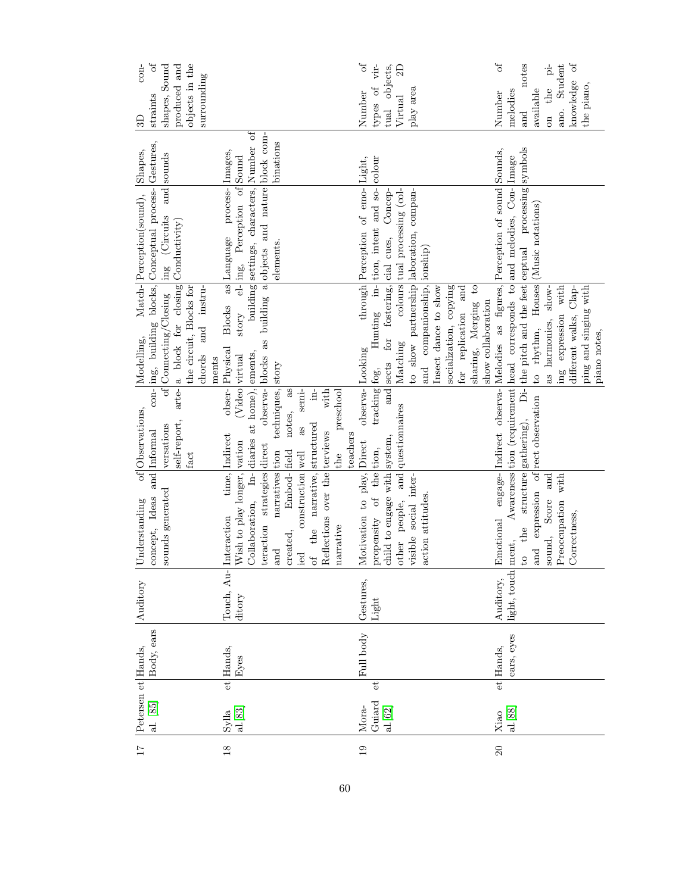| $\overline{17}$ | Petersen et Hands,<br>al. [85]                      | Body, ears   | Auditory     | concept, Ideas<br>Understanding                                     | of Observations,<br>and Informal | con- ing, building blocks, Conceptual process- Gestures,<br>Modelling,                     | Match-Perception(sound),                                                       | Shapes,   | $\sigma$<br>$con-$<br>straints<br>3D |
|-----------------|-----------------------------------------------------|--------------|--------------|---------------------------------------------------------------------|----------------------------------|--------------------------------------------------------------------------------------------|--------------------------------------------------------------------------------|-----------|--------------------------------------|
|                 |                                                     |              |              | sounds generated                                                    | self-report,<br>versations       | of Connecting/Closing  ing (Circuits and sounds<br>arte- a block for closing Conductivity) |                                                                                |           | shapes, Sound<br>produced and        |
|                 |                                                     |              |              |                                                                     | fact                             | the circuit, Blocks for<br>and instru-<br>chords                                           |                                                                                |           | objects in the<br>surrounding        |
|                 |                                                     |              |              |                                                                     |                                  | ments                                                                                      |                                                                                |           |                                      |
| $\overline{18}$ | $\frac{\mathrm{Sylla}}{\mathrm{al.} \mathrm{[S3]}}$ | et Hands,    | Touch, Au-   | time,<br>nteraction                                                 | Indirect                         | Blocks as Language<br>obser-Physical                                                       | process-Images,                                                                |           |                                      |
|                 |                                                     | ${\rm Eyes}$ | ditory       | Collaboration, In-diaries at home), ements,<br>Wish to play longer, | (Video virtual<br>vation         |                                                                                            | building settings, characters, Number of<br>story el- ing, Perception of Sound |           |                                      |
|                 |                                                     |              |              | craction strategies direct                                          | observa- blocks                  |                                                                                            | as building a objects and nature block com-                                    |           |                                      |
|                 |                                                     |              |              | narratives tion<br>and                                              | techniques, story                |                                                                                            | elements.                                                                      | binations |                                      |
|                 |                                                     |              |              | Embod-<br>field<br>reated,                                          | notes, as                        |                                                                                            |                                                                                |           |                                      |
|                 |                                                     |              |              | construction well<br>ed<br>C                                        | semi-<br>as                      |                                                                                            |                                                                                |           |                                      |
|                 |                                                     |              |              | of the narrative,                                                   | $\ln$<br>structured              |                                                                                            |                                                                                |           |                                      |
|                 |                                                     |              |              | Reflections over the terviews                                       | with                             |                                                                                            |                                                                                |           |                                      |
|                 |                                                     |              |              | narrative                                                           | preschool<br>the                 |                                                                                            |                                                                                |           |                                      |
|                 |                                                     |              |              |                                                                     | teachers                         |                                                                                            |                                                                                |           |                                      |
| 19              | $Mora-$                                             | Full body    | Gestures,    | Motivation to play, Direct                                          | observa-Looking                  |                                                                                            | through Perception of emo-Light,                                               |           | $\sigma$<br>Number                   |
|                 | $\mathfrak{e}$<br>Guiard                            |              | Light        | propensity of the tion,                                             |                                  | tracking fog, Hunting in-tion, intent and so-colour                                        |                                                                                |           | $\overline{\text{vir}}$<br>types of  |
|                 | al.[62]                                             |              |              | hild to engage with system,                                         |                                  | and sects for fostering, cial cues, Concep-                                                |                                                                                |           | tual objects,                        |
|                 |                                                     |              |              | other people, and questionnaires                                    |                                  | Matching                                                                                   | colours tual processing (col-                                                  |           | $\mathbf{D}$<br>Virtual              |
|                 |                                                     |              |              | risible social inter-                                               |                                  | to show partnership laboration, compan-                                                    |                                                                                |           | play area                            |
|                 |                                                     |              |              | action attitudes.                                                   |                                  | and companionship, ionship)                                                                |                                                                                |           |                                      |
|                 |                                                     |              |              |                                                                     |                                  | Insect dance to show                                                                       |                                                                                |           |                                      |
|                 |                                                     |              |              |                                                                     |                                  | socialization, copying                                                                     |                                                                                |           |                                      |
|                 |                                                     |              |              |                                                                     |                                  | for replication and                                                                        |                                                                                |           |                                      |
|                 |                                                     |              |              |                                                                     |                                  | $\mathfrak{c}_1$<br>sharing, Merging                                                       |                                                                                |           |                                      |
|                 |                                                     |              |              |                                                                     |                                  | show collaboration                                                                         |                                                                                |           |                                      |
| 20              | Xiao                                                | et Hands,    | Auditory,    | Emotional                                                           |                                  | engage- Indirect observa- Melodies as figures, Perception of sound Sounds,                 |                                                                                |           | b <sup>t</sup><br>Number             |
|                 | al.[88]                                             | ears, eyes   | light, touch | ment,                                                               |                                  | Awareness tion (requirement head corresponds to and melodies, Con- Image                   |                                                                                |           | melodies                             |
|                 |                                                     |              |              | o the                                                               |                                  | structure gathering), Di- the pitch and the feet ceptual processing symbols                |                                                                                |           | notes<br>$_{\rm and}$                |
|                 |                                                     |              |              | and expression of                                                   | rect observation                 | to rhythm, Houses (Music notations)                                                        |                                                                                |           | available                            |
|                 |                                                     |              |              | and<br>sound, Score                                                 |                                  | show-<br>as harmonies,                                                                     |                                                                                |           | $\dot{\Xi}$<br>the<br>$\sin$         |
|                 |                                                     |              |              | Preoccupation with                                                  |                                  | ing expression with                                                                        |                                                                                |           | Student<br>ano.                      |
|                 |                                                     |              |              | Correctness,                                                        |                                  | different walks, Clap-                                                                     |                                                                                |           | $\sigma$ f<br>knowledge              |
|                 |                                                     |              |              |                                                                     |                                  | ping and singing with                                                                      |                                                                                |           | the piano,                           |
|                 |                                                     |              |              |                                                                     |                                  | piano notes,                                                                               |                                                                                |           |                                      |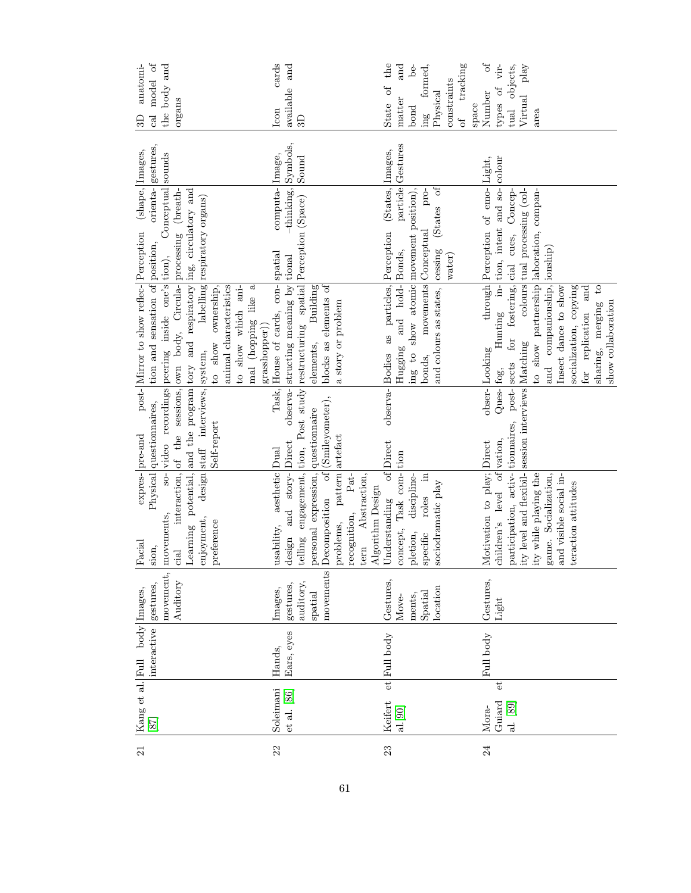| 21 | $[87]$      | Kang et al. Full body Images,<br>interactive | gestures,             | Physical<br>Facial<br>sion,                                            | questionnaires,<br>expres- pre-and       | post- Mirror to show reflec- Perception<br>tion and sensation of position,                                                                           | (shape, Images,                           | orienta- gestures, | $\mathfrak{h}^{\mathbb{O}}$<br>anatomi-<br>model<br>cal<br>$\Omega$ |
|----|-------------|----------------------------------------------|-----------------------|------------------------------------------------------------------------|------------------------------------------|------------------------------------------------------------------------------------------------------------------------------------------------------|-------------------------------------------|--------------------|---------------------------------------------------------------------|
|    |             |                                              | movement,             | $-98$<br>movements                                                     |                                          | video recordings peering inside one's tion),                                                                                                         | Conceptual                                | sounds             | the body and                                                        |
|    |             |                                              | Auditory              | ciad                                                                   |                                          | interaction, of the sessions, own body, Circula-processing (breath-<br>Learning potential, and the program tory and respiratory ing, circulatory and |                                           |                    | organs                                                              |
|    |             |                                              |                       | design<br>enjoyment,<br>preference                                     | staff interviews, system,<br>Self-report | to show ownership,                                                                                                                                   | labelling respiratory organs)             |                    |                                                                     |
|    |             |                                              |                       |                                                                        |                                          | animal characteristics                                                                                                                               |                                           |                    |                                                                     |
|    |             |                                              |                       |                                                                        |                                          | to show which ani-                                                                                                                                   |                                           |                    |                                                                     |
|    |             |                                              |                       |                                                                        |                                          | mal (hopping like a                                                                                                                                  |                                           |                    |                                                                     |
|    |             |                                              |                       |                                                                        |                                          | grasshopper)                                                                                                                                         |                                           |                    |                                                                     |
| 22 | Soleimani   | Hands,                                       | Images,               | aesthetic<br>usability,                                                | Task,<br>Dual                            | House of cards, con-                                                                                                                                 | computa- Image,<br>spatial                |                    | cards<br>Icon                                                       |
|    | et al. [86] | Ears, eyes                                   | gestures,<br>auditory | and story-<br>design                                                   | Direct                                   | observa-structing meaning by tional                                                                                                                  | $-thinking,$                              | Symbols,<br>Sound  | available and<br>3D                                                 |
|    |             |                                              |                       | engagement,<br>telling                                                 | tion,                                    | Post study restructuring spatial Perception (Space)                                                                                                  |                                           |                    |                                                                     |
|    |             |                                              | movements<br>spatial  | Decomposition of (Smileyometer),<br>personal expression, questionnaire |                                          | blocks as elements of<br><b>Building</b><br>elements,                                                                                                |                                           |                    |                                                                     |
|    |             |                                              |                       |                                                                        |                                          |                                                                                                                                                      |                                           |                    |                                                                     |
|    |             |                                              |                       | pattern artefact<br>$Pat-$<br>problems,                                |                                          | a story or problem                                                                                                                                   |                                           |                    |                                                                     |
|    |             |                                              |                       | tern Abstraction,<br>recognition,                                      |                                          |                                                                                                                                                      |                                           |                    |                                                                     |
|    |             |                                              |                       | Algorithm Design                                                       |                                          |                                                                                                                                                      |                                           |                    |                                                                     |
| 23 | Keifert     | et Full body                                 | Gestures,             | $\overline{\text{eff}}$<br>Understanding                               | observa-Bodies<br>Direct                 |                                                                                                                                                      | as particles, Perception (States, Images, |                    | the<br>State of                                                     |
|    | al.[90]     |                                              | Move-                 | concept, Task com-tion                                                 |                                          | and hold-Bonds,<br>Hugging                                                                                                                           |                                           | particle Gestures  | and<br>matter                                                       |
|    |             |                                              | ments,                | discipline-<br>pletion,                                                |                                          | ing to show atomic movement position),                                                                                                               |                                           |                    | $be-$<br>bond                                                       |
|    |             |                                              | Spatial               | $\Xi$<br>roles<br>specific                                             |                                          | movements Conceptual<br>bonds,                                                                                                                       | pro-                                      |                    | formed,<br>$\mathbf{m}$                                             |
|    |             |                                              | location              | sociodramatic play                                                     |                                          | and colours as states, cessing                                                                                                                       | (States of                                |                    | Physical                                                            |
|    |             |                                              |                       |                                                                        |                                          |                                                                                                                                                      | water)                                    |                    | constraints                                                         |
|    |             |                                              |                       |                                                                        |                                          |                                                                                                                                                      |                                           |                    | of tracking<br>space                                                |
| 24 | Mora-       | Full body                                    | Gestures,             | Motivation to play; Direct                                             |                                          | obser-Looking                                                                                                                                        | through Perception of emo-Light,          |                    | $\sigma$<br>Number                                                  |
|    | ť<br>Guiard |                                              | Light                 | children's level of vation,                                            | Ques- fog,                               |                                                                                                                                                      | Hunting in-tion, intent and so-colour     |                    | types of vir-                                                       |
|    | al. [89]    |                                              |                       | participation, activ- tionnaires, post- sects                          |                                          |                                                                                                                                                      | for fostering, cial cues, Concep-         |                    | tual objects,                                                       |
|    |             |                                              |                       | ity level and flexibil- session interviews Matching                    |                                          |                                                                                                                                                      | colours tual processing (col-             |                    | Virtual play                                                        |
|    |             |                                              |                       | ity while playing the                                                  |                                          | to show partnership laboration, compan-                                                                                                              |                                           |                    | area                                                                |
|    |             |                                              |                       | game. Socialization,                                                   |                                          | and companionship,                                                                                                                                   | ionship)                                  |                    |                                                                     |
|    |             |                                              |                       | and visible social in-                                                 |                                          | Insect dance to show                                                                                                                                 |                                           |                    |                                                                     |
|    |             |                                              |                       | teraction attitudes                                                    |                                          | socialization, copying                                                                                                                               |                                           |                    |                                                                     |
|    |             |                                              |                       |                                                                        |                                          | for replication and                                                                                                                                  |                                           |                    |                                                                     |
|    |             |                                              |                       |                                                                        |                                          | $\mathbf{c}$<br>sharing, merging                                                                                                                     |                                           |                    |                                                                     |
|    |             |                                              |                       |                                                                        |                                          | show collaboration                                                                                                                                   |                                           |                    |                                                                     |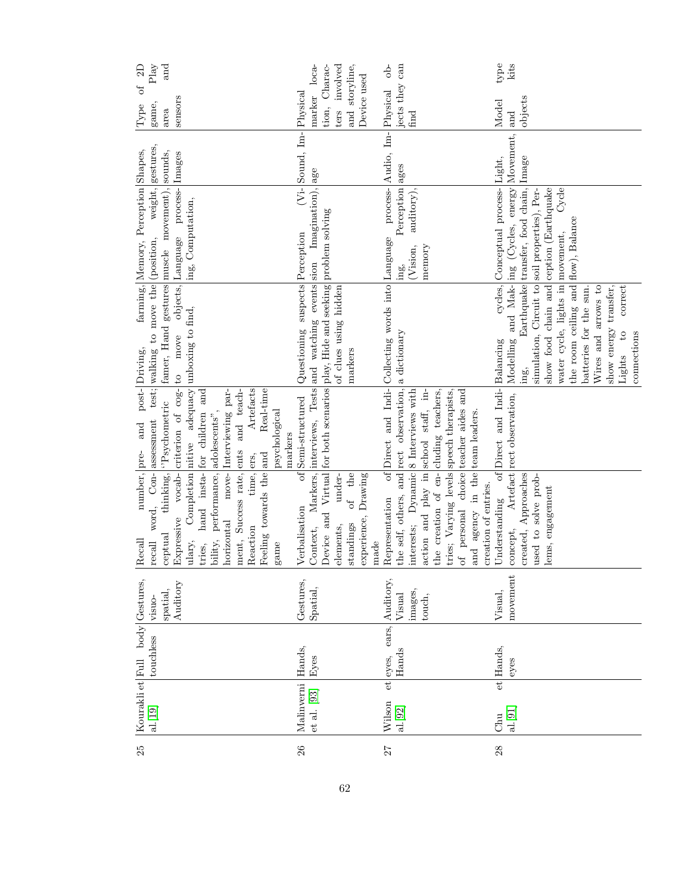| $\mathrm{Play}$<br>and<br>$\Xi$                                                                                                                                                                   |                                                                                                                                                                                   | $\frac{1}{2}$                                                                                                                                                                                                                                                 | type<br>kits                                                                                                                                                                                                                                                                                     |
|---------------------------------------------------------------------------------------------------------------------------------------------------------------------------------------------------|-----------------------------------------------------------------------------------------------------------------------------------------------------------------------------------|---------------------------------------------------------------------------------------------------------------------------------------------------------------------------------------------------------------------------------------------------------------|--------------------------------------------------------------------------------------------------------------------------------------------------------------------------------------------------------------------------------------------------------------------------------------------------|
| $\sigma$<br>sensors<br>game,<br> Type<br>area                                                                                                                                                     | and storyline,<br>marker loca-<br>ters involved<br>tion, Charac-<br>Device used                                                                                                   | jects they can<br>find                                                                                                                                                                                                                                        | objects<br>Model<br>land                                                                                                                                                                                                                                                                         |
| Images                                                                                                                                                                                            | (Vi-Sound, Im-Physical                                                                                                                                                            | process- Audio, Im- Physical                                                                                                                                                                                                                                  | Modelling and Mak- ing (Cycles, energy Movement,                                                                                                                                                                                                                                                 |
| weight, gestures<br>farming, Memory, Perception Shapes,<br>famer, Hand gestures muscle movement), sounds,<br>objects, Language process-                                                           |                                                                                                                                                                                   | Perception ages<br>auditory),                                                                                                                                                                                                                                 | Earthquake transfer, food chain, Image<br>cycles, Conceptual process-Light,<br>Cycle                                                                                                                                                                                                             |
| ing, Computation,                                                                                                                                                                                 |                                                                                                                                                                                   | (Vision,<br>memory<br>ing                                                                                                                                                                                                                                     |                                                                                                                                                                                                                                                                                                  |
|                                                                                                                                                                                                   |                                                                                                                                                                                   |                                                                                                                                                                                                                                                               | correct                                                                                                                                                                                                                                                                                          |
| test; walking to move the (position,<br>post-Driving,                                                                                                                                             | Questioning suspects Perception<br>of clues using hidden<br>markers                                                                                                               |                                                                                                                                                                                                                                                               | show food chain and ception (Earthquake<br>simulation, Circuit to soil properties), Per-<br>the room ceiling and flow), Balance<br>water cycle, lights in movement,<br>Wires and arrows to<br>show energy transfer,<br>batteries for the sun.<br>$\overline{c}$<br>connections<br>Lights<br>ing, |
| Completion nitive adequacy unboxing to find,<br>Expressive vocab-criterion of cog- to move<br>Artefacts<br>Real-time<br>move-Interviewing par-<br>and teach-<br>'Psychometric<br>psychological    | Jontext, Markers, interviews, Tests and watching events sion Imagination), age<br>Jevice and Virtual for both scenarios play, Hide and seeking problem solving<br>Semi-structured | Representation of Direct and Indi-Collecting words into Language<br>he self, others, and rect observation, a dictionary<br>$\lim$                                                                                                                             | of Direct and Indi-Balancing<br>Artefact rect observation,                                                                                                                                                                                                                                       |
| markers                                                                                                                                                                                           |                                                                                                                                                                                   |                                                                                                                                                                                                                                                               |                                                                                                                                                                                                                                                                                                  |
| hand insta- for children and<br>bility, performance, adolescents",<br>word, Con- assessment<br>number, pre- and<br>ment, Success rate, ents<br>Teeling towards the and<br>time, ers,<br>thinking, | $\sigma$ f<br>of the<br>experience, Drawing<br>under-                                                                                                                             | the creation of en-cluding teachers,<br>ries; Varying levels speech therapists,<br>of personal choice teacher aides and<br>nterests; Dynamic 8 Interviews with<br>action and play in school staff,<br>and agency in the team leaders.<br>creation of entries. | created, Approaches<br>used to solve prob-                                                                                                                                                                                                                                                       |
| horizontal<br>leaction<br>eptual<br>ulary,<br>tries,<br>$ \operatorname{Recall}$<br>recall<br>game                                                                                                | /erbalisation<br>standings<br>elements,<br>nade                                                                                                                                   |                                                                                                                                                                                                                                                               | lems, engagement<br>Jnderstanding<br>concept,                                                                                                                                                                                                                                                    |
| Auditory<br>spatial,<br>visuo-                                                                                                                                                                    | Gestures,<br>Spatial,                                                                                                                                                             | images,<br>Visual<br>touch,                                                                                                                                                                                                                                   | movement<br>Visual,                                                                                                                                                                                                                                                                              |
| touchless                                                                                                                                                                                         | Hands,<br>Eyes                                                                                                                                                                    | et eyes, ears, Auditory,<br>Hands                                                                                                                                                                                                                             | et Hands,<br>eyes                                                                                                                                                                                                                                                                                |
| Kourakli et Full body Gestures,<br>al.[19]                                                                                                                                                        | Malinverni<br>et al. [93]                                                                                                                                                         | Wilson<br>al. $\left[ 92\right]$                                                                                                                                                                                                                              | al.[91]<br>Chu                                                                                                                                                                                                                                                                                   |
| $\frac{5}{2}$                                                                                                                                                                                     | 26                                                                                                                                                                                | 72                                                                                                                                                                                                                                                            | 28                                                                                                                                                                                                                                                                                               |

 $\tilde{\Omega}$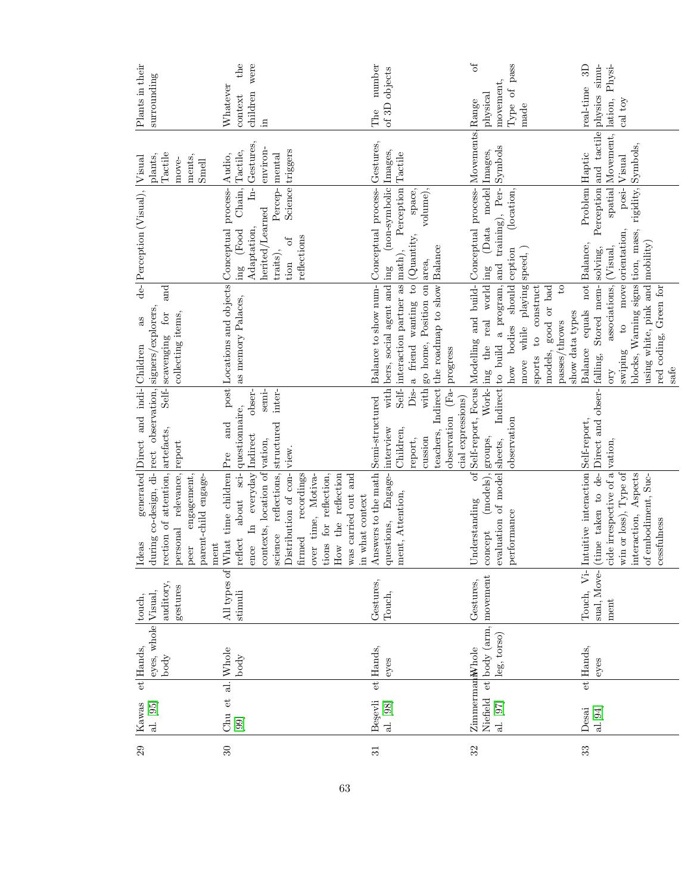| Plants in their<br>surrounding                                                                                                                        | $_{\text{the}}$<br>were<br>Whatever<br>children<br>context<br>'n.                                                                                                                                                                                                                            | number<br>of 3D objects<br>The                                                                                                                                                                                                | $\sigma$<br>Type of pass<br>movement,<br>physical<br>made                                                                                                                                                                                                                                                                   | $s_{\rm imu}$<br>3D<br>Physi-<br>real-time<br>physics<br>lation,<br>cal toy                                                                                                                                                                                                              |
|-------------------------------------------------------------------------------------------------------------------------------------------------------|----------------------------------------------------------------------------------------------------------------------------------------------------------------------------------------------------------------------------------------------------------------------------------------------|-------------------------------------------------------------------------------------------------------------------------------------------------------------------------------------------------------------------------------|-----------------------------------------------------------------------------------------------------------------------------------------------------------------------------------------------------------------------------------------------------------------------------------------------------------------------------|------------------------------------------------------------------------------------------------------------------------------------------------------------------------------------------------------------------------------------------------------------------------------------------|
| Tactile<br>plants,<br>ments,<br>move-<br>Smell                                                                                                        | Gestures.<br>environ-<br>Science triggers<br>Tactile,<br>Audio,<br>mental                                                                                                                                                                                                                    | Gestures,                                                                                                                                                                                                                     | Movements, Range                                                                                                                                                                                                                                                                                                            | Perception and tactile<br>spatial Movement,<br>Visual                                                                                                                                                                                                                                    |
| de- Perception (Visual),  Visual                                                                                                                      | $\text{Chain},$<br>$\frac{1}{\overline{a}}$<br>Conceptual process-<br>Percep-<br>herited/Learned<br>Adaptation,<br>(Food<br>reflections<br>$\sigma$<br>traits),<br>tion                                                                                                                      | (non-symbolic Images,<br>Perception Tactile<br>Conceptual process-<br>volume),<br>space,                                                                                                                                      | (Data model Images,<br>(location,                                                                                                                                                                                                                                                                                           | Problem Haptic<br>$posi$ -                                                                                                                                                                                                                                                               |
| and<br>observation, signers/explorers,<br>for<br>collecting items,<br>as<br>Self- scavenging<br>indi-Children                                         | ing<br>post Locations and objects<br>as memory Palaces,                                                                                                                                                                                                                                      | a friend wanting to $\vert$ (Quantity,<br>teachers, Indirect the roadmap to show Balance<br>Self- interaction partner as math),<br>with go home, Position on area,<br>with bers, social agent and ing<br>Balance to show num- | Indirect to build a program, and training), Per-Symbols<br>Self-report, Focus Modelling and build- Conceptual process-<br>should ception<br>move while playing speed,<br>Work- ing the real world ing<br>to construct<br>$\mathbf{c}$<br>good or bad<br>show data types<br>passes/throws<br>how bodies<br>models,<br>sports | blocks, Warning signs tion, mass, rigidity, Symbols,<br>to move orientation,<br>using white, pink and mobility)<br>not Balance,<br>$\arctan\left(\frac{1}{\sqrt{2}}\right)$ (Visual,<br>Stored mem- solving,<br>red coding, Green for<br>Balance equals<br>swiping<br>safe<br><b>OTY</b> |
| generated Direct and<br>report                                                                                                                        | obser-<br>semi-<br>inter-<br>questionnaire,<br>structured<br>$_{\rm and}$<br>vation,<br>view.                                                                                                                                                                                                | observation (Fa- progress<br>Dis-<br>Semi-structured<br>cial expressions)<br>Children,<br>interview<br>cussion<br>report,                                                                                                     | observation                                                                                                                                                                                                                                                                                                                 |                                                                                                                                                                                                                                                                                          |
| rection of attention, artefacts,<br>during co-design, di- rect<br>personal relevance,<br>parent-child engage-<br>engagement,<br>Ideas<br>ment<br>peer | ence In everyday Indirect<br>What time children Pre<br>reflections,<br>about sci-<br>contexts, location of<br>Distribution of con-<br>recordings<br>ions for reflection,<br>over time, Motiva-<br>How the reflection<br>was carried out and<br>n what context<br>science<br>irmed<br>reflect | Answers to the math<br>questions, Engage-<br>nent, Attention,                                                                                                                                                                 | (models), groups,<br>evaluation of model sheets,<br>$\sigma$ f<br>Understanding<br>oerformance<br>concept                                                                                                                                                                                                                   | (time taken to de-Direct and obser- falling,<br>Intuitive interaction Self-report,<br>cide irrespective of a vation,<br>interaction, Aspects<br>win or loss), Type of<br>of embodiment, Suc-<br><b>ressfulness</b>                                                                       |
| auditory,<br>gestures<br>touch,                                                                                                                       | All types of<br>stimuli                                                                                                                                                                                                                                                                      | Gestures,<br>Touch,                                                                                                                                                                                                           | Gestures,                                                                                                                                                                                                                                                                                                                   | Touch, Vi-<br>sual, Move-<br>ment                                                                                                                                                                                                                                                        |
| eyes, whole Visual,<br>et Hands,<br>$_{\rm body}$                                                                                                     | Whole<br>$\mathop{\rm body}\nolimits$                                                                                                                                                                                                                                                        | et Hands,<br>eyes                                                                                                                                                                                                             | Niefield et body (arm, movement<br>leg, torso)                                                                                                                                                                                                                                                                              | et Hands,<br>eyes                                                                                                                                                                                                                                                                        |
| Kawas<br>[al. [95]                                                                                                                                    | Chu et al.<br>$[99]$                                                                                                                                                                                                                                                                         | Begevli<br>al. [98]                                                                                                                                                                                                           | Zimmerman <sub>N</sub> Nhole<br>al. [97]                                                                                                                                                                                                                                                                                    | al.[94]<br>Desai                                                                                                                                                                                                                                                                         |
| 29                                                                                                                                                    | $30\,$                                                                                                                                                                                                                                                                                       | $\overline{31}$                                                                                                                                                                                                               | 32                                                                                                                                                                                                                                                                                                                          | 33                                                                                                                                                                                                                                                                                       |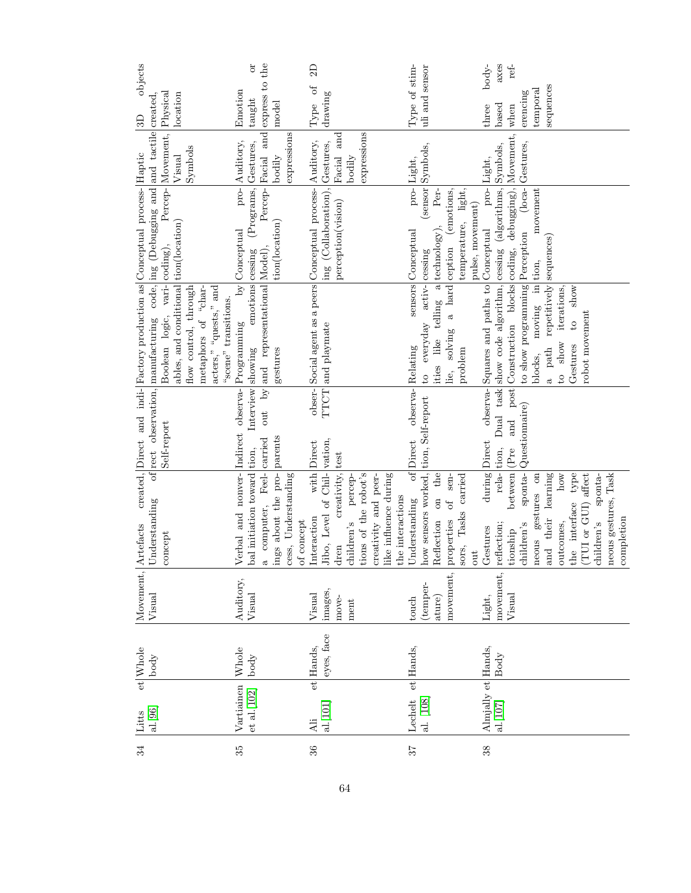| $_{\rm objects}$                                                           |                                                                                              |                                                                                                                                         |                                                            | ð                                                                    |                                            |            | 2D<br>$\mathcal{L}_{\text{O}}$                       |                                                      |                       |                      |                      |                       |                  |                       |                                  |                                  |                             |                               | $\text{body}$ -                         | axes                         | ref-                                                   |                                                |                            |                                  |                                       |                                   |                     |                       |                                    |
|----------------------------------------------------------------------------|----------------------------------------------------------------------------------------------|-----------------------------------------------------------------------------------------------------------------------------------------|------------------------------------------------------------|----------------------------------------------------------------------|--------------------------------------------|------------|------------------------------------------------------|------------------------------------------------------|-----------------------|----------------------|----------------------|-----------------------|------------------|-----------------------|----------------------------------|----------------------------------|-----------------------------|-------------------------------|-----------------------------------------|------------------------------|--------------------------------------------------------|------------------------------------------------|----------------------------|----------------------------------|---------------------------------------|-----------------------------------|---------------------|-----------------------|------------------------------------|
| 3D                                                                         | Physical<br>created.                                                                         | location                                                                                                                                | Emotion                                                    | express to the<br>$t$ augh $t$                                       | model                                      |            | Type                                                 | drawing                                              |                       |                      |                      |                       |                  | Type of stim-         | uli and sensor                   |                                  |                             |                               | three                                   | based                        | when                                                   | erencing                                       | $t$ emporal                | sequences                        |                                       |                                   |                     |                       |                                    |
|                                                                            | and tactile<br>Percep-Movement,                                                              | Symbols<br>Visual                                                                                                                       | Auditory,                                                  | and                                                                  | expressions<br>bodily                      |            |                                                      | and<br>Facial                                        | bodily                | expressions          |                      |                       |                  | pro-Light,            | (sensor Symbols,                 |                                  |                             |                               | pro-Light,                              |                              |                                                        |                                                |                            |                                  |                                       |                                   |                     |                       |                                    |
|                                                                            |                                                                                              |                                                                                                                                         | $pro-$<br>$\ensuremath{\mathrm{by}}\xspace$<br>[Conceptual | (Programs, Gestures,<br>Percep-[Facial                               | tion(location)                             |            |                                                      | ing (Collaboration), Gestures,<br>perception(vision) |                       |                      |                      |                       |                  | sensors Conceptual    | activ- cessing                   | Per-                             | (emotions,                  | temperature, light,           | pulse, movement)                        | (algorithms, Symbols,        |                                                        |                                                | $m\novement$               |                                  |                                       |                                   |                     |                       |                                    |
| created, Direct and indi- Factory production as Conceptual process- Haptic | of rect observation, manufacturing code, ing (Debugging and<br>Boolean logic, vari- coding), | ables, and conditional tion(location)<br>flow control, through<br>acters," "quests," and<br>metaphors of "char-<br>"scene" transitions. |                                                            | by and representational Model),<br>$\emph{emoting}$ $\emph{cessing}$ | gestures                                   |            | Social agent as a peers Conceptual process Auditory, | TTCT and playmate                                    |                       |                      |                      |                       |                  | Relating              | to everyday                      | ities like telling a technology) | lie, solving a hard ception | problem                       | observa-Squares and paths to Conceptual | show code algorithm, cessing | post Construction blocks coding, debugging), Movement, | to show programming Perception (loca-Gestures, | moving in tion,<br>blocks. | repetitively sequences<br>a path | iterations,<br>show<br>$\overline{c}$ | show<br>$\frac{1}{2}$<br>Gestures | robot movement      |                       |                                    |
|                                                                            | Self-report                                                                                  |                                                                                                                                         | Indirect observa- Programming                              | Interview showing<br>out<br>tion,                                    | parents                                    |            | obser-<br>Direct                                     | vation,<br>test                                      |                       |                      |                      |                       |                  | observa-<br>of Direct | tion, Self-report                |                                  |                             |                               |                                         | Dual task<br>tion,           | and<br>(Pre                                            | Questionnaire)                                 |                            |                                  |                                       |                                   |                     |                       |                                    |
| Artefacts                                                                  | Understanding<br>concept                                                                     |                                                                                                                                         | Verbal and nonver-                                         | a computer, Feel-carried<br>bal initiation toward                    | ings about the pro-<br>cess, Understanding | of concept | with<br>Interaction                                  | Jibo, Level of Chil-<br>creativity,<br>dren          | percep-<br>children's | tions of the robot's | creativity and peer- | like influence during | the interactions | Understanding         | how sensors worked,              | on the<br>of<br>Reflection       | sen-<br>properties          | Tasks carried<br>sors,<br>out | during Direct<br>Gestures               | $rela-$<br>reflection;       | between<br>tionship                                    | sponta-<br>children's                          | gestures on<br>neous       | and their learning               | $_{\text{how}}$<br>outcomes,          | type<br>the interface             | (TUI or GUI) affect | sponta-<br>children's | neous gestures, Task<br>completion |
| Movement,                                                                  | Visual                                                                                       |                                                                                                                                         | Auditory,                                                  | Visual                                                               |                                            |            | Visual                                               | images<br>move-                                      | $\operatorname{ment}$ |                      |                      |                       |                  | touch                 | temper-                          | ature)                           | movement,                   |                               | Light,                                  | movement,                    | Visual                                                 |                                                |                            |                                  |                                       |                                   |                     |                       |                                    |
| et Whole                                                                   | body                                                                                         |                                                                                                                                         | Whole                                                      | $_{\rm body}$                                                        |                                            |            | et Hands,                                            | eyes, face                                           |                       |                      |                      |                       |                  | et Hands,             |                                  |                                  |                             |                               |                                         |                              |                                                        |                                                |                            |                                  |                                       |                                   |                     |                       |                                    |
| Litts                                                                      | al.[96]                                                                                      |                                                                                                                                         | Vartiainen                                                 | $et$ al. $[102]$                                                     |                                            |            | Ali                                                  | $\left[ 101\right]$                                  |                       |                      |                      |                       |                  | ${\rm Lechelt}$       | $\left[$ al. $\left[ 108\right]$ |                                  |                             |                               |                                         |                              |                                                        |                                                |                            |                                  |                                       |                                   |                     |                       |                                    |
| 34                                                                         |                                                                                              |                                                                                                                                         | 35                                                         |                                                                      |                                            |            | 36                                                   |                                                      |                       |                      |                      |                       | 57               |                       |                                  |                                  |                             |                               | 38                                      |                              |                                                        |                                                |                            |                                  |                                       |                                   |                     |                       |                                    |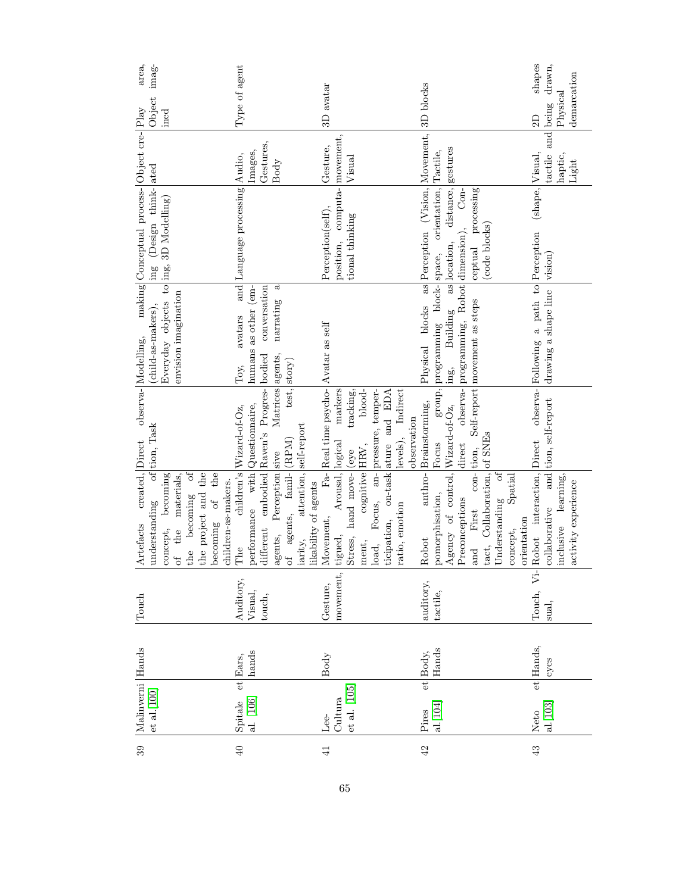| area,                                 | imag-                                                                                                                                         | Type of agent                                                                                                                                                                                             |                                                                                                                                                                   |                                                                                                                                                                                                          | shapes<br>drawn,<br>demarcation                                                             |
|---------------------------------------|-----------------------------------------------------------------------------------------------------------------------------------------------|-----------------------------------------------------------------------------------------------------------------------------------------------------------------------------------------------------------|-------------------------------------------------------------------------------------------------------------------------------------------------------------------|----------------------------------------------------------------------------------------------------------------------------------------------------------------------------------------------------------|---------------------------------------------------------------------------------------------|
| $ {\rm Play}$                         | Object<br>ined                                                                                                                                |                                                                                                                                                                                                           | 3D avatar                                                                                                                                                         | 3D blocks                                                                                                                                                                                                | Physical<br>being<br>2D                                                                     |
|                                       |                                                                                                                                               | Gestures,<br>Images,<br>Body                                                                                                                                                                              | Gesture,<br>Visual                                                                                                                                                | gestures                                                                                                                                                                                                 | tactile and<br>haptic,<br>Light                                                             |
| making Conceptual process-Object cre- | ing (Design think-ated                                                                                                                        | and Language processing Audio,                                                                                                                                                                            | position, computa- movement,<br>Perception(self),<br>tional thinking                                                                                              | orientation, Tactile,<br>distance,<br>processing                                                                                                                                                         | (shape, Visual,                                                                             |
|                                       |                                                                                                                                               |                                                                                                                                                                                                           |                                                                                                                                                                   | (code blocks)<br>ceptual                                                                                                                                                                                 |                                                                                             |
|                                       | Everyday objects to $\text{ing}$ , 3D Modelling)<br>envision imagination<br>(child-as-makers),                                                | humans as other (em-<br>conversation<br>ಸ<br>narrating<br>avatars<br>Toy,                                                                                                                                 |                                                                                                                                                                   | Physical blocks as Perception (Vision, Movement,<br>observa- programming, Robot dimension), Con-<br>Building as location,<br>group, programming block-space,<br>Self-report movement as steps<br>ing,    | observa- Following a path to Perception<br>drawing a shape line vision                      |
| observa- Modelling,                   | of tion, Task                                                                                                                                 | Matrices agents,<br>test, story)<br>children's Wizard-of-Oz,                                                                                                                                              | Fa-Real time psycho-Avatar as self<br>blood-<br>markers<br>Focus, an- pressure, temper-<br>tracking,<br>levels), Indirect<br>observation                          | anthro-Brainstorming,<br>$\mathrm{direct}$<br>Focus                                                                                                                                                      | and tion, self-report                                                                       |
| created, Direct<br>Artefacts          | ð<br>becoming of the<br>concept, becoming<br>of the materials,<br>the project and the<br>children-as-makers.<br>the becoming<br>understanding | different embodied Raven's Progres-bodied<br>performance with Questionnaire,<br>attention, self-report<br>of agents, famil- (RPM)<br>Perception sive<br>likability of agents<br>agents,<br>iarity,<br>The | ticipation, on-task ature and EDA<br>Arousal, logical<br>cognitive HRV,<br>hand move- (eye<br>ratio, emotion<br>Movement,<br>Stress,<br>tigued,<br>ment,<br>load, | Agency of control, $Wizard-of-Oz$ ,<br>tact, Collaboration, of SNEs<br>con-tion,<br>of<br>Spatial<br>pomorphisation,<br>Preconceptions<br>Understanding<br>and First<br>orientation<br>concept,<br>Robot | Robot interaction, Direct<br>learning,<br>activity experience<br>collaborative<br>inclusive |
| Touch                                 |                                                                                                                                               | Auditory,<br>Visual,<br>touch,                                                                                                                                                                            | movement,<br>Gesture,                                                                                                                                             | auditory,<br>tactile,                                                                                                                                                                                    | $\ddot{\triangledown}$<br>Touch,<br>sual,                                                   |
|                                       |                                                                                                                                               | hands<br>et Ears.                                                                                                                                                                                         | Body                                                                                                                                                              | Hands<br>et Body,                                                                                                                                                                                        | et Hands,<br>eyes                                                                           |
| Malinverni Hands                      | $et$ al. $[100]$                                                                                                                              | al. [106]<br>Spitale                                                                                                                                                                                      | $et$ al. $[105]$<br>Cultura<br>Lee-                                                                                                                               | al.[104]<br>Pires                                                                                                                                                                                        | Neto<br>  al. [103]                                                                         |
| 39                                    |                                                                                                                                               | 40                                                                                                                                                                                                        | $\frac{1}{4}$                                                                                                                                                     | 42                                                                                                                                                                                                       | 43                                                                                          |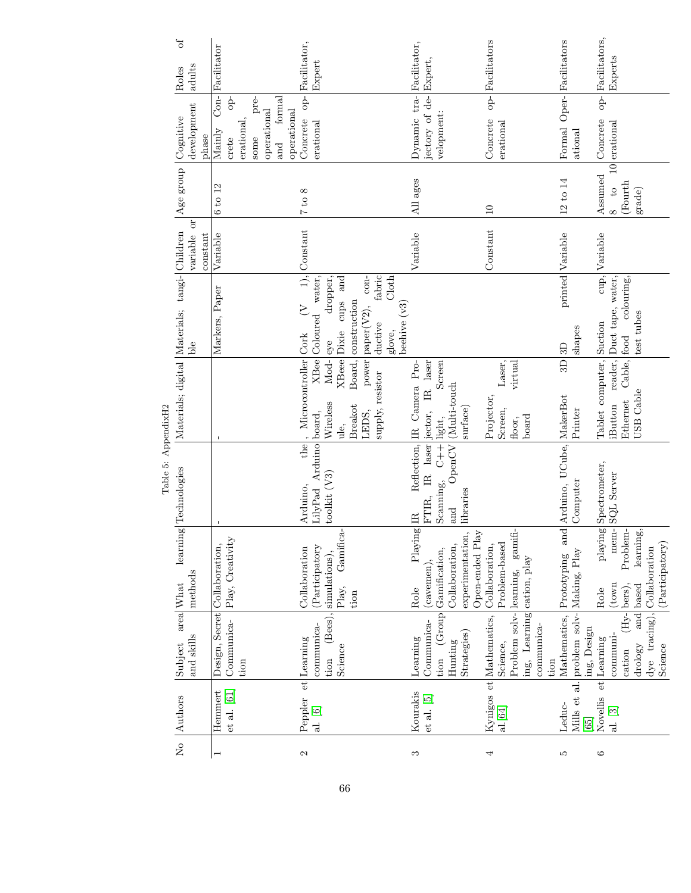|                     | $\sigma$                                        |          | Con-Racilitator               |                     |                     |                             | op-Bacilitator,        |                                           |                     |                         |                                 |                            |                       |               |                |                                     | op-<br>Facilitators     |                            |                            |                    | Oper- Facilitators |               | Facilitators,  |                                     |             |            |                                                |
|---------------------|-------------------------------------------------|----------|-------------------------------|---------------------|---------------------|-----------------------------|------------------------|-------------------------------------------|---------------------|-------------------------|---------------------------------|----------------------------|-----------------------|---------------|----------------|-------------------------------------|-------------------------|----------------------------|----------------------------|--------------------|--------------------|---------------|----------------|-------------------------------------|-------------|------------|------------------------------------------------|
|                     | adults<br>Roles                                 |          |                               |                     |                     |                             |                        | Expert                                    |                     |                         |                                 |                            |                       |               |                |                                     |                         |                            |                            |                    |                    |               |                | Experts                             |             |            |                                                |
|                     |                                                 |          |                               | Ъp                  | pre-                | tormal                      |                        |                                           |                     |                         |                                 |                            |                       |               |                |                                     |                         |                            |                            |                    |                    |               |                | $-$ do                              |             |            |                                                |
|                     | development<br>Cognitive                        | phase    | Mainly                        | erational,<br>crete | operational<br>some | operational<br>$_{\rm and}$ | Concrete               | erational                                 |                     |                         |                                 | Dynamic tra-Facilitator,   | jectory of de-Expert, | velopment:    |                |                                     | Concrete                | erational                  |                            |                    | Formal             | ational       | Concrete       | $10$ erational                      |             |            |                                                |
|                     | Age group                                       |          |                               |                     |                     |                             |                        |                                           |                     |                         |                                 |                            |                       |               |                |                                     |                         |                            |                            |                    |                    |               |                | $\overline{c}$                      |             |            |                                                |
|                     |                                                 |          | 6 to 12                       |                     |                     |                             | $7$ to $8$             |                                           |                     |                         |                                 | All ages                   |                       |               |                |                                     | $\Box$                  |                            |                            |                    | 12 to 14           |               |                | Assumed<br>$\infty$                 | (Fourth     | grade)     |                                                |
|                     | ð<br>variable                                   | constant | Variable                      |                     |                     |                             | $1),$ Constant         |                                           |                     |                         |                                 | Variable                   |                       |               |                |                                     | Constant                |                            |                            |                    | printed Variable   |               | Variable       |                                     |             |            |                                                |
|                     |                                                 |          |                               |                     |                     |                             | $\leq$                 | dropper,                                  | and                 |                         | fabric<br>Cloth<br>$con-$       |                            |                       |               |                |                                     |                         |                            |                            |                    |                    |               |                | cup,                                | colouring,  |            |                                                |
|                     | Ыe                                              |          | Markers, Paper                |                     |                     |                             |                        | XBee Coloured water,                      | cups                | Board, construction     | paper(V2),<br>ductive<br>glove, | beehive $(v3)$             |                       |               |                |                                     |                         |                            |                            |                    | 3D                 | shapes        |                | reader, Duct tape, water,           |             | test tubes |                                                |
|                     |                                                 |          |                               |                     |                     |                             |                        | Mod- eye                                  | <b>X</b> Beee Dixie |                         | power                           |                            | IR laser              | Screen        |                |                                     |                         | Laser,<br>virtual          |                            |                    | $\overline{3}$     |               |                |                                     | Cable, food |            |                                                |
|                     | Materials; digital  Materials; tangi-  Children |          |                               |                     |                     |                             | , Microcontroller Cork | Wireless                                  | ule,                | <b>Breakot</b><br>LEDS, | supply, resistor                | Reflection, IR Camera Pro- |                       | light,        | (Multi-touch   | surface)                            | Projector,              | Screen,<br>floor,          | board                      |                    | UCube, MakerBot    | Printer       |                | Tablet computer, Suction<br>iButton | Ethernet    | USB Cable  |                                                |
| Table 5: AppendixH2 |                                                 |          |                               |                     |                     |                             | the                    | Arduino board,                            |                     |                         |                                 |                            | IR laser jector,      |               | OpenCV         |                                     |                         |                            |                            |                    |                    |               |                |                                     |             |            |                                                |
|                     | learning Technologies                           |          |                               |                     |                     |                             | Arduino,               | toolkit (V3)<br>LilyPad                   |                     |                         |                                 |                            | FTIR,                 | Scanning, C++ | and            | libraries                           |                         |                            |                            |                    | and Arduino,       | Computer      |                | playing Spectrometer,<br>SQL Server |             |            |                                                |
|                     |                                                 |          |                               |                     |                     |                             |                        |                                           | Gamifica-           |                         |                                 | Playing IR                 |                       |               |                |                                     |                         | gamifi-                    |                            |                    |                    |               |                | mem-                                | Problem-    | learning,  |                                                |
|                     | methods<br>area What                            |          | Design, Secret Collaboration, | Play, Creativity    |                     |                             | Collaboration          | (Participatory<br>$(Bees),$ simulations), | Play,               | tion                    |                                 | Role                       | (cavemen),            | Gamification, | Collaboration, | experimentation,<br>Open-ended Play | Collaboration,          | Problem-based<br>learning, | ing, Learning cation, play |                    | Prototyping        | Making, Play  | Role           | (town <sub>1</sub> )                | (lbers),    | based      | (Participatory)<br>dye tracing), Collaboration |
|                     |                                                 |          |                               |                     |                     |                             |                        |                                           |                     |                         |                                 |                            |                       | (Group)       |                |                                     | Kynigos et Mathematics, | Problem solv-              |                            |                    | Mathematics,       | problem solv- |                |                                     | $(Hy -$     | and        |                                                |
|                     | and skills<br>Subject                           |          |                               | Communica-<br>tion  |                     |                             | et Learning            | communica-<br>tion                        | Science             |                         |                                 | Learning                   | Communica-            | tion          | Hunting        | Strategies)                         |                         | Science,                   |                            | communica-<br>tion |                    |               | ing, Design    | communi-<br>et Learning             | cation      | drology    | Science                                        |
|                     |                                                 |          |                               |                     |                     |                             |                        |                                           |                     |                         |                                 |                            |                       |               |                |                                     |                         |                            |                            |                    |                    | Mills et al.  |                |                                     |             |            |                                                |
|                     | No Authors                                      |          | Hemmert                       | $et$ al. $[61]$     |                     |                             | Peppler                | al. [6]                                   |                     |                         |                                 | Kourakis                   | et al. [5]            |               |                |                                     |                         | al.[64]                    |                            |                    | Leduc-             |               | Novellis<br>65 | al. [3]                             |             |            |                                                |
|                     |                                                 |          |                               |                     |                     |                             | $\mathbf{c}$           |                                           |                     |                         |                                 | S                          |                       |               |                |                                     |                         |                            |                            |                    | ĩΟ,                |               | $\circ$        |                                     |             |            |                                                |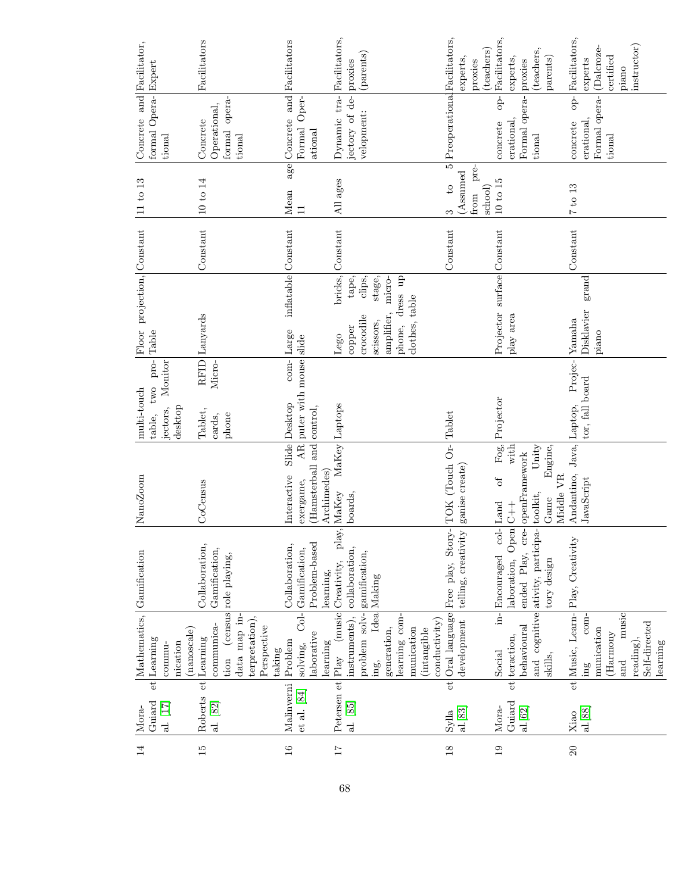| Expert                                                                                    | Facilitators                                                                                                                     | Facilitators                                                        | Facilitators,<br>(parents)<br>proxies                                                                                                         | (teachers)<br>experts<br>proxies                                             | Facilitators,<br>(teachers,<br>parents)<br>experts,<br>proxies                                                                              | Facilitators,<br>instructor)<br>(Dalcroze-<br>certified<br>experts<br>piano                                                            |
|-------------------------------------------------------------------------------------------|----------------------------------------------------------------------------------------------------------------------------------|---------------------------------------------------------------------|-----------------------------------------------------------------------------------------------------------------------------------------------|------------------------------------------------------------------------------|---------------------------------------------------------------------------------------------------------------------------------------------|----------------------------------------------------------------------------------------------------------------------------------------|
| Concrete and Facilitator,<br>formal Opera-<br>tional                                      | formal opera-<br>Operational,<br>Concrete<br>tional                                                                              | and<br>Formal Oper-<br>Concrete<br>ational                          | Dynamic tra-<br>jectory of de-<br>velopment:                                                                                                  | Preoperational Facilitators,                                                 | $op-$<br>Formal opera-<br>erational.<br>concrete<br>tional                                                                                  | Formal opera-<br>$-\frac{1}{2}$<br>erational,<br>concrete<br>tional                                                                    |
| 11 to 13                                                                                  | $10$ to $14$                                                                                                                     | age<br>Mean<br>$\Box$                                               | ages<br>$\overline{AB}$                                                                                                                       | $\overline{5}$<br>pre-<br>(Assumed<br>$\overline{c}$<br>school)<br>from<br>S | $10$ to $15$                                                                                                                                | 7 to 13                                                                                                                                |
|                                                                                           | Constant                                                                                                                         |                                                                     | Constant                                                                                                                                      | Constant                                                                     |                                                                                                                                             | Constant                                                                                                                               |
| Floor projection, Constant<br>Table                                                       | Lanyards                                                                                                                         | inflatable Constant<br>com-Large                                    | bricks,<br>stage,<br>phone, dress up<br>tape,<br>clips,<br>micro-<br>clothes, table<br>amplifier,<br>crocodile<br>scissors,<br>copper<br>Lego |                                                                              | Projector surface Constant<br>play area                                                                                                     | grand<br>Disklavier<br>Yamaha<br>piano                                                                                                 |
| pro-<br>Monitor<br>two<br>multi-touch<br>desktop<br>jectors,<br>table,                    | RFID <sup> </sup><br>Micro-<br>Tablet,<br>phone<br>cards,                                                                        | puter with mouse slide<br>Slide Desktop<br>control,                 |                                                                                                                                               |                                                                              | Projector                                                                                                                                   | Projec-<br>tor, fall board                                                                                                             |
| NanoZoom                                                                                  | CoCensus                                                                                                                         | and<br>AR<br>(Hamsterball<br>Archimedes<br>Interactive<br>exergame, | MaKey Laptops<br>MaKey<br>boards,                                                                                                             | ganise create)                                                               | $\mathrm{Fog},$<br>with<br>Unity<br>Engine,<br>Middle VR<br>$\sigma$<br>toolkit,<br>Game                                                    | Andantino, Java, Laptop,<br>JavaScript                                                                                                 |
|                                                                                           | Collaboration,<br>Gamification,<br>role playing,                                                                                 | Problem-based<br>Collaboration,<br>Col-Gamification,<br>learning,   | ay,<br>þ,<br>collaboration,<br>gamification,<br>(music Creativity,<br>Idea Making                                                             | Oral language Free play, Story- TOK (Touch Or- Tablet<br>telling, creativity | ended Play, cre- openFramework<br>col-Land<br>laboration, Open C++<br>and cognitive ativity, participa-<br>in-<br>Encouraged<br>tory design |                                                                                                                                        |
| Mathematics, Gamification<br>$(\text{nanoscale})$<br>Learning<br>nication<br>commu-<br>et | (census)<br>data map in-<br>terpretation),<br>communica-<br>Perspective<br>Learning<br>$\text{taking}$<br>tion<br>$\overline{e}$ | aborative<br>Problem<br>learning<br>solving,                        | problem solv-<br>instruments),<br>learning com-<br>conductivity)<br>generation,<br>munication<br>(intangible<br>$ {\rm Play}$<br>ing,         | development<br>et                                                            | behavioural<br>teraction,<br>Social<br>skills,<br>$_{\rm et}$                                                                               | et Music, Learn- Play, Creativity<br>music<br>$com-$<br>Self-directed<br>munication<br>(Harmony<br>reading),<br>learning<br>and<br>ing |
| Guiard<br>al. [17]<br>Mora-                                                               | Roberts<br>al. [82]                                                                                                              | Malinverni<br>et al. [84]                                           | Petersen et<br>al. [85]                                                                                                                       | al.[83]<br>Sylla                                                             | Guiard<br>Mora-<br>al.[62]                                                                                                                  | al.[88]<br>Xiao                                                                                                                        |
| 14                                                                                        | $\frac{15}{2}$                                                                                                                   | 16                                                                  | $\overline{11}$                                                                                                                               | $18\,$                                                                       | 19                                                                                                                                          | 20                                                                                                                                     |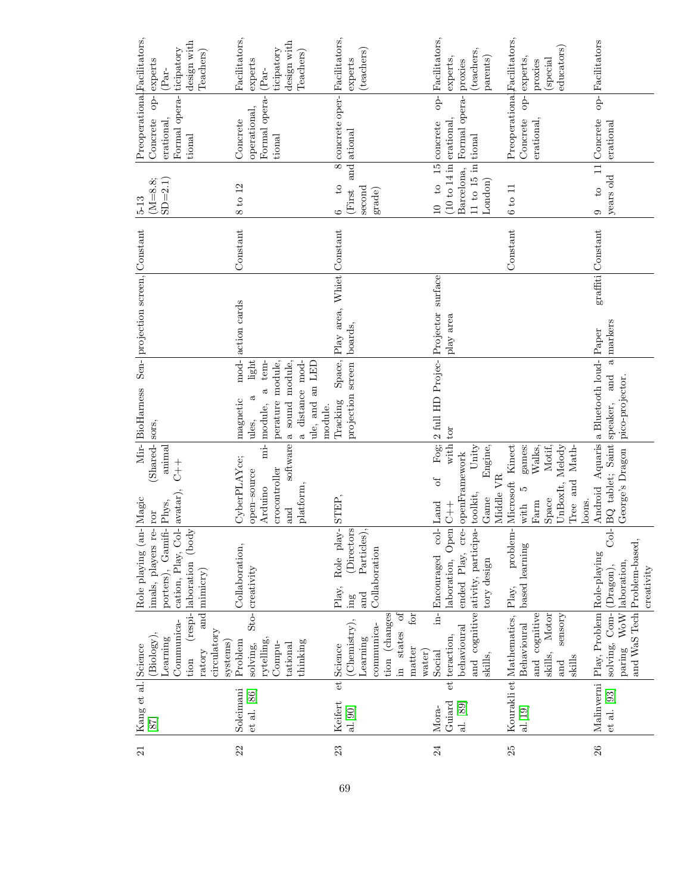| design with<br>ticipatory<br>Teachers)<br>experts<br>(Par-                                                                       | Facilitators,<br>design with<br>ticipatory<br>Teachers)<br>experts<br>(Par-                                     | Facilitators,<br>(teachers)<br>experts                                                                 | Facilitators,<br>(teachers,<br>parents)<br>experts,<br>proxies                                                                                     | educators)<br>op- experts,<br>(special<br>proxies                              | Facilitators                                                                  |
|----------------------------------------------------------------------------------------------------------------------------------|-----------------------------------------------------------------------------------------------------------------|--------------------------------------------------------------------------------------------------------|----------------------------------------------------------------------------------------------------------------------------------------------------|--------------------------------------------------------------------------------|-------------------------------------------------------------------------------|
| Preoperational <sub>Facilitators,</sub><br>Formal opera-<br>$\overline{P}$<br>Concrete<br>erational,<br>tional                   | Formal opera-<br>operational,<br>Concrete<br>tional                                                             | 8 concrete oper-<br>and ational                                                                        | $-\frac{1}{2}$<br>Formal opera-<br>$15$ concrete                                                                                                   | Preoperational <sub>Facilitators</sub> ,<br>erational,<br>Concrete             | $\overline{p}$<br>11 Concrete<br>erational                                    |
| $(M=8.8;$<br>$SD = 2.1$<br>$5 - 13$                                                                                              | 8 to 12                                                                                                         | $\overline{c}$<br>second<br>(First<br>$_{\rm grade}$<br>S                                              | (10 to 14 in [erational,<br>$11$ to $15$ in tional<br>Barcelona,<br>London)<br>$^{10}$<br>$\Xi$                                                    | 6 to 11                                                                        | years old<br>$\overline{c}$<br>0                                              |
|                                                                                                                                  | Constant                                                                                                        |                                                                                                        |                                                                                                                                                    | Constant                                                                       | $graffiti$ Constant                                                           |
|                                                                                                                                  |                                                                                                                 |                                                                                                        |                                                                                                                                                    |                                                                                |                                                                               |
| Sen- projection screen, Constant                                                                                                 | mod-action cards                                                                                                | Play area, Whiet Constant<br>boards,                                                                   | 2 full HD Projec- Projector surface<br>play area                                                                                                   |                                                                                | markers                                                                       |
|                                                                                                                                  | distance mod-<br>light<br>tem-<br>$\mathbbm{C}$                                                                 | Space,                                                                                                 |                                                                                                                                                    |                                                                                | $\overline{a}$<br>and                                                         |
| Mir-BioHarness                                                                                                                   | a sound module,<br>perature module,<br>ule, and an LED<br>ದ<br>magnetic<br>mi- module,<br>module.<br>ules,<br>ಹ | projection screen<br>Tracking                                                                          |                                                                                                                                                    |                                                                                | Android Aquaris a Bluetooth loud- Paper<br>pico-projector.                    |
| Shared-sors,<br>animal<br>$\begin{array}{c} + \\ + \end{array}$                                                                  | software                                                                                                        |                                                                                                        | with tor<br>Fog:<br>Unity<br>Engine,<br>ð                                                                                                          | Microsoft Kinect<br>Motif,<br>UnBoxIt, Melody<br>games:<br>Walks,<br>and Math- | BQ tablet; Saint speaker,<br>George's Dragon                                  |
| re-ror                                                                                                                           | CyberPLAYce;<br>crocontroller<br>open-source<br>platform<br>Arduino<br>and                                      | STEP,                                                                                                  | Middle VR<br>Game<br>Land                                                                                                                          | S<br>Space<br>loons.<br>Farm<br>Tree<br>with                                   |                                                                               |
| cation, Play, Col- avatar)<br>Role playing (an-Nagic<br>porters), Gamifi- Phys,<br>(body)<br>imals, players<br>(respi-laboration | Collaboration,                                                                                                  | Role play-<br>(Directors<br>Particles),<br>Collaboration<br>Play,                                      | ended Play, cre- openFramework<br>and cognitive ativity, participa- toolkit,<br>laboration, $Open$ $C+$<br>col<br>in-<br>Encouraged<br>tory design | problem-<br>based learning                                                     | $C_0L$<br>Problem-based,<br>laboration,<br>$(\mathrm{Dragon}),$<br>creativity |
| and mimicry)                                                                                                                     | Sto-creativity                                                                                                  | and<br>$\operatorname{ing}$<br>ð<br>for                                                                |                                                                                                                                                    | Play,                                                                          |                                                                               |
| Communica-<br>circulatory<br>(Biology),<br>Learning<br>systems)<br>ratory<br>tion                                                | rytelling.<br>thinking<br>Problem<br>Compu-<br>tational<br>solving,                                             | tion (changes<br>(Chemistry),<br>communica-<br>in states<br>Learning<br>et Science<br>matter<br>water) | behavioural<br>et teraction,<br>skills,<br>Social                                                                                                  | Motor<br>and cognitive<br>sensory<br>Behavioural<br>skills,<br>skills<br>and   | solving, Com-<br>paring WoW<br>and WaS Tech                                   |
| Kang et al. Science<br> 87                                                                                                       | Soleimani<br>et al. [86]                                                                                        | Keifert<br>al.[90]                                                                                     | Guiard<br>al. [89]<br>Mora-                                                                                                                        | Kourakli et Mathematics,<br>al.[19]                                            | Malinverni   Play, Problem   Role-playing<br>et al. [93]                      |
| $\overline{21}$                                                                                                                  | 22                                                                                                              | 23                                                                                                     | 24                                                                                                                                                 | 25                                                                             | 26                                                                            |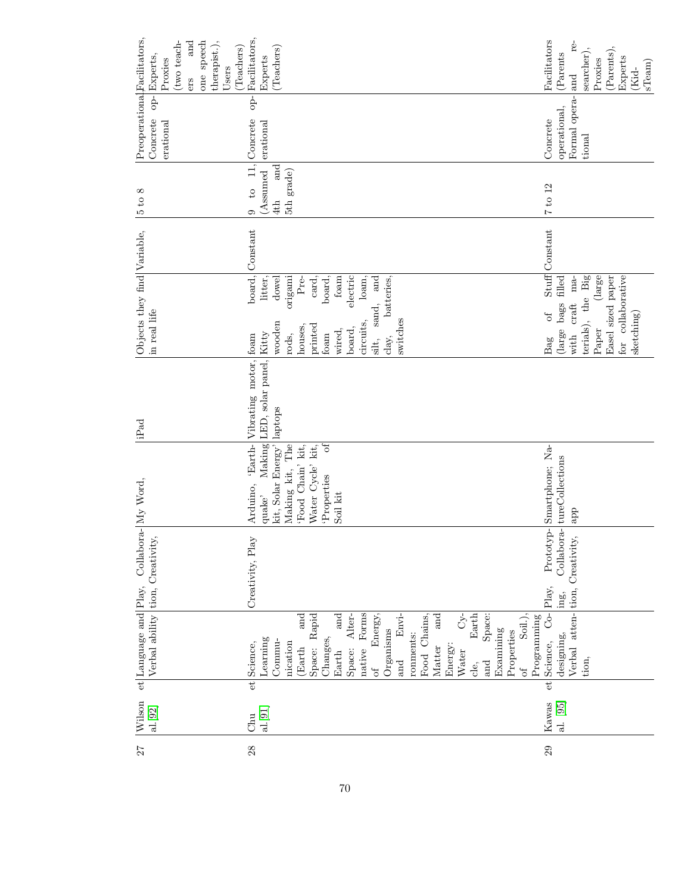| 77 | $ \mathrm{Wilson}\>$<br>al.[92] |    | et Language and Play,<br>Verbal ability                                                                                                                                        | tion, Creativity,               | Collabor                                             | a- $\vert$ My Word                                                                                                              |                                | iP <sub>ad</sub>                                       | Objects they find Variable,<br>in real life                                                                                                            |                                                                                                      |                | $^{\infty}$<br>$5t$ o                                                                  | Preoperational <sub>Facilitators,</sub><br>$-\frac{1}{2}$<br>Concrete<br>erational | (two teach-<br>one speech<br>and<br>therapist.),<br>Experts<br>Proxies<br>ers                             |
|----|---------------------------------|----|--------------------------------------------------------------------------------------------------------------------------------------------------------------------------------|---------------------------------|------------------------------------------------------|---------------------------------------------------------------------------------------------------------------------------------|--------------------------------|--------------------------------------------------------|--------------------------------------------------------------------------------------------------------------------------------------------------------|------------------------------------------------------------------------------------------------------|----------------|----------------------------------------------------------------------------------------|------------------------------------------------------------------------------------|-----------------------------------------------------------------------------------------------------------|
| 28 | aL[91]<br>Chu                   | et | Forms<br>Energy,<br>and<br>and<br>Rapid<br>Alter-<br>Learning<br>Commu-<br>Changes,<br>Science,<br>nication<br>Space:<br>native<br>(Earth<br>Space:<br>Earth<br>of             | Creativity, Play                |                                                      | kit, Solar Energy'<br>'Food Chain' kit,<br>Making kit, The<br>Water Cycle' kit,<br>Properties<br>Arduino,<br>Soil kit<br>quake' | Making<br>'Earth-<br>$\vec{c}$ | LED, solar panel, Kitty<br>Vibrating motor,<br>laptops | sand,<br>circuits,<br>wooden<br>printed<br>houses.<br>board,<br>wired,<br>foam<br>foam<br>rods,<br>silt,                                               | board,<br>origami<br>dowel<br>foam<br>electric<br>and<br>Pre-<br>card,<br>litter,<br>board.<br>loam, | Constant       | $\left 1\right\rangle$<br>and<br>(Assumed<br>5th grade)<br>$\overline{c}$<br>4th<br>Ō. | $\frac{1}{6}$<br>Concrete<br>erational                                             | Facilitators,<br>(Teachers)<br>(Teachers)<br>Experts<br>Users                                             |
|    |                                 |    | Soil.),<br>C<br>Earth<br>Space:<br>Envi-<br>Food Chains,<br>and<br>Examining<br>Organisms<br>Properties<br>ronments:<br>Energy:<br>Matter<br>Water<br>and<br>and<br>cle,<br>of |                                 |                                                      |                                                                                                                                 |                                |                                                        | switches<br>clay.                                                                                                                                      | batteries,                                                                                           |                |                                                                                        |                                                                                    |                                                                                                           |
| 29 | Kawas<br>al. [95]               | et | Verbal atten-<br>$\overline{C}$<br>Programming<br>designing,<br>Science,<br>tion,                                                                                              | Play,<br>tion,<br>$\text{ing},$ | $\frac{1}{2}$<br>Prototyp-<br>Collabor<br>Creativity | Smartphone; Na-<br>tureCollections<br>app                                                                                       |                                |                                                        | terials), the Big<br>Easel sized paper<br>for collaborative<br>(large bags filled<br>craft<br>$\sigma$ f<br>sketching)<br>${\rm Paper}$<br>with<br>Bag | (large)<br>$ma-$                                                                                     | Stuff Constant | 7 to 12                                                                                | Formal opera- and<br>operational,<br>Concrete<br>tional                            | Facilitators<br>re-<br>(Parents),<br>(Parents<br>searcher)<br>Experts<br>Proxies<br>$s$ Team $)$<br>(Kid- |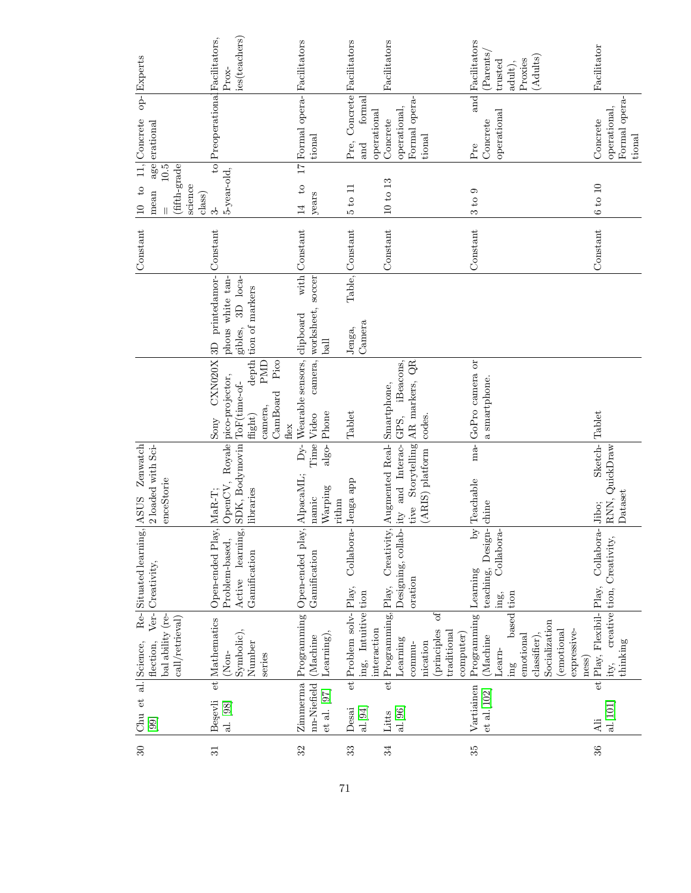| $\overline{30}$ | Chu et                         | al. Science,                                                      | Re-Situated learning, ASUS                                    | Zenwatch                         |                                            |                                              | Constant        | $\overline{c}$<br>$\frac{10}{1}$                    | 11, Concrete                                 | op-Experts                |
|-----------------|--------------------------------|-------------------------------------------------------------------|---------------------------------------------------------------|----------------------------------|--------------------------------------------|----------------------------------------------|-----------------|-----------------------------------------------------|----------------------------------------------|---------------------------|
|                 | [99]                           | Ver-<br>bal ability (re-<br>$\text{call/retr}$ ieval<br>flection, | Creativity,                                                   | 2 loaded with Sci-<br>enceStorie |                                            |                                              |                 | (fifth-grade<br>$10.5$<br>science<br>mean<br>class) | age erational                                |                           |
| $\overline{31}$ | Begevli                        | et Mathematics                                                    | Open-ended Play, MaR-T;                                       |                                  | Sony                                       | CXN020X 3D printedamor-                      | Constant        | က်                                                  | to Preoperational Facilitators,              |                           |
|                 | al. [98]                       | $(\mathrm{Non}$                                                   | Problem-based,                                                | OpenCV, Royale pico-projector,   |                                            | phous white tan-                             |                 | 5-year-old,                                         |                                              | Prox-                     |
|                 |                                | Symbolic),<br>Number                                              | Active learning, SDK, Bodymovin ToF(time-of-<br>Gamification  | libraries                        | $\rm{flight})$                             | 3D loca-<br>depth tion of markers<br>gibles, |                 |                                                     |                                              | ies(teachers)             |
|                 |                                | series                                                            |                                                               |                                  | Pico<br>PMD<br>CamBoard<br>camera,<br>flex |                                              |                 |                                                     |                                              |                           |
| 32              | Zimmerma                       | Programming                                                       | Open-ended play, AlpacaML;                                    |                                  | Dy-Wearable sensors, clipboard             |                                              | with Constant   | $^{6}$<br>14                                        | 17 Formal opera- Facilitators                |                           |
|                 | nn-Niefield<br>et al. [97]     | $\text{Learning}$ ),<br>(Machine                                  | Gamification                                                  | Warping<br>namic<br>rithm        | algo-Phone<br>Time Video                   | camera, worksheet, soccer<br>ball            |                 | years                                               | tional                                       |                           |
| 33              | $\overline{e}$<br>Desai        | Problem solv-                                                     | Collabora-Jenga app<br>Play,                                  |                                  | Tablet                                     | Jenga,                                       | Table, Constant | 5 to 11                                             | Pre,                                         | Concrete Facilitators     |
|                 | al.[94]                        | ing, Intuitive tion<br>interaction                                |                                                               |                                  |                                            | Camera                                       |                 |                                                     | formal<br>operational<br>and                 |                           |
| 34              | Litts                          |                                                                   | et Programming, Play, Creativity, Augmented Real- Smartphone, |                                  |                                            |                                              | Constant        | 10 to 13                                            | Concrete                                     | Facilitators              |
|                 | al.[96]                        | Learning                                                          | Designing, collab-ity and Interac-GPS,                        |                                  | iBeacons,                                  |                                              |                 |                                                     | operational,                                 |                           |
|                 |                                | commu-                                                            | oration                                                       | tive                             | Storytelling AR markers, QR                |                                              |                 |                                                     | Formal opera-                                |                           |
|                 |                                | nication                                                          |                                                               | (ARIS) platform                  | codes.                                     |                                              |                 |                                                     | tional                                       |                           |
|                 |                                | $\sigma$<br>(principles<br>traditional                            |                                                               |                                  |                                            |                                              |                 |                                                     |                                              |                           |
|                 |                                | computer)                                                         |                                                               |                                  |                                            |                                              |                 |                                                     |                                              |                           |
| 35              | Vartiainen<br>$et$ al. $[102]$ | Programming<br>(Machine                                           | teaching, Design-chine<br>Learning                            | by Teachable                     | ma-GoPro camera or<br>a smartphone.        |                                              | Constant        | 3 to 9                                              | $\frac{1}{\text{and}}$<br>Concrete<br>$Pr$ e | Facilitators<br>(Parents) |
|                 |                                | Learn-                                                            | Collabora-<br>ing,                                            |                                  |                                            |                                              |                 |                                                     | operational                                  | trusted                   |
|                 |                                | based<br>ing                                                      | tion                                                          |                                  |                                            |                                              |                 |                                                     |                                              | adult),                   |
|                 |                                | emotional                                                         |                                                               |                                  |                                            |                                              |                 |                                                     |                                              | Proxies                   |
|                 |                                | Socialization<br>classifier),                                     |                                                               |                                  |                                            |                                              |                 |                                                     |                                              | (Adults)                  |
|                 |                                | (emotional                                                        |                                                               |                                  |                                            |                                              |                 |                                                     |                                              |                           |
|                 |                                | expressive-                                                       |                                                               |                                  |                                            |                                              |                 |                                                     |                                              |                           |
|                 | $\mathop{\rm Ali}\nolimits$    | $_{\text{ness}}$                                                  |                                                               |                                  |                                            |                                              |                 |                                                     |                                              |                           |
| 36              | al.[101]                       | et Play, Flexibil-<br>ity,                                        | Collabora-Jibo;<br>creative tion, Creativity,<br>$PLay$ ,     | Sketch-<br>RNN, QuickDraw        | Tablet                                     |                                              | Constant        | 6 to 10                                             | operational,<br>Concrete                     | Facilitator               |
|                 |                                | thinking                                                          |                                                               | ${\bf D}ataset$                  |                                            |                                              |                 |                                                     | Formal opera-                                |                           |
|                 |                                |                                                                   |                                                               |                                  |                                            |                                              |                 |                                                     | tional                                       |                           |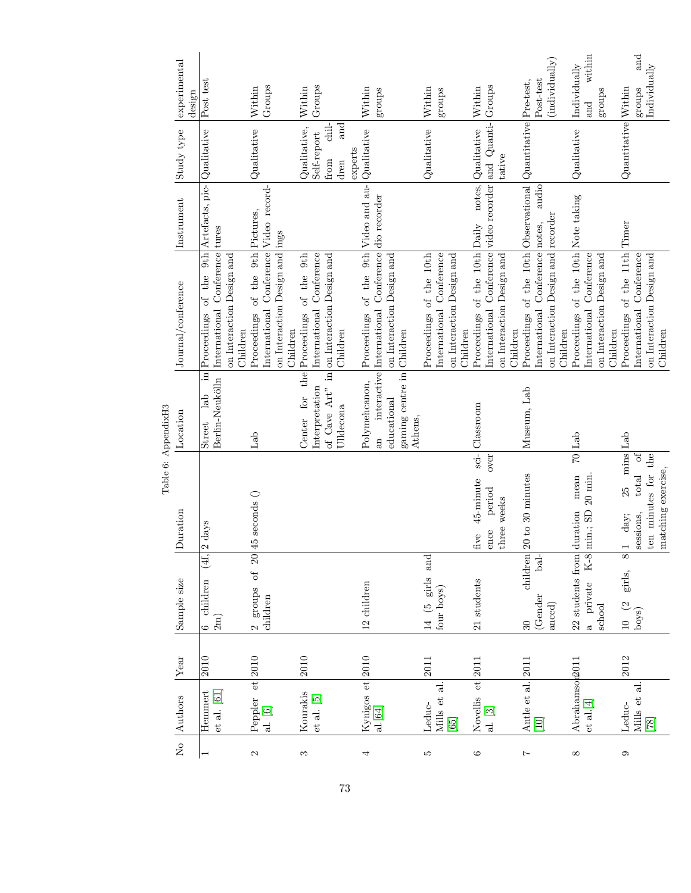|                           | No Authors                                   | Year | Sample size                                                         | Duration                                                                                                            | Table 6: AppendixH3<br>Location                                            | Journal/conference                                                                                                         | Instrument                             | Study type                                                             | experimental                            |
|---------------------------|----------------------------------------------|------|---------------------------------------------------------------------|---------------------------------------------------------------------------------------------------------------------|----------------------------------------------------------------------------|----------------------------------------------------------------------------------------------------------------------------|----------------------------------------|------------------------------------------------------------------------|-----------------------------------------|
|                           |                                              |      |                                                                     |                                                                                                                     |                                                                            |                                                                                                                            |                                        |                                                                        | design                                  |
|                           | $et$ al. $[61]$<br>Hemmert                   | 2010 | (4f,<br>children<br>$2m$ )<br>c<br>C                                | 2 days                                                                                                              | Berlin-Neukölln<br>lab<br>Street                                           | International Conference tures<br>on Interaction Design and<br>in Proceedings<br>Children                                  | of the 9th Artefacts, pic- Qualitative |                                                                        | Post test                               |
| $\boldsymbol{\mathsf{c}}$ | Peppler et 2010<br>al. $\left[ 6\right]$     |      | groups of<br>children<br>$\mathbf{\Omega}$                          | $20 45$ seconds $()$                                                                                                | Lab                                                                        | of the 9th Pictures,<br>International Conference<br>on Interaction Design and<br>Proceedings<br>Children                   | Video record-<br>ings                  | Qualitative                                                            | Groups<br>Within                        |
| S                         | Kourakis<br>$et$ al. $[5]$                   | 2010 |                                                                     |                                                                                                                     | of Cave Art"<br>Interpretation<br>for<br>Ulldecona<br>Center               | of the 9th<br>Conference<br>in on Interaction Design and<br>International<br>the Proceedings<br>Children                   |                                        | and<br>chil-<br>Qualitative,<br>Self-report<br>experts<br>from<br>dren | Groups<br>Within                        |
| 4                         | Kynigos et 2010<br>al.[64]                   |      | 12 children                                                         |                                                                                                                     | gaming centre in Children<br>Polymehcanon,<br>educational<br>Athens,<br>an | interactive International Conference dio recorder<br>on Interaction Design and<br>Proceedings                              | of the 9th Video and au-               | Qualitative                                                            | Within<br>groups                        |
| LΩ                        | Mills et al.<br>Leduc-<br>$[65]$             | 2011 | and<br>girls<br>four boys)<br>14 (5                                 |                                                                                                                     |                                                                            | Proceedings of the 10th<br>International Conference<br>on Interaction Design and<br>Children                               |                                        | Qualitative                                                            | Within<br>groups                        |
| $\circ$                   | Novellis et 2011<br>al. $\left[ 3\right]$    |      | $21$ students                                                       | over<br>$45$ -minute<br>period<br>three weeks<br>ence<br>five                                                       | sci-Classroom                                                              | Proceedings of the 10th Daily<br>International Conference<br>on Interaction Design and<br>Children                         | video recorder and Quanti-<br>notes,   | $\label{eq:quantization} \textbf{Qualitative}$<br>tative               | Groups<br>Within                        |
| $\overline{z}$            | Antle et al.<br>$[10]$                       | 2011 | children<br>bal-<br>(Gender<br>$_{\rm{anced}})$<br>$\mathcal{S}$    | $20$ to $30$ minutes                                                                                                | Museum, Lab                                                                | Proceedings of the 10th Observational<br>on Interaction Design and recorder<br>International Conference notes,<br>Children | audio                                  | Quantitative Pre-test,                                                 | (individually)<br>Post-test             |
| $\infty$                  | Abrahamsop2011<br>${\it et\ al.}[4]$         |      | 22 students from duration<br>$K-8$<br>private<br>school<br>$\sigma$ | $20$ min.<br>mean<br>$\min$ ; SD                                                                                    | $70$ Lab                                                                   | Proceedings of the 10th<br>International Conference<br>on Interaction Design and<br>Children                               | Note taking                            | Qualitative                                                            | within<br>Individually<br>groups<br>and |
| 0                         | Mills et al.<br>Leduc-<br>$\left[ 8 \right]$ | 2012 | $\infty$<br>girls,<br>$10\quad(2$<br>boys)                          | mins Lab<br>the<br>ð<br>matching exercise,<br>ten minutes for<br>total<br>25<br>day;<br>sessions,<br>$\overline{ }$ |                                                                            | Proceedings of the 11th Timer<br>International Conference<br>on Interaction Design and<br>Children                         |                                        | Quantitative Within                                                    | and<br>Individually<br>groups           |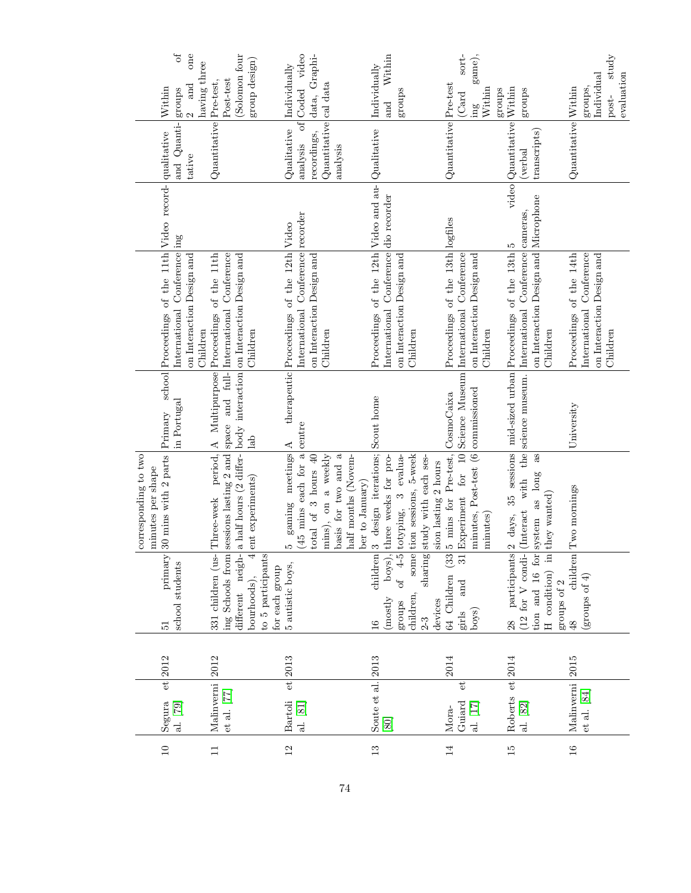| $\sigma$<br>one<br>having three<br>and                                                                                            | (Solomon four<br>group design)                                                                                                                                                                      | of Coded video<br>data, Graphi-<br>Individually                                                                                                                                     | Within<br>Individually                                                                                                                                       | game),<br>$sortt$ -                                                                                                   |                                                                                                                                                                                                                          | $_{\rm study}$<br>evaluation<br>Individual                                                      |
|-----------------------------------------------------------------------------------------------------------------------------------|-----------------------------------------------------------------------------------------------------------------------------------------------------------------------------------------------------|-------------------------------------------------------------------------------------------------------------------------------------------------------------------------------------|--------------------------------------------------------------------------------------------------------------------------------------------------------------|-----------------------------------------------------------------------------------------------------------------------|--------------------------------------------------------------------------------------------------------------------------------------------------------------------------------------------------------------------------|-------------------------------------------------------------------------------------------------|
| Within<br>groups                                                                                                                  | Post-test                                                                                                                                                                                           |                                                                                                                                                                                     | groups<br>and                                                                                                                                                | Within<br>groups<br>(Card<br>$\overline{\text{mg}}$                                                                   | Within<br>schong                                                                                                                                                                                                         | groups,<br>post-                                                                                |
| and Quanti-<br>tative                                                                                                             | Quantitative Pre-test,                                                                                                                                                                              | Quantitative cal data<br>Qualitative<br>recordings,<br>analysis<br>analysis                                                                                                         |                                                                                                                                                              | Quantitative Pre-test                                                                                                 | video Quantitative<br>transcripts)<br>(verbal                                                                                                                                                                            | Quantitative Within                                                                             |
|                                                                                                                                   |                                                                                                                                                                                                     |                                                                                                                                                                                     |                                                                                                                                                              |                                                                                                                       |                                                                                                                                                                                                                          |                                                                                                 |
| school Proceedings of the 11th Video record- qualitative<br>International Conference ing<br>on Interaction Design and<br>Children | period, A Multipurpose Proceedings of the 11th<br>sessions lasting 2 and space and full- International Conference<br>a half hours (2 differ- body interaction on Interaction Design and<br>Children | International Conference recorder<br>therapeutic Proceedings of the 12th Video<br>on Interaction Design and<br>Children                                                             | Proceedings of the 12th Video and au- Qualitative<br>International Conference dio recorder<br>on Interaction Design and<br>Children                          | Proceedings of the 13th logfiles<br>International Conference<br>on Interaction Design and<br>Children                 | on Interaction Design and Microphone<br>International Conference cameras,<br>35 sessions   mid-sized urban   Proceedings of the 13th   5<br>Children                                                                     | Proceedings of the 14th<br>Conference<br>on Interaction Design and<br>International<br>Children |
| in Portugal<br>Primary                                                                                                            | lab                                                                                                                                                                                                 |                                                                                                                                                                                     |                                                                                                                                                              |                                                                                                                       | with the science museum.                                                                                                                                                                                                 | University                                                                                      |
| 30 mins with 2 parts<br>corresponding to two<br>minutes per shape                                                                 | ent experiments)<br>Three-week                                                                                                                                                                      | $(45 \text{ mins each for a} \text{centre})$<br>gaming meetings A<br>mins), on a weekly<br>total of 3 hours 40<br>half months (Novem-<br>basis for two and<br>ber to January)<br>LΩ | 3 design iterations; Scout home<br>some tion sessions, 5-week<br>totyping, 3 evalua-<br>study with each ses-<br>three weeks for pro-<br>sion lasting 2 hours | Experiment for 10 Science Museum<br>minutes, Post-test (6 commissioned<br>5 mins for Pre-test, CosmoCaixa<br>minutes) | $\rm ^{as}$<br>system as long<br>they wanted)<br>(Interact<br>2 days,                                                                                                                                                    | Two mornings                                                                                    |
| primary<br>school students<br>$\overline{5}$                                                                                      | ing Schools from<br>different neigh-<br>331 children (us-<br>to 5 participants<br>$\operatorname{for}$ each group<br>bourhoods),                                                                    | 5 autistic boys,                                                                                                                                                                    | children<br>boys),<br>of $4-5$<br>sharing<br>children,<br>(mostly<br>devices<br>groups<br>$2-3$<br>$\frac{6}{1}$                                             | 64 Children (33<br>and<br>boys)<br>girls                                                                              | participants<br>$(12$ for V condi-<br>$\begin{tabular}{ l } \hline \text{tion} & \text{and} & \text{16} & \text{for} \\ \hline \text{H} & \text{condition} & \text{in} \\ \hline \end{tabular}$<br>groups of $2\,$<br>28 | children<br>(groups of $4$ )<br>$\overline{48}$                                                 |
| $et$ 2012                                                                                                                         | 2012                                                                                                                                                                                                | 2013                                                                                                                                                                                |                                                                                                                                                              | 2014                                                                                                                  | 2014                                                                                                                                                                                                                     | 2015                                                                                            |
| al. [79]<br>Segura                                                                                                                | Malinverni<br>et al. $[77]$                                                                                                                                                                         | $\overline{e}$<br><b>Bartoli</b><br>al. [81]                                                                                                                                        | Soute et al. 2013<br>[80]                                                                                                                                    | $\mathbf{e}^{\mathbf{t}}$<br>Guiard<br>al. $[17]$<br>Mora-                                                            | et<br>Roberts<br>al. $\left[ 82\right]$                                                                                                                                                                                  | Malinverni<br>$et$ al. $[84]$                                                                   |
| $\overline{10}$                                                                                                                   | $\Box$                                                                                                                                                                                              | $\overline{12}$                                                                                                                                                                     | $\frac{3}{2}$                                                                                                                                                | $\overline{4}$                                                                                                        | $\overline{5}$                                                                                                                                                                                                           | $\overline{16}$                                                                                 |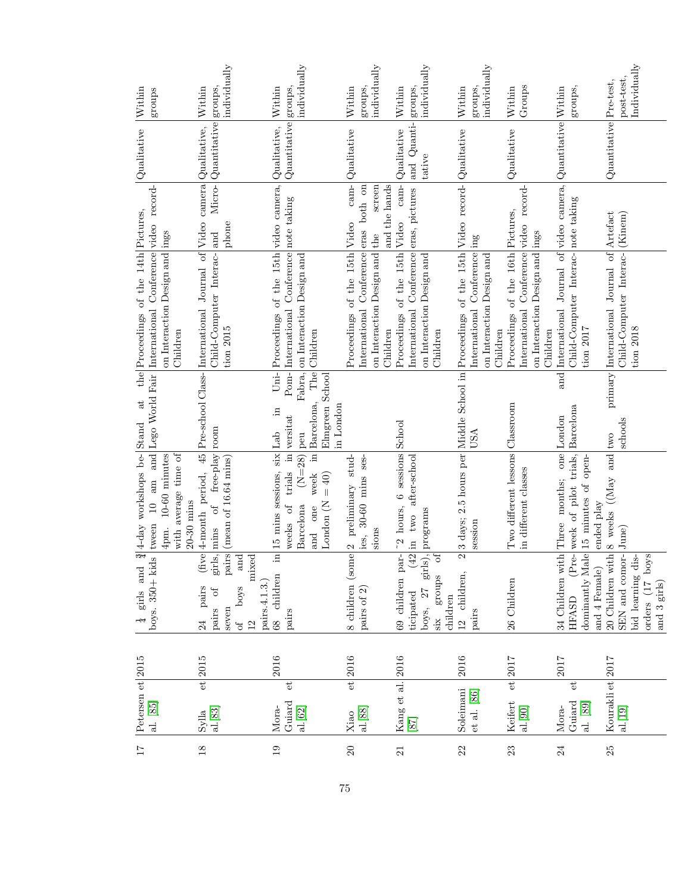| 17     | Petersen et 2015<br>al. [85]                                  |             | $boys. 350 + kids$<br>$\frac{1}{4}$ girls and                | $\frac{3}{4}$ 4-day workshops be-Stand<br>$\Box$<br>tween                                          | and Lego World Fair<br>at                  | the Proceedings of the 14th Pictures,<br>International Conference                                                          | record-<br>video | $\sqrt{Qualitative}$   | Within                            |
|--------|---------------------------------------------------------------|-------------|--------------------------------------------------------------|----------------------------------------------------------------------------------------------------|--------------------------------------------|----------------------------------------------------------------------------------------------------------------------------|------------------|------------------------|-----------------------------------|
|        |                                                               |             |                                                              | with average time of<br>10-60 minutes<br>$\lim$<br>4pm.                                            |                                            | on Interaction Design and ings<br>Children                                                                                 |                  |                        | groups                            |
|        |                                                               |             |                                                              | $20-30$ mins                                                                                       |                                            |                                                                                                                            |                  |                        |                                   |
| $18\,$ | ${{\rm Syla}\over{\rm al.}[83]}$                              | $et$   2015 | pairs<br>pairs<br>$\sigma$ f<br>pairs<br>seven<br>24         | girls, mins of free-play room<br>(mean of 16.64 mins)<br>$five  4$ -month                          |                                            | period, 45 Pre-school Class- International Journal of Video camera Qualitative,<br>Child-Computer Interac-and<br>tion 2015 | phone            | Micro-Cuantitative     | individually<br>groups,<br>Within |
|        |                                                               |             | mixed<br>and<br>pairs.4.1.3.)<br>poys<br>$12 \,$<br>$\sigma$ |                                                                                                    |                                            |                                                                                                                            |                  |                        |                                   |
| 19     | Mora-                                                         | 2016        | 68 children                                                  | in 15 mins sessions, six Lab                                                                       | $U$ ni-<br>$\Xi$                           | Proceedings of the 15th video camera,                                                                                      |                  | Qualitative,           | Within                            |
|        | $\mathbf{e}^{\mathbf{t}}$<br>Guiard<br>al. $\left[ 62\right]$ |             | pairs                                                        | $(N=28)$<br>$\overline{\text{m}}$<br>week<br>trials<br>and one<br>Barcelona<br>$\sigma$ f<br>weeks | $Pom-$<br>Barcelona,<br>in versitat<br>peu | International Conference<br>Fabra, on Interaction Design and<br>The Children                                               | note taking      | Quantitative           | individually<br>groups,           |
|        |                                                               |             |                                                              | $= 40$<br>London (N                                                                                | Elmgreen School<br>in London               |                                                                                                                            |                  |                        |                                   |
| 20     | al.[88]<br>Xiao                                               | $et$ 2016   | pairs of 2)                                                  | 8 children (some 2 preliminary stud-<br>ies, 30-60 mins ses-                                       |                                            | International Conference eras both on<br>Proceedings of the 15th Video                                                     |                  | cam-<br>Qualitative    | Within                            |
|        |                                                               |             |                                                              | sions                                                                                              |                                            | on Interaction Design and                                                                                                  | screen<br>the    |                        | groups,<br>individually           |
|        |                                                               |             |                                                              |                                                                                                    |                                            | Children                                                                                                                   | and the hands    |                        |                                   |
| 21     | Kang et al. 2016                                              |             | 69 children par-                                             | "2 hours, 6 sessions School                                                                        |                                            | Proceedings of the 15th Video                                                                                              | $cam-$           | Qualitative            | Within                            |
|        | [87]                                                          |             | boys, $27$<br>ticipated                                      | $(42$ in two after-school<br>girls), programs                                                      |                                            | International Conference eras, pictures<br>on Interaction Design and                                                       |                  | and Quanti-<br>tative  | individually<br>groups,           |
|        |                                                               |             | of<br>groups<br>children<br>$\ddot{\text{six}}$              |                                                                                                    |                                            | Children                                                                                                                   |                  |                        |                                   |
| 22     | Soleimani                                                     | 2016        | $\mathbf{\Omega}$<br>12 children,                            |                                                                                                    |                                            | 3 days; 2.5 hours per Middle School in Proceedings of the 15th Video record- Qualitative                                   |                  |                        | Within                            |
|        | $et$ al. $[86]$                                               |             | pairs                                                        | session                                                                                            | USA                                        | International Conference ing<br>on Interaction Design and<br>Children                                                      |                  |                        | groups,<br>individually           |
| 23     | $\overline{e}$<br>Keifert                                     | 2017        | 26 Children                                                  | Two different lessons Classroom                                                                    |                                            | of the 16th Pictures,<br>Proceedings                                                                                       |                  | Qualitative            | Within                            |
|        | al.[90]                                                       |             |                                                              | in different classes                                                                               |                                            | International Conference video record-<br>on Interaction Design and ings<br>Children                                       |                  |                        | Groups                            |
| 24     | Mora-                                                         | 2017        | 34 Children with Three months;                               |                                                                                                    | one London                                 | and International Journal of video camera, Quantitative Within                                                             |                  |                        |                                   |
|        | $\mathbf{e}^{\mathbf{t}}$<br>Guiard<br>al. $\left[89\right]$  |             | HFASD                                                        | (Pre- week of pilot trials,<br>dominantly Male 15 minutes of open-                                 | Barcelona                                  | Child-Computer Interac- note taking<br>tion $2017$                                                                         |                  |                        | groups,                           |
|        |                                                               |             | and 4 Female)                                                | ended play                                                                                         |                                            |                                                                                                                            |                  |                        |                                   |
| 25     | Kourakli et 2017                                              |             | 20 Children with                                             | 8 weeks ((May and two<br>[June]                                                                    |                                            | primary International Journal of Artefact                                                                                  |                  | Quantitative Pre-test, |                                   |
|        | al.[19]                                                       |             | SEN and comor-<br>bid learning dis-                          |                                                                                                    | schools                                    | Child-Computer Interac- (Kinem)<br>tion 2018                                                                               |                  |                        | Individually<br>post-test,        |
|        |                                                               |             | orders (17 boys                                              |                                                                                                    |                                            |                                                                                                                            |                  |                        |                                   |
|        |                                                               |             | and 3 $\rm girls)$                                           |                                                                                                    |                                            |                                                                                                                            |                  |                        |                                   |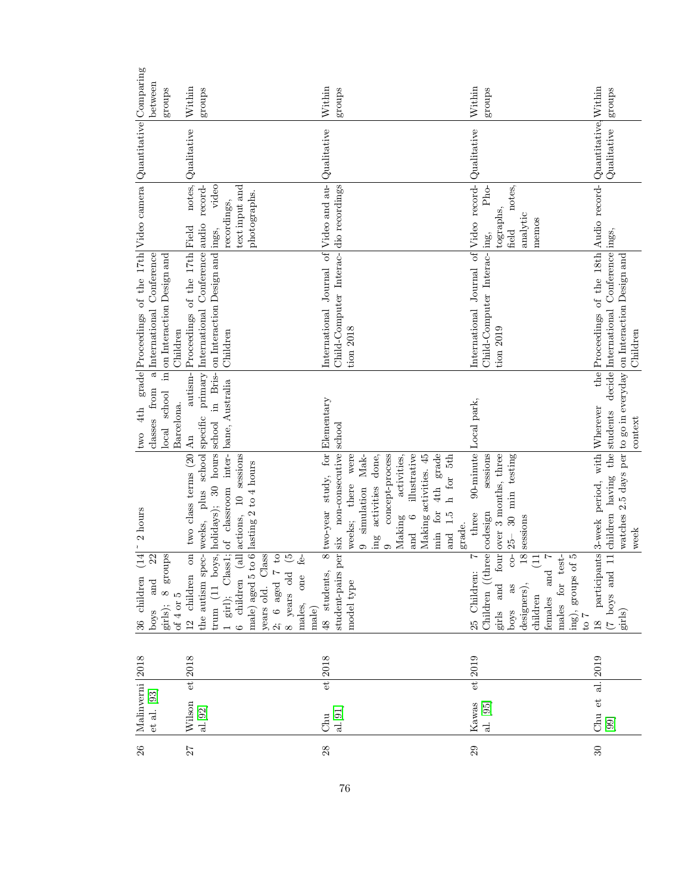| between<br>groups                                                                                                                                 | Within<br>groups                                                                                                                                                                                                                                    | Within<br>groups                                                                                                                                                                                                                                                                                                                          | Within<br>groups                                                                                                                                                                      | groups                                                                                                                                                                                     |
|---------------------------------------------------------------------------------------------------------------------------------------------------|-----------------------------------------------------------------------------------------------------------------------------------------------------------------------------------------------------------------------------------------------------|-------------------------------------------------------------------------------------------------------------------------------------------------------------------------------------------------------------------------------------------------------------------------------------------------------------------------------------------|---------------------------------------------------------------------------------------------------------------------------------------------------------------------------------------|--------------------------------------------------------------------------------------------------------------------------------------------------------------------------------------------|
|                                                                                                                                                   | Qualitative                                                                                                                                                                                                                                         |                                                                                                                                                                                                                                                                                                                                           |                                                                                                                                                                                       | Qualitative                                                                                                                                                                                |
|                                                                                                                                                   | notes,<br>video<br>text input and<br>record-<br>photographs.<br>recordings,                                                                                                                                                                         |                                                                                                                                                                                                                                                                                                                                           | Pho-<br>notes,<br>tographs<br>analytic<br>memos<br>field                                                                                                                              |                                                                                                                                                                                            |
| grade Proceedings of the 17th Video camera $\log$ uantitative Comparing<br>in on Interaction Design and<br>a International Conference<br>Children | the autism spec- weeks, plus school specific primary International Conference audio<br>Proceedings of the 17th Field<br>on Interaction Design and ings,<br>Children                                                                                 | International Journal of Video and au- Qualitative<br>Child-Computer Interac- dio recordings<br>$tion$ $2018$                                                                                                                                                                                                                             | International Journal of Video record- Qualitative<br>Child-Computer Interac-ling,<br>tion 2019                                                                                       | the Proceedings of the 18th Audio record- Quantitative, Within<br>Conference ings,<br>watches 2.5 days per to go in everyday on Interaction Design and<br>decide International<br>Children |
| classes from<br>school<br>Barcelona.<br>4th<br>local<br>two                                                                                       | autism-<br>in Bris-<br>bane, Australia                                                                                                                                                                                                              |                                                                                                                                                                                                                                                                                                                                           | 90-minute Local park,                                                                                                                                                                 | the students<br>context                                                                                                                                                                    |
| 2 hours<br>$\pmb{\chi}$                                                                                                                           | $\begin{min}\text{trum (11 boys,  boldays); 30 hours   school 1 girl}; \quad \text{Class1; of classroom inter-}{\text{base, .}}\end{min}$<br>on two class terms (20 An<br>$\alpha$ l actions, 10 sessions<br>male) aged 5 to 6 lasting 2 to 4 hours | 8 two-year study, for Elementary<br>non-consecutive school<br>4th grade<br>concept-process<br>illustrative<br>were<br>Making activities. 45<br>h for 5th<br>done,<br>activities,<br>$Mak-$<br>there<br>activities<br>simulation<br>min for<br>and 1.5<br>$\circ$<br>$\rm{Making}$<br>weeks;<br>grade.<br>ing<br>and<br>$\circ$<br>$\circ$ | four over 3 months, three<br>sessions<br>30 min testing<br>three<br>18 sessions<br>$25 -$                                                                                             | participants 3-week period, with Wherever<br>11 children having<br>week                                                                                                                    |
| (14)<br>$\begin{tabular}{ l } \hline girls); & 8 \hspace{-0.1cm} groups \\ \hline of 4 or 5 \end{tabular}$<br>22<br>36 children<br>and<br>poys    | $\widehat{\mathcal{P}}$<br>years old. Class<br>2; 6 aged $7$ to<br>$f\hat{e}$<br>12 children<br>8 years old<br>males, one<br>male)<br>6 children                                                                                                    | per six<br>48 students,<br>student-pairs<br>model type                                                                                                                                                                                                                                                                                    | Children (three codesign<br>$\overline{c}$<br>males for test-<br>ing), groups of 5 to 7<br>$\Xi$<br>25 Children:<br>and<br>designers),<br>girls and<br>boys as<br>children<br>females | $\begin{pmatrix} 7 & \text{boys} & \text{and} \\ \text{grils} \end{pmatrix}$<br>$\frac{8}{18}$                                                                                             |
|                                                                                                                                                   | $et$ $2018$                                                                                                                                                                                                                                         | $et$ 2018                                                                                                                                                                                                                                                                                                                                 | $et$ 2019                                                                                                                                                                             |                                                                                                                                                                                            |
| Malinverni 2018<br>et al. [93]                                                                                                                    | Wilson<br>al.[92]                                                                                                                                                                                                                                   | al.[91]<br>Chu                                                                                                                                                                                                                                                                                                                            | al. [95]<br>Kawas                                                                                                                                                                     | Chu et al. $ 2019$<br>[99]                                                                                                                                                                 |
| $26\,$                                                                                                                                            | 27                                                                                                                                                                                                                                                  | 28                                                                                                                                                                                                                                                                                                                                        | 29                                                                                                                                                                                    | $30\,$                                                                                                                                                                                     |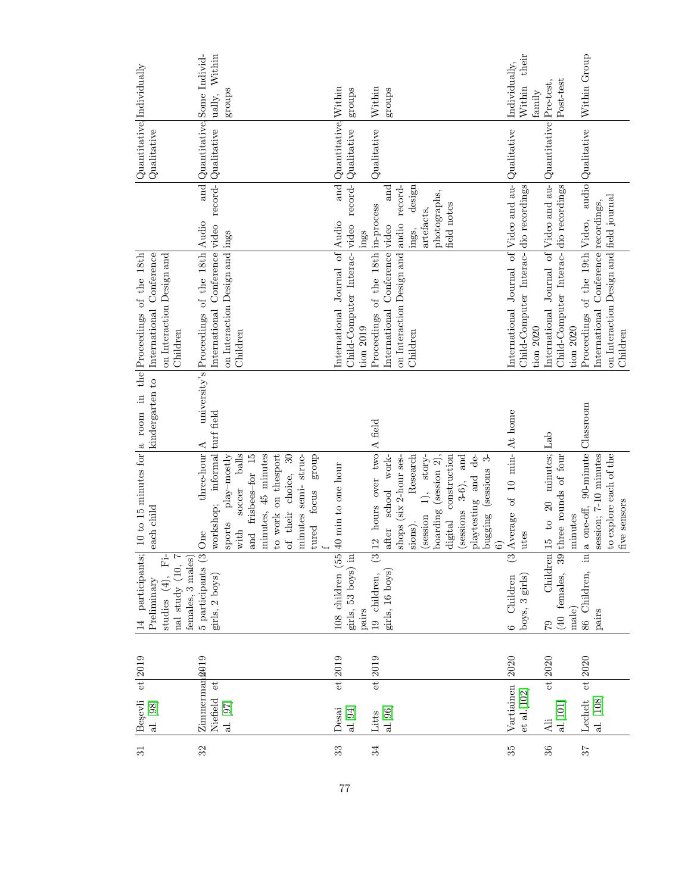|                                                                                                                                                     | ually, Within<br>groups                                                                                                                                                                                                                                            | groups                                                                               | Within<br>groups                                                                                                                                                                                                                                                      | their<br>Individually,<br>Within<br>family                                                      | Post-test                                                                                                                             | Within Group                                                                                                      |
|-----------------------------------------------------------------------------------------------------------------------------------------------------|--------------------------------------------------------------------------------------------------------------------------------------------------------------------------------------------------------------------------------------------------------------------|--------------------------------------------------------------------------------------|-----------------------------------------------------------------------------------------------------------------------------------------------------------------------------------------------------------------------------------------------------------------------|-------------------------------------------------------------------------------------------------|---------------------------------------------------------------------------------------------------------------------------------------|-------------------------------------------------------------------------------------------------------------------|
| Quantitative Individually<br>Qualitative                                                                                                            | and Quantitative Some Individ-                                                                                                                                                                                                                                     | Quantitative, Within<br>Qualitative                                                  | Qualitative                                                                                                                                                                                                                                                           | Qualitative                                                                                     | Quantitative Pre-test,                                                                                                                | audio Qualitative                                                                                                 |
|                                                                                                                                                     |                                                                                                                                                                                                                                                                    | and<br>ings                                                                          | and<br>design<br>photographs,<br>field notes<br>artefacts,<br>ings,                                                                                                                                                                                                   |                                                                                                 |                                                                                                                                       | recordings,                                                                                                       |
| the Proceedings of the 18th<br>International Conference<br>on Interaction Design and<br>Children                                                    | International Conference video record- Qualitative<br>university's Proceedings of the 18th Audio<br>on Interaction Design and ings<br>Children                                                                                                                     | Child-Computer Interac- video record-<br>International Journal of Audio<br>tion 2019 | on Interaction Design and audio record-<br>Proceedings of the 18th in-process<br>International Conference video<br>Children                                                                                                                                           | International Journal of Video and au-<br>Child-Computer Interac- dio recordings<br>$tion$ 2020 | International Journal of Video and au-<br>Child-Computer Interac- dio recordings<br>tion $2020$                                       | on Interaction Design and field journal<br>Proceedings of the 19th Video,<br>International Conference<br>Children |
| kindergarten to                                                                                                                                     |                                                                                                                                                                                                                                                                    |                                                                                      |                                                                                                                                                                                                                                                                       |                                                                                                 |                                                                                                                                       |                                                                                                                   |
| 14 participants; 10 to 15 minutes for a room in<br>each child                                                                                       | workshop; informal turf field<br>$\textrm{three-hour}$ A<br>balls<br>minutes, 45 minutes<br>to work on the<br>sport<br>group<br>and frisbees-for 15<br>of their choice, 30<br>minutes semi-struc-<br>play-mostly<br>soccer<br>tured focus<br>sports<br>with<br>One | 108 children $(55 \nvert 40 \nvert \nvert$ to one hour<br>girls, 53 boys) in         | $3 12$ hours over two A field<br>Research<br>boarding (session 2),<br>digital construction<br>(sessions $3-6$ ), and<br>playtesting and de-<br>story-<br>bugging (sessions 3-<br>after school work-<br>shops (six 2-hour ses-<br>$\widehat{=}$<br>(session<br>sions). | Average of 10 min-At home<br>utes                                                               | 79 Children $\begin{bmatrix} 15 & to & 20 & \text{minutes} \\ 40 & \text{female}, & 39 \end{bmatrix}$ three rounds of four<br>minutes | a one-off, 90-minute Classroom<br>session; 7-10 minutes<br>to explore each of the<br>five sensors                 |
| Ë<br>$\begin{tabular}{ l c c } \hline studies & (4), & Fi-\\ \hline nal study & (10, 7) \\ \hline \end{tabular}$<br>females, 3 males<br>Preliminary | 5 participants (3)<br>girls, 2 boys)                                                                                                                                                                                                                               | pairs                                                                                | girls, 16 boys)<br>19 children,                                                                                                                                                                                                                                       | boys, 3 girls)<br>6 Children                                                                    | male)                                                                                                                                 | 86 Children, in<br>pairs                                                                                          |
| $et$ 2019                                                                                                                                           |                                                                                                                                                                                                                                                                    | $et$ 2019                                                                            | $et$ $2019$                                                                                                                                                                                                                                                           | 2020                                                                                            | $et$ 2020                                                                                                                             | $et$ 2020                                                                                                         |
| Begevli<br>al. [98]                                                                                                                                 | Zimmermana019<br>$\mathbf{e}^{\mathbf{t}}$<br>Niefield<br>al. $\left[97\right]$                                                                                                                                                                                    | al. $\left[ 94\right]$<br>Desai                                                      | al.[96]<br>Litts                                                                                                                                                                                                                                                      | Vartiainen<br>$et$ al. $[102]$                                                                  | al.[101]<br>Ali                                                                                                                       | $\begin{array}{ l } \text{Lechet} \\ \text{al.} \,\, \text{[108]} \end{array}$                                    |
| 31                                                                                                                                                  | 32                                                                                                                                                                                                                                                                 | 33                                                                                   | 34                                                                                                                                                                                                                                                                    | 35                                                                                              | $36\,$                                                                                                                                | $\mathcal{L}\mathcal{E}$                                                                                          |